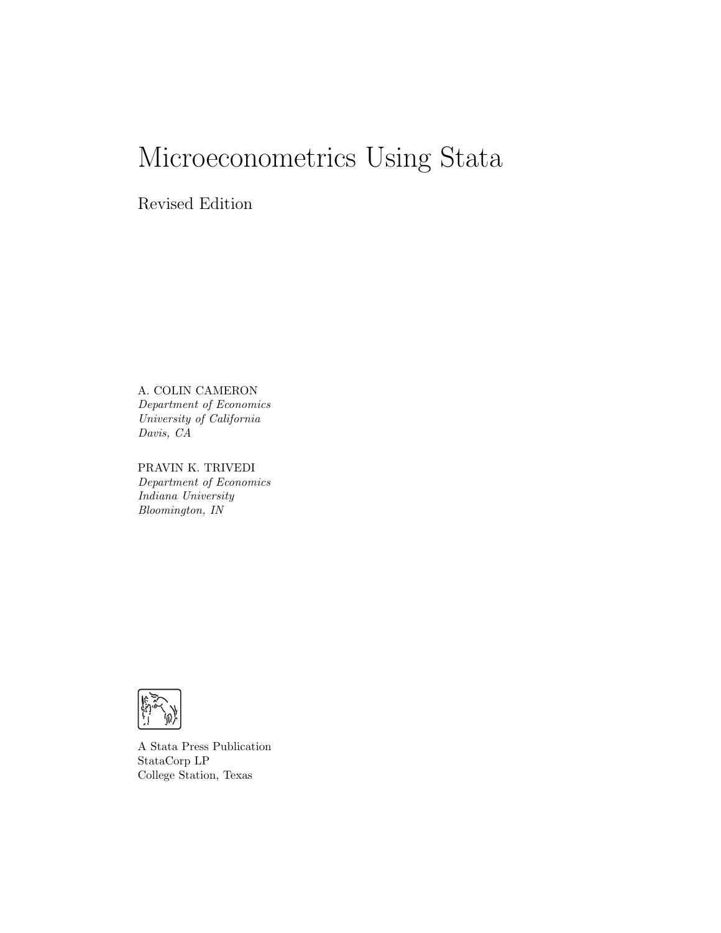# Microeconometrics Using Stata

Revised Edition

A. COLIN CAMERON Department of Economics University of California Davis, CA

PRAVIN K. TRIVEDI Department of Economics Indiana University Bloomington, IN



A Stata Press Publication StataCorp LP College Station, Texas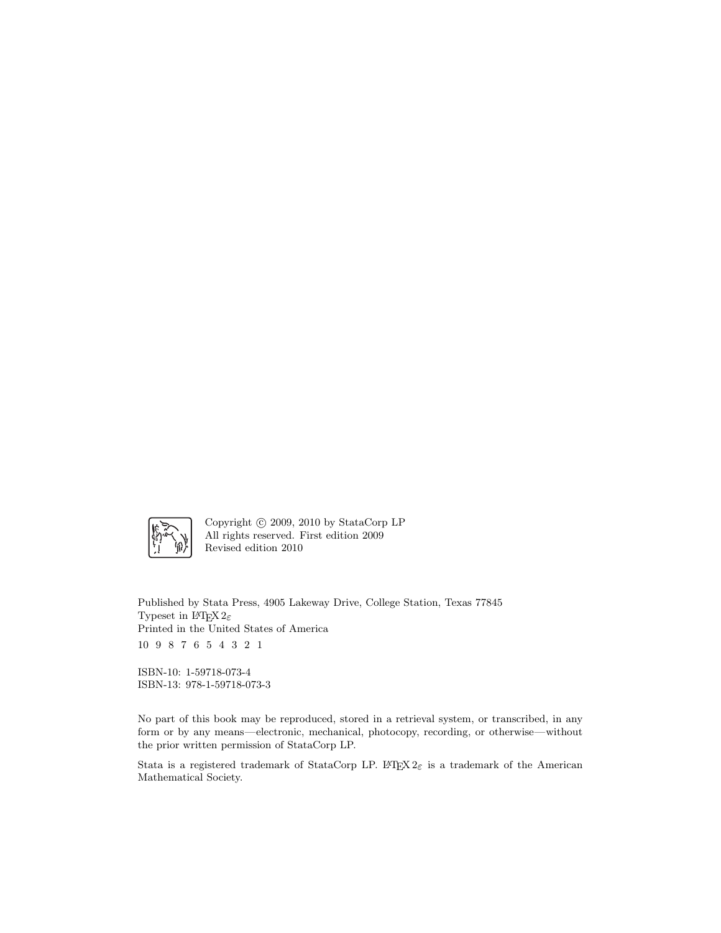

Copyright  $\odot$  2009, 2010 by StataCorp LP All rights reserved. First edition 2009 Revised edition 2010

Published by Stata Press, 4905 Lakeway Drive, College Station, Texas 77845 Typeset in L<sup>AT</sup>FX  $2\varepsilon$ Printed in the United States of America 10 9 8 7 6 5 4 3 2 1

ISBN-10: 1-59718-073-4 ISBN-13: 978-1-59718-073-3

No part of this book may be reproduced, stored in a retrieval system, or transcribed, in any form or by any means—electronic, mechanical, photocopy, recording, or otherwise—without the prior written permission of StataCorp LP.

Stata is a registered trademark of StataCorp LP. LATEX  $2\varepsilon$  is a trademark of the American Mathematical Society.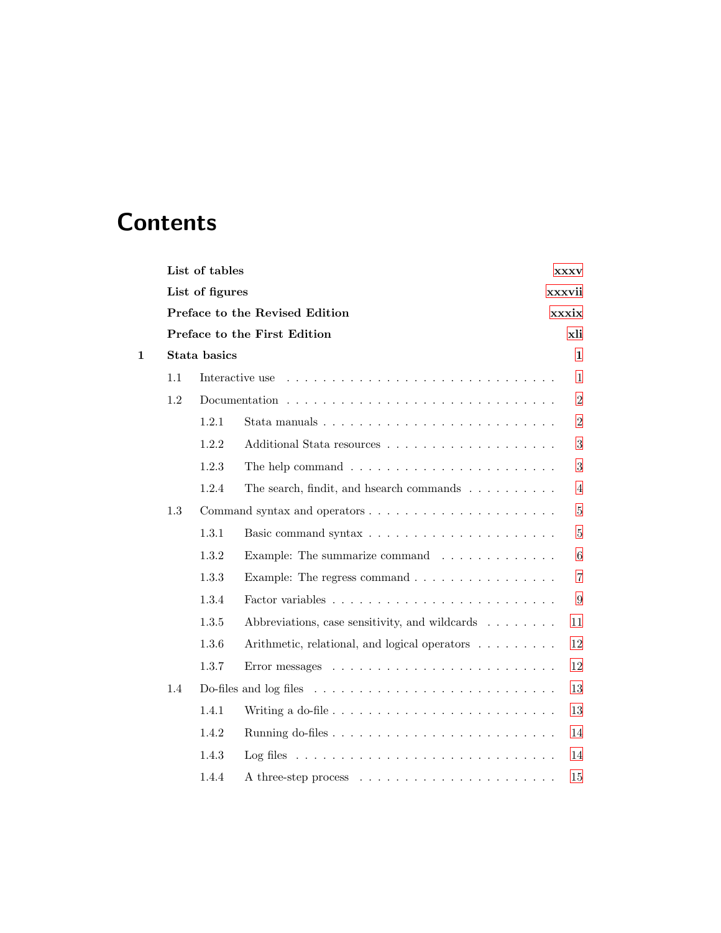## **Contents**

|   |              | List of tables  |                                                                                   | <b>XXXV</b> |                |  |
|---|--------------|-----------------|-----------------------------------------------------------------------------------|-------------|----------------|--|
|   |              | List of figures |                                                                                   |             | xxxvii         |  |
|   |              |                 | Preface to the Revised Edition                                                    |             | xxxix          |  |
|   |              |                 | Preface to the First Edition                                                      |             | xli            |  |
| 1 | Stata basics |                 |                                                                                   |             | 1              |  |
|   | 1.1          |                 | Interactive use                                                                   |             | 1              |  |
|   | 1.2          |                 |                                                                                   |             | $\overline{2}$ |  |
|   |              | 1.2.1           |                                                                                   |             | $\overline{2}$ |  |
|   |              | 1.2.2           |                                                                                   |             | 3              |  |
|   |              | 1.2.3           | The help command $\ldots \ldots \ldots \ldots \ldots \ldots \ldots \ldots$        |             | 3              |  |
|   |              | 1.2.4           | The search, findit, and h<br>search commands $\ldots \ldots \ldots \ldots$        |             | $\overline{4}$ |  |
|   | 1.3          |                 |                                                                                   |             | $\overline{5}$ |  |
|   |              | 1.3.1           |                                                                                   |             | $\overline{5}$ |  |
|   |              | 1.3.2           | Example: The summarize command                                                    |             | 6              |  |
|   |              | 1.3.3           | Example: The regress command $\ldots \ldots \ldots \ldots \ldots$                 |             | $\overline{7}$ |  |
|   |              | 1.3.4           |                                                                                   |             | 9              |  |
|   |              | 1.3.5           | Abbreviations, case sensitivity, and wildcards                                    |             | 11             |  |
|   |              | 1.3.6           | Arithmetic, relational, and logical operators                                     |             | 12             |  |
|   |              | 1.3.7           |                                                                                   |             | 12             |  |
|   | 1.4          |                 |                                                                                   |             | 13             |  |
|   |              | 1.4.1           | Writing a do-file $\ldots \ldots \ldots \ldots \ldots \ldots \ldots \ldots$       |             | 13             |  |
|   |              | 1.4.2           |                                                                                   |             | 14             |  |
|   |              | 1.4.3           | Log files $\ldots \ldots \ldots \ldots \ldots \ldots \ldots \ldots \ldots \ldots$ |             | 14             |  |
|   |              | 1.4.4           |                                                                                   |             | 15             |  |
|   |              |                 |                                                                                   |             |                |  |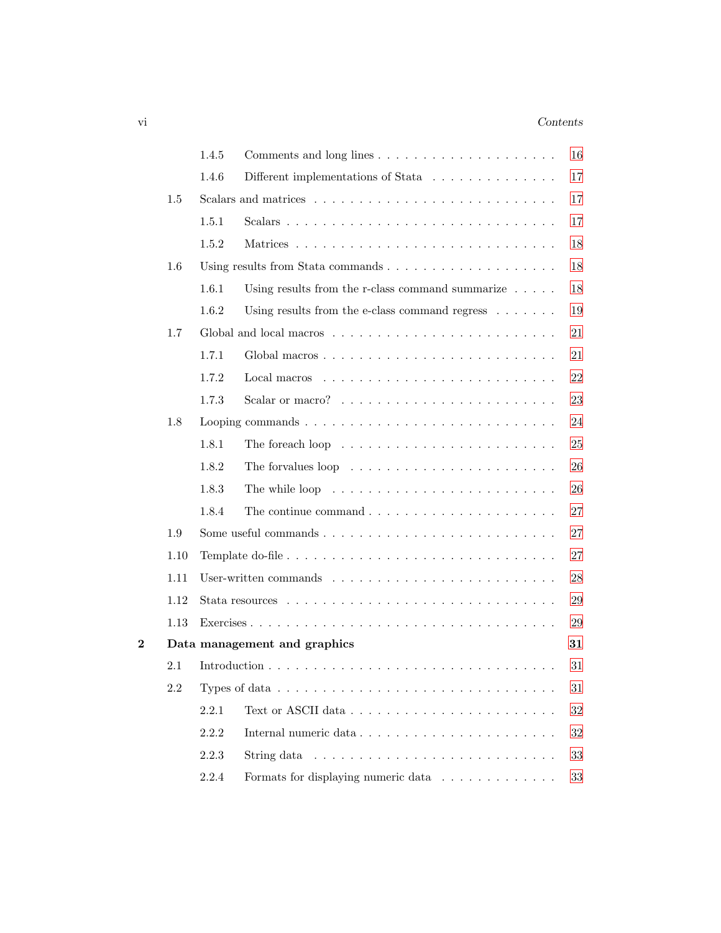### vi *Contents*

|          |      | 1.4.5 |                                                                                          | 16     |
|----------|------|-------|------------------------------------------------------------------------------------------|--------|
|          |      | 1.4.6 | Different implementations of Stata                                                       | 17     |
|          | 1.5  |       |                                                                                          | 17     |
|          |      | 1.5.1 |                                                                                          | 17     |
|          |      | 1.5.2 |                                                                                          | 18     |
|          | 1.6  |       |                                                                                          | 18     |
|          |      | 1.6.1 | Using results from the r-class command summarize $\ldots$ .                              | 18     |
|          |      | 1.6.2 | Using results from the e-class command regress $\dots \dots$                             | 19     |
|          | 1.7  |       |                                                                                          | 21     |
|          |      | 1.7.1 |                                                                                          | 21     |
|          |      | 1.7.2 |                                                                                          | 22     |
|          |      | 1.7.3 |                                                                                          | 23     |
|          | 1.8  |       | Looping commands $\ldots \ldots \ldots \ldots \ldots \ldots \ldots \ldots \ldots \ldots$ | 24     |
|          |      | 1.8.1 | The foreach loop $\dots \dots \dots \dots \dots \dots \dots \dots \dots$                 | 25     |
|          |      | 1.8.2 | The forvalues loop $\dots \dots \dots \dots \dots \dots \dots \dots$                     | 26     |
|          |      | 1.8.3 | The while loop $\dots \dots \dots \dots \dots \dots \dots \dots \dots \dots$             | 26     |
|          |      | 1.8.4 | The continue command $\ldots \ldots \ldots \ldots \ldots \ldots \ldots$                  | 27     |
|          | 1.9  |       |                                                                                          | 27     |
|          | 1.10 |       |                                                                                          | 27     |
|          | 1.11 |       |                                                                                          | 28     |
|          | 1.12 |       |                                                                                          | 29     |
|          | 1.13 |       |                                                                                          | 29     |
| $\bf{2}$ |      |       | Data management and graphics                                                             | 31     |
|          | 2.1  |       |                                                                                          | 31     |
|          | 2.2  |       | Types of data $\ldots \ldots \ldots \ldots \ldots \ldots \ldots \ldots \ldots \ldots$    | 31     |
|          |      | 2.2.1 |                                                                                          | $32\,$ |
|          |      | 2.2.2 |                                                                                          | 32     |
|          |      | 2.2.3 | String data $\ldots \ldots \ldots \ldots \ldots \ldots \ldots \ldots \ldots$             | 33     |
|          |      | 2.2.4 | Formats for displaying numeric data $\ldots \ldots \ldots \ldots$                        | 33     |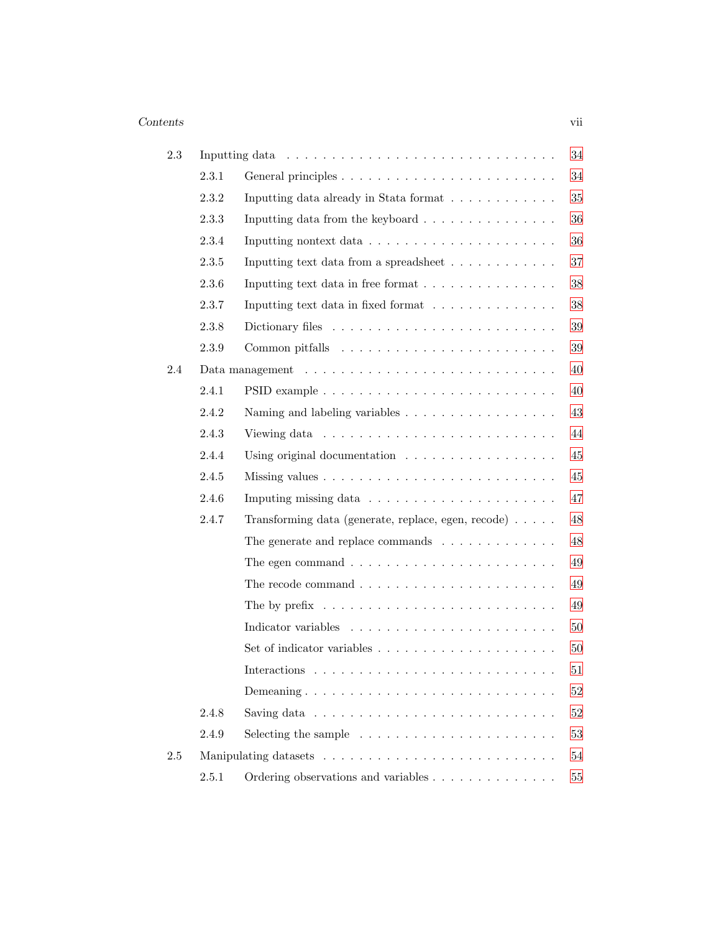### *Contents* vii

| 2.3 |       |                                                                                 | 34     |
|-----|-------|---------------------------------------------------------------------------------|--------|
|     | 2.3.1 |                                                                                 | 34     |
|     | 2.3.2 | Inputting data already in Stata format                                          | 35     |
|     | 2.3.3 | Inputting data from the keyboard $\ldots \ldots \ldots \ldots \ldots$           | 36     |
|     | 2.3.4 |                                                                                 | 36     |
|     | 2.3.5 | Inputting text data from a spread<br>sheet $\ldots \ldots \ldots \ldots \ldots$ | $37\,$ |
|     | 2.3.6 | Inputting text data in free format                                              | 38     |
|     | 2.3.7 | Inputting text data in fixed format                                             | $38\,$ |
|     | 2.3.8 |                                                                                 | $39\,$ |
|     | 2.3.9 |                                                                                 | $39\,$ |
| 2.4 |       |                                                                                 | 40     |
|     | 2.4.1 |                                                                                 | 40     |
|     | 2.4.2 | Naming and labeling variables                                                   | 43     |
|     | 2.4.3 |                                                                                 | 44     |
|     | 2.4.4 | Using original documentation $\ldots \ldots \ldots \ldots \ldots$               | 45     |
|     | 2.4.5 |                                                                                 | 45     |
|     | 2.4.6 |                                                                                 | 47     |
|     | 2.4.7 | Transforming data (generate, replace, egen, recode)                             | 48     |
|     |       | The generate and replace commands $\ldots \ldots \ldots \ldots$                 | 48     |
|     |       | The egen command $\ldots \ldots \ldots \ldots \ldots \ldots \ldots \ldots$      | 49     |
|     |       | The recode command $\ldots \ldots \ldots \ldots \ldots \ldots \ldots$           | 49     |
|     |       | The by prefix $\ldots \ldots \ldots \ldots \ldots \ldots \ldots \ldots$         | 49     |
|     |       |                                                                                 | $50\,$ |
|     |       |                                                                                 | 50     |
|     |       | Interactions                                                                    | 51     |
|     |       | Demeaning                                                                       | $52\,$ |
|     | 2.4.8 | Saving data $\ldots \ldots \ldots \ldots \ldots \ldots \ldots \ldots \ldots$    | $52\,$ |
|     | 2.4.9 | Selecting the sample $\ldots \ldots \ldots \ldots \ldots \ldots \ldots$         | $53\,$ |
| 2.5 |       |                                                                                 | 54     |
|     | 2.5.1 |                                                                                 | $55\,$ |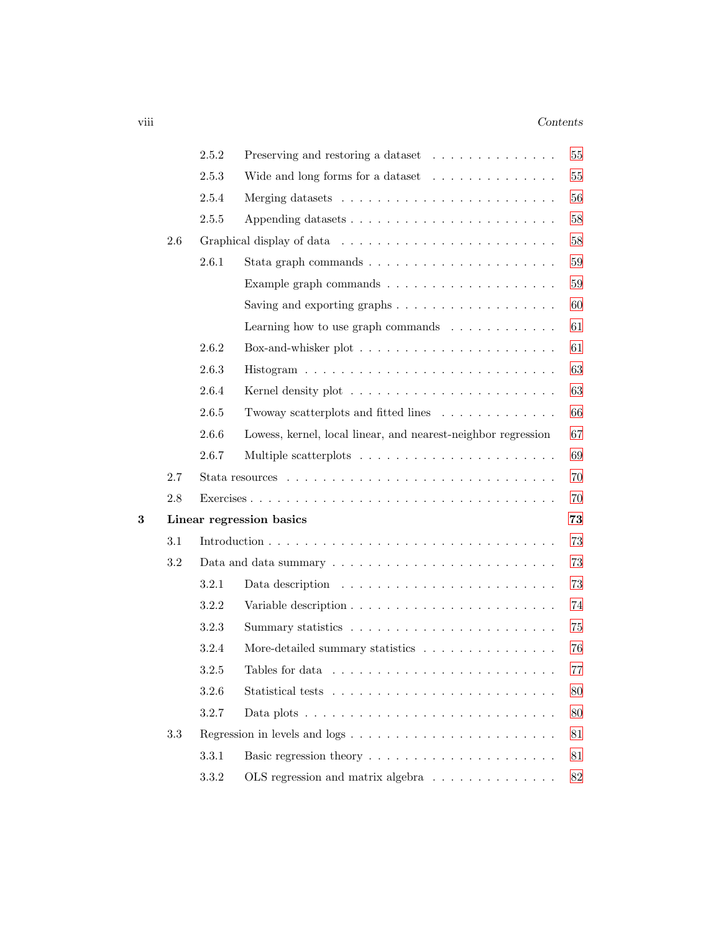### viii *Contents*

|   |         | 2.5.2 | Preserving and restoring a dataset                                                          | 55     |
|---|---------|-------|---------------------------------------------------------------------------------------------|--------|
|   |         | 2.5.3 | Wide and long forms for a dataset $\ldots \ldots \ldots \ldots \ldots$                      | $55\,$ |
|   |         | 2.5.4 |                                                                                             | 56     |
|   |         | 2.5.5 |                                                                                             | 58     |
|   | $2.6\,$ |       |                                                                                             | $58\,$ |
|   |         | 2.6.1 | Stata graph commands $\ldots \ldots \ldots \ldots \ldots \ldots \ldots$                     | $59\,$ |
|   |         |       |                                                                                             | 59     |
|   |         |       | Saving and exporting graphs $\dots \dots \dots \dots \dots \dots$                           | 60     |
|   |         |       | Learning how to use graph commands $\ldots \ldots \ldots \ldots$                            | 61     |
|   |         | 2.6.2 |                                                                                             | 61     |
|   |         | 2.6.3 |                                                                                             | 63     |
|   |         | 2.6.4 |                                                                                             | 63     |
|   |         | 2.6.5 | Twoway scatterplots and fitted lines                                                        | 66     |
|   |         | 2.6.6 | Lowess, kernel, local linear, and nearest-neighbor regression                               | 67     |
|   |         | 2.6.7 |                                                                                             | 69     |
|   | 2.7     |       |                                                                                             | 70     |
|   | 2.8     |       |                                                                                             | 70     |
| 3 |         |       | Linear regression basics                                                                    | 73     |
|   | 3.1     |       |                                                                                             | 73     |
|   | 3.2     |       |                                                                                             | 73     |
|   |         | 3.2.1 |                                                                                             | 73     |
|   |         | 3.2.2 |                                                                                             | 74     |
|   |         | 3.2.3 |                                                                                             | 75     |
|   |         | 3.2.4 | More-detailed summary statistics                                                            | 76     |
|   |         | 3.2.5 |                                                                                             | 77     |
|   |         | 3.2.6 |                                                                                             | 80     |
|   |         | 3.2.7 | Data plots $\dots \dots \dots \dots \dots \dots \dots \dots \dots \dots \dots \dots$        | 80     |
|   | 3.3     |       |                                                                                             | 81     |
|   |         | 3.3.1 |                                                                                             | 81     |
|   |         | 3.3.2 | OLS regression and matrix algebra $\;\ldots\; \ldots\; \ldots\; \ldots\; \ldots\; \ldots\;$ | 82     |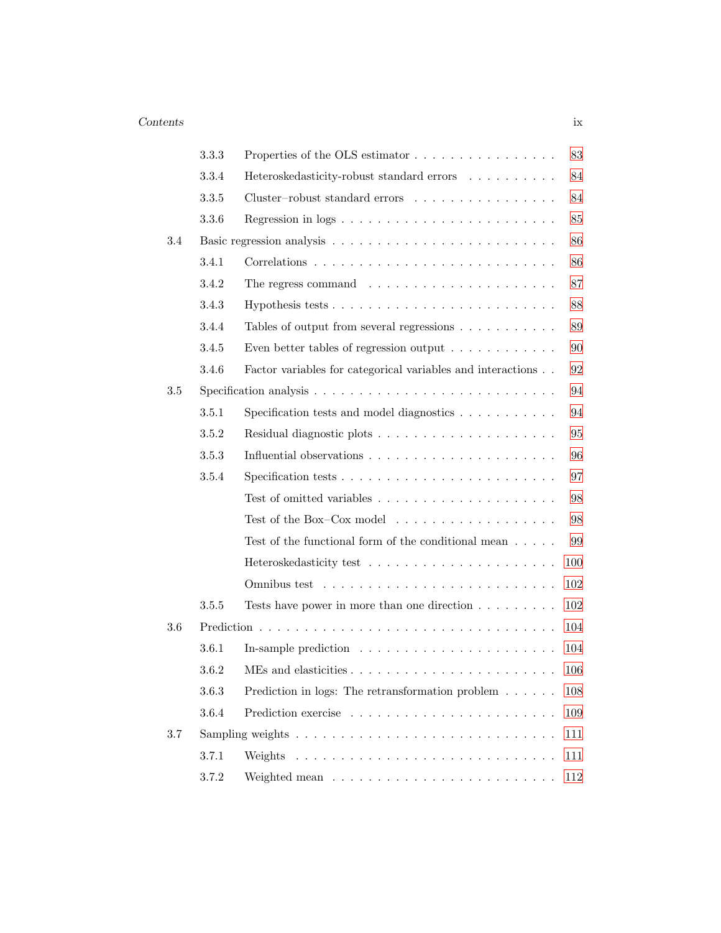|         | 3.3.3 | Properties of the OLS estimator                                                 | 83  |
|---------|-------|---------------------------------------------------------------------------------|-----|
|         | 3.3.4 | Heteroskedasticity-robust standard errors                                       | 84  |
|         | 3.3.5 | $Cluster-robust\ standard\ errors\ \ \ldots\ \ldots\ \ldots\ \ldots\ \ldots\ .$ | 84  |
|         | 3.3.6 |                                                                                 | 85  |
| $3.4\,$ |       |                                                                                 | 86  |
|         | 3.4.1 |                                                                                 | 86  |
|         | 3.4.2 | The regress command $\ldots \ldots \ldots \ldots \ldots \ldots \ldots$          | 87  |
|         | 3.4.3 |                                                                                 | 88  |
|         | 3.4.4 | Tables of output from several regressions                                       | 89  |
|         | 3.4.5 | Even better tables of regression output $\ldots \ldots \ldots \ldots$           | 90  |
|         | 3.4.6 | Factor variables for categorical variables and interactions                     | 92  |
| $3.5\,$ |       |                                                                                 | 94  |
|         | 3.5.1 | Specification tests and model diagnostics                                       | 94  |
|         | 3.5.2 |                                                                                 | 95  |
|         | 3.5.3 |                                                                                 | 96  |
|         | 3.5.4 |                                                                                 | 97  |
|         |       |                                                                                 | 98  |
|         |       | Test of the Box–Cox model $\ldots \ldots \ldots \ldots \ldots \ldots$           | 98  |
|         |       | Test of the functional form of the conditional mean $\dots$ .                   | 99  |
|         |       |                                                                                 | 100 |
|         |       |                                                                                 | 102 |
|         | 3.5.5 | Tests have power in more than one direction $\dots \dots$                       | 102 |
| 3.6     |       |                                                                                 | 104 |
|         | 3.6.1 |                                                                                 | 104 |
|         | 3.6.2 |                                                                                 | 106 |
|         | 3.6.3 | Prediction in logs: The retransformation problem $\ldots \ldots$                | 108 |
|         | 3.6.4 |                                                                                 | 109 |
| 3.7     |       |                                                                                 | 111 |
|         | 3.7.1 | Weights                                                                         | 111 |
|         | 3.7.2 |                                                                                 | 112 |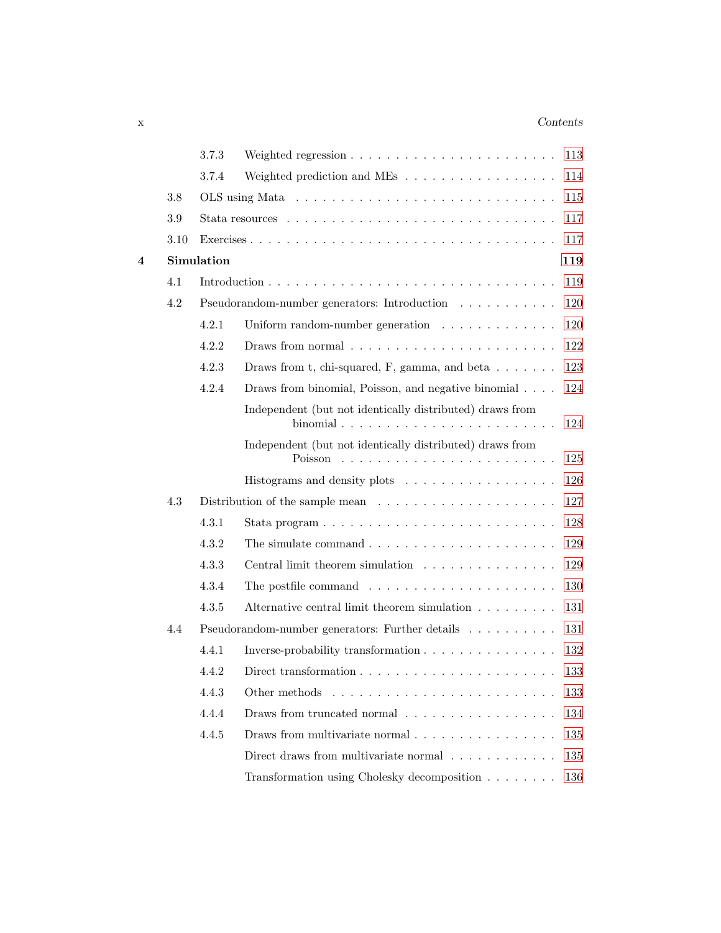### x *Contents*

|   |         | 3.7.3      | Weighted regression $\ldots \ldots \ldots \ldots \ldots \ldots \ldots$                                                         | 113 |
|---|---------|------------|--------------------------------------------------------------------------------------------------------------------------------|-----|
|   |         | 3.7.4      | Weighted prediction and MEs $\;\ldots\; \ldots\; \ldots\; \ldots\; \ldots\; \ldots\; \ldots\;$                                 | 114 |
|   | $3.8\,$ |            |                                                                                                                                | 115 |
|   | 3.9     |            |                                                                                                                                | 117 |
|   | 3.10    |            |                                                                                                                                | 117 |
| 4 |         | Simulation |                                                                                                                                | 119 |
|   | 4.1     |            |                                                                                                                                | 119 |
|   | 4.2     |            | Pseudorandom-number generators: Introduction $\ldots \ldots \ldots \ldots$                                                     | 120 |
|   |         | 4.2.1      | Uniform random-number generation $\ldots \ldots \ldots \ldots$                                                                 | 120 |
|   |         | 4.2.2      | Draws from normal                                                                                                              | 122 |
|   |         | 4.2.3      | Draws from t, chi-squared, F, gamma, and beta $\dots \dots$                                                                    | 123 |
|   |         | 4.2.4      | Draws from binomial, Poisson, and negative binomial                                                                            | 124 |
|   |         |            | Independent (but not identically distributed) draws from<br>binomial $\ldots \ldots \ldots \ldots \ldots \ldots \ldots \ldots$ | 124 |
|   |         |            | Independent (but not identically distributed) draws from                                                                       | 125 |
|   |         |            | Histograms and density plots                                                                                                   | 126 |
|   | 4.3     |            | Distribution of the sample mean $\dots \dots \dots \dots \dots \dots \dots$                                                    | 127 |
|   |         | 4.3.1      | Stata program $\ldots \ldots \ldots \ldots \ldots \ldots \ldots \ldots \ldots$                                                 | 128 |
|   |         | 4.3.2      | The simulate command $\ldots \ldots \ldots \ldots \ldots \ldots \ldots$                                                        | 129 |
|   |         | 4.3.3      | Central limit theorem simulation                                                                                               | 129 |
|   |         | 4.3.4      | The postfile command $\ldots \ldots \ldots \ldots \ldots \ldots \ldots$                                                        | 130 |
|   |         | 4.3.5      | Alternative central limit theorem simulation                                                                                   | 131 |
|   | 4.4     |            | Pseudorandom-number generators: Further details                                                                                | 131 |
|   |         | 4.4.1      | Inverse-probability transformation                                                                                             | 132 |
|   |         | 4.4.2      | Direct transformation $\ldots \ldots \ldots \ldots \ldots \ldots \ldots \ldots$                                                | 133 |
|   |         | 4.4.3      | Other methods                                                                                                                  | 133 |
|   |         | 4.4.4      | Draws from truncated normal $\ldots \ldots \ldots \ldots \ldots$                                                               | 134 |
|   |         | 4.4.5      | Draws from multivariate normal                                                                                                 | 135 |
|   |         |            | Direct draws from multivariate normal $\ldots \ldots \ldots \ldots$                                                            | 135 |
|   |         |            | Transformation using Cholesky decomposition                                                                                    | 136 |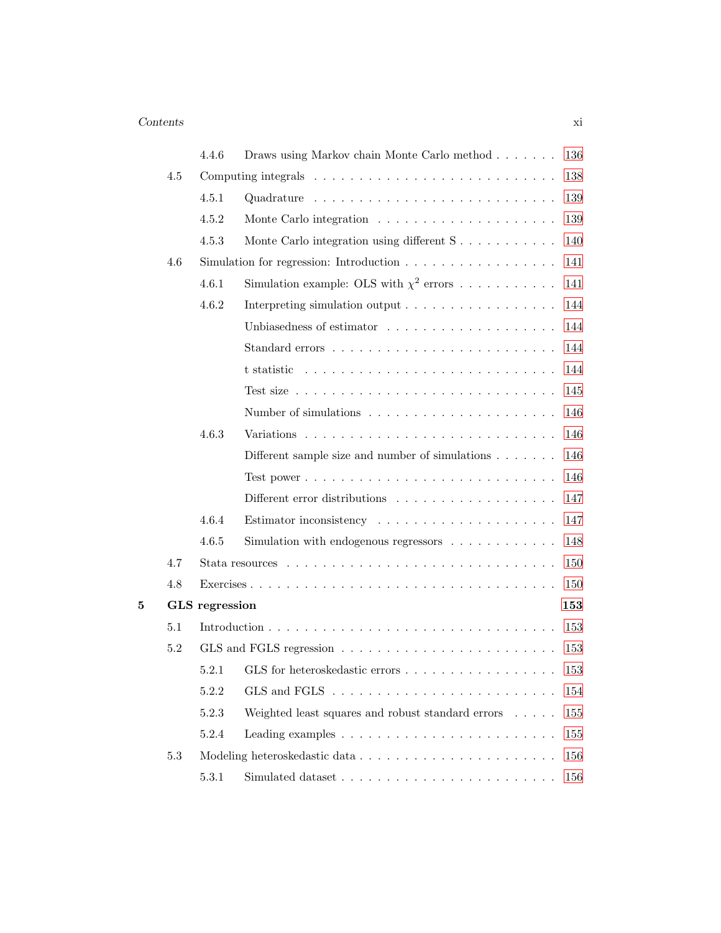| Monte Carlo integration using different $S \ldots \ldots \ldots$<br>Simulation for regression: Introduction $\ldots \ldots \ldots \ldots \ldots \ldots$<br>Simulation example: OLS with $\chi^2$ errors<br>Interpreting simulation output | 138<br>139<br>139<br>140<br>141<br>141 |
|-------------------------------------------------------------------------------------------------------------------------------------------------------------------------------------------------------------------------------------------|----------------------------------------|
|                                                                                                                                                                                                                                           |                                        |
|                                                                                                                                                                                                                                           |                                        |
|                                                                                                                                                                                                                                           |                                        |
|                                                                                                                                                                                                                                           |                                        |
|                                                                                                                                                                                                                                           |                                        |
|                                                                                                                                                                                                                                           |                                        |
|                                                                                                                                                                                                                                           | 144                                    |
|                                                                                                                                                                                                                                           | 144                                    |
| Standard errors $\dots \dots \dots \dots \dots \dots \dots \dots \dots$                                                                                                                                                                   | 144                                    |
|                                                                                                                                                                                                                                           | 144                                    |
| Test size $\ldots \ldots \ldots \ldots \ldots \ldots \ldots \ldots \ldots \ldots$                                                                                                                                                         | 145                                    |
|                                                                                                                                                                                                                                           | 146                                    |
|                                                                                                                                                                                                                                           | 146                                    |
| Different sample size and number of simulations $\ldots \ldots$                                                                                                                                                                           | 146                                    |
|                                                                                                                                                                                                                                           | 146                                    |
|                                                                                                                                                                                                                                           | 147                                    |
|                                                                                                                                                                                                                                           | 147                                    |
| Simulation with endogenous regressors $\ldots \ldots \ldots \ldots$                                                                                                                                                                       | 148                                    |
|                                                                                                                                                                                                                                           | 150                                    |
|                                                                                                                                                                                                                                           | 150                                    |
|                                                                                                                                                                                                                                           | 153                                    |
|                                                                                                                                                                                                                                           | 153                                    |
|                                                                                                                                                                                                                                           | 153                                    |
| 5.2.1 GLS for heteroskedastic errors                                                                                                                                                                                                      | 153                                    |
|                                                                                                                                                                                                                                           | 154                                    |
| Weighted least squares and robust standard errors                                                                                                                                                                                         | 155                                    |
|                                                                                                                                                                                                                                           | 155                                    |
|                                                                                                                                                                                                                                           | 156                                    |
|                                                                                                                                                                                                                                           | 156                                    |
|                                                                                                                                                                                                                                           |                                        |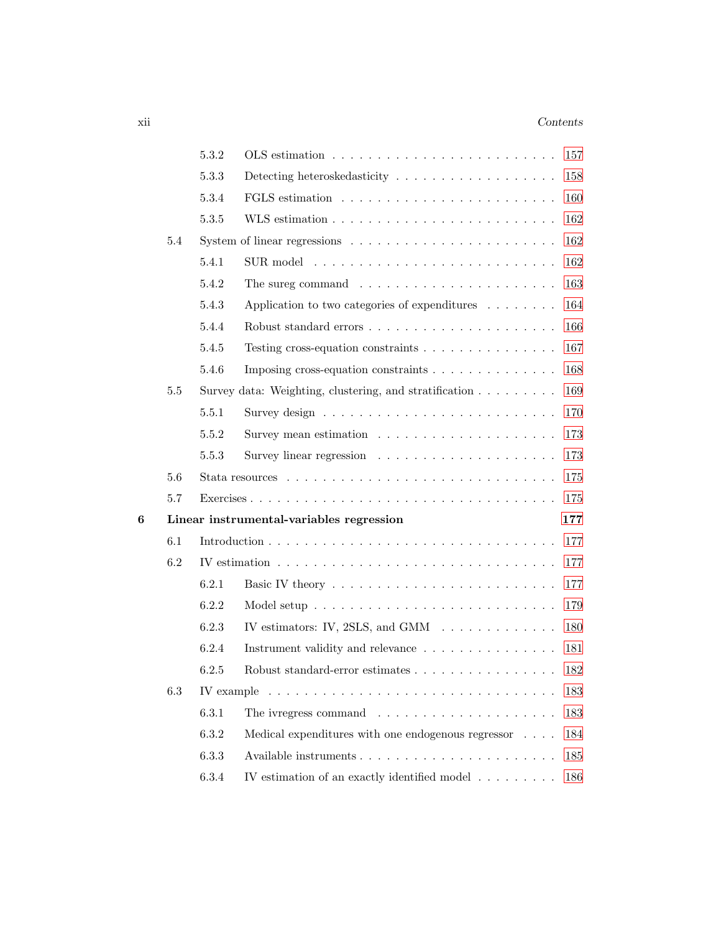### xii *Contents*

|   |         | 5.3.2 |                                                                                              | 157 |
|---|---------|-------|----------------------------------------------------------------------------------------------|-----|
|   |         | 5.3.3 |                                                                                              | 158 |
|   |         | 5.3.4 |                                                                                              | 160 |
|   |         | 5.3.5 |                                                                                              | 162 |
|   | 5.4     |       | System of linear regressions $\dots \dots \dots \dots \dots \dots \dots \dots$               | 162 |
|   |         | 5.4.1 |                                                                                              | 162 |
|   |         | 5.4.2 | The sureg command $\ldots \ldots \ldots \ldots \ldots \ldots \ldots$                         | 163 |
|   |         | 5.4.3 | Application to two categories of expenditures $\ldots \ldots$                                | 164 |
|   |         | 5.4.4 |                                                                                              | 166 |
|   |         | 5.4.5 | Testing cross-equation constraints $\dots \dots \dots \dots \dots$                           | 167 |
|   |         | 5.4.6 | Imposing cross-equation constraints                                                          | 168 |
|   | 5.5     |       | Survey data: Weighting, clustering, and stratification $\ldots \ldots \ldots$                | 169 |
|   |         | 5.5.1 |                                                                                              | 170 |
|   |         | 5.5.2 |                                                                                              | 173 |
|   |         | 5.5.3 |                                                                                              | 173 |
|   | 5.6     |       |                                                                                              | 175 |
|   | 5.7     |       |                                                                                              | 175 |
| 6 |         |       | Linear instrumental-variables regression<br>177                                              |     |
|   | 6.1     |       |                                                                                              | 177 |
|   | 6.2     |       | IV estimation $\ldots \ldots \ldots \ldots \ldots \ldots \ldots \ldots \ldots \ldots \ldots$ | 177 |
|   |         | 6.2.1 |                                                                                              | 177 |
|   |         | 6.2.2 |                                                                                              | 179 |
|   |         | 6.2.3 | IV estimators: IV, 2SLS, and GMM $\ldots \ldots \ldots \ldots$                               | 180 |
|   |         | 6.2.4 | Instrument validity and relevance                                                            | 181 |
|   |         | 6.2.5 | Robust standard-error estimates                                                              | 182 |
|   | $6.3\,$ |       |                                                                                              | 183 |
|   |         | 6.3.1 | The ivregress command $\ldots \ldots \ldots \ldots \ldots \ldots$                            | 183 |
|   |         | 6.3.2 | Medical expenditures with one endogenous regressor                                           | 184 |
|   |         | 6.3.3 |                                                                                              | 185 |
|   |         | 6.3.4 | IV estimation of an exactly identified model $\ldots \ldots \ldots$                          | 186 |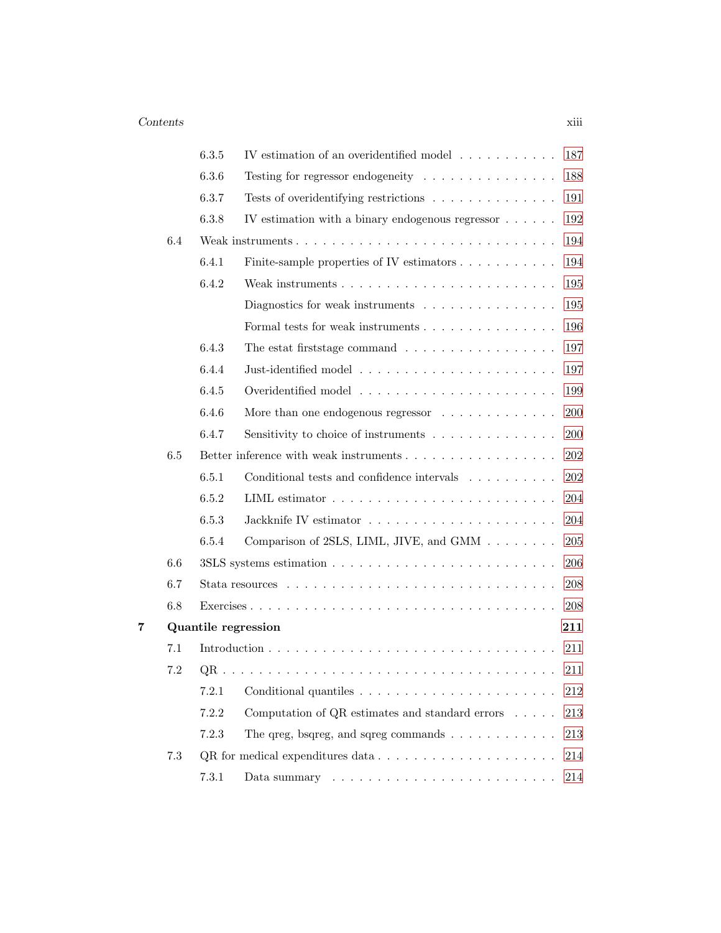|   |         | 6.3.5 | IV estimation of an overidentified model $\ldots \ldots \ldots$<br>187                         |  |
|---|---------|-------|------------------------------------------------------------------------------------------------|--|
|   |         | 6.3.6 | 188<br>Testing for regressor endogeneity $\dots \dots \dots \dots \dots$                       |  |
|   |         | 6.3.7 | Tests of overidentifying restrictions<br>191                                                   |  |
|   |         | 6.3.8 | 192<br>IV estimation with a binary endogenous regressor                                        |  |
|   | 6.4     |       | 194                                                                                            |  |
|   |         | 6.4.1 | Finite-sample properties of IV estimators<br>194                                               |  |
|   |         | 6.4.2 | 195                                                                                            |  |
|   |         |       | 195<br>Diagnostics for weak instruments $\ldots \ldots \ldots \ldots \ldots$                   |  |
|   |         |       | 196                                                                                            |  |
|   |         | 6.4.3 | 197<br>The estat first stage command $\ldots \ldots \ldots \ldots \ldots$                      |  |
|   |         | 6.4.4 | 197                                                                                            |  |
|   |         | 6.4.5 | 199                                                                                            |  |
|   |         | 6.4.6 | More than one endogenous regressor $\ldots \ldots \ldots \ldots$<br>200                        |  |
|   |         | 6.4.7 | Sensitivity to choice of instruments<br>200                                                    |  |
|   | 6.5     |       | 202<br>Better inference with weak instruments                                                  |  |
|   |         | 6.5.1 | $202\,$<br>Conditional tests and confidence intervals $\ldots \ldots \ldots$                   |  |
|   |         | 6.5.2 | 204                                                                                            |  |
|   |         | 6.5.3 | 204                                                                                            |  |
|   |         | 6.5.4 | $205\,$<br>Comparison of 2SLS, LIML, JIVE, and GMM                                             |  |
|   | $6.6\,$ |       | 206                                                                                            |  |
|   | 6.7     |       | 208                                                                                            |  |
|   | 6.8     |       | 208                                                                                            |  |
| 7 |         |       | Quantile regression<br>211                                                                     |  |
|   | 7.1     |       | 211                                                                                            |  |
|   | 7.2     |       | 211                                                                                            |  |
|   |         | 7.2.1 | $212\,$                                                                                        |  |
|   |         | 7.2.2 | Computation of QR estimates and standard errors $\phantom{1} \ldots \phantom{1} \ldots$<br>213 |  |
|   |         | 7.2.3 | The greg, bsgreg, and sgreg commands $\ldots \ldots \ldots \ldots$<br>213                      |  |
|   | 7.3     |       | 214                                                                                            |  |
|   |         | 7.3.1 | 214                                                                                            |  |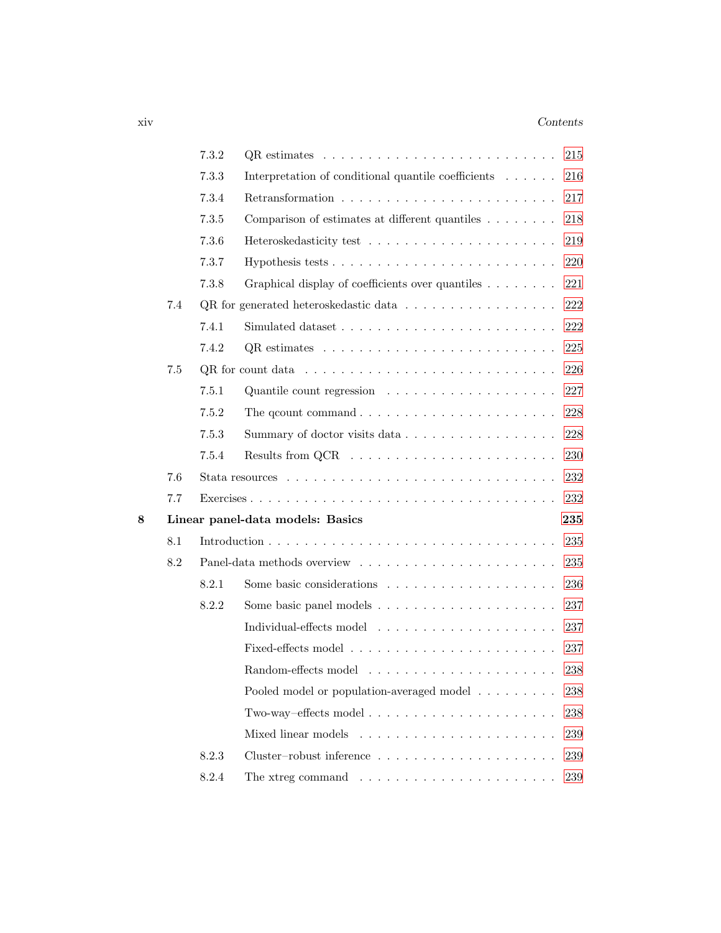### xiv *Contents*

|   |     | 7.3.2 | QR estimates                                                                         | 215 |
|---|-----|-------|--------------------------------------------------------------------------------------|-----|
|   |     | 7.3.3 | Interpretation of conditional quantile coefficients                                  | 216 |
|   |     | 7.3.4 |                                                                                      | 217 |
|   |     | 7.3.5 | Comparison of estimates at different quantiles                                       | 218 |
|   |     | 7.3.6 |                                                                                      | 219 |
|   |     | 7.3.7 |                                                                                      | 220 |
|   |     | 7.3.8 | Graphical display of coefficients over quantiles                                     | 221 |
|   | 7.4 |       | QR for generated heteroskedastic data $\ldots \ldots \ldots \ldots \ldots$           | 222 |
|   |     | 7.4.1 |                                                                                      | 222 |
|   |     | 7.4.2 |                                                                                      | 225 |
|   | 7.5 |       | $QR$ for count data $\ldots \ldots \ldots \ldots \ldots \ldots \ldots \ldots \ldots$ | 226 |
|   |     | 7.5.1 | Quantile count regression $\ldots \ldots \ldots \ldots \ldots \ldots$                | 227 |
|   |     | 7.5.2 | The qcount command $\ldots \ldots \ldots \ldots \ldots \ldots \ldots \ldots$         | 228 |
|   |     | 7.5.3 | Summary of doctor visits data                                                        | 228 |
|   |     | 7.5.4 |                                                                                      | 230 |
|   | 7.6 |       |                                                                                      | 232 |
|   | 7.7 |       |                                                                                      |     |
| 8 |     |       | Linear panel-data models: Basics                                                     | 235 |
|   | 8.1 |       |                                                                                      | 235 |
|   | 8.2 |       |                                                                                      | 235 |
|   |     | 8.2.1 |                                                                                      | 236 |
|   |     | 8.2.2 |                                                                                      | 237 |
|   |     |       |                                                                                      | 237 |
|   |     |       |                                                                                      | 237 |
|   |     |       |                                                                                      | 238 |
|   |     |       | Pooled model or population-averaged model                                            | 238 |
|   |     |       | Two-way-effects model $\dots \dots \dots \dots \dots \dots \dots \dots$              | 238 |
|   |     |       | Mixed linear models                                                                  | 239 |
|   |     | 8.2.3 |                                                                                      | 239 |
|   |     | 8.2.4 | The xtreg command $\ldots \ldots \ldots \ldots \ldots \ldots \ldots \ldots$          | 239 |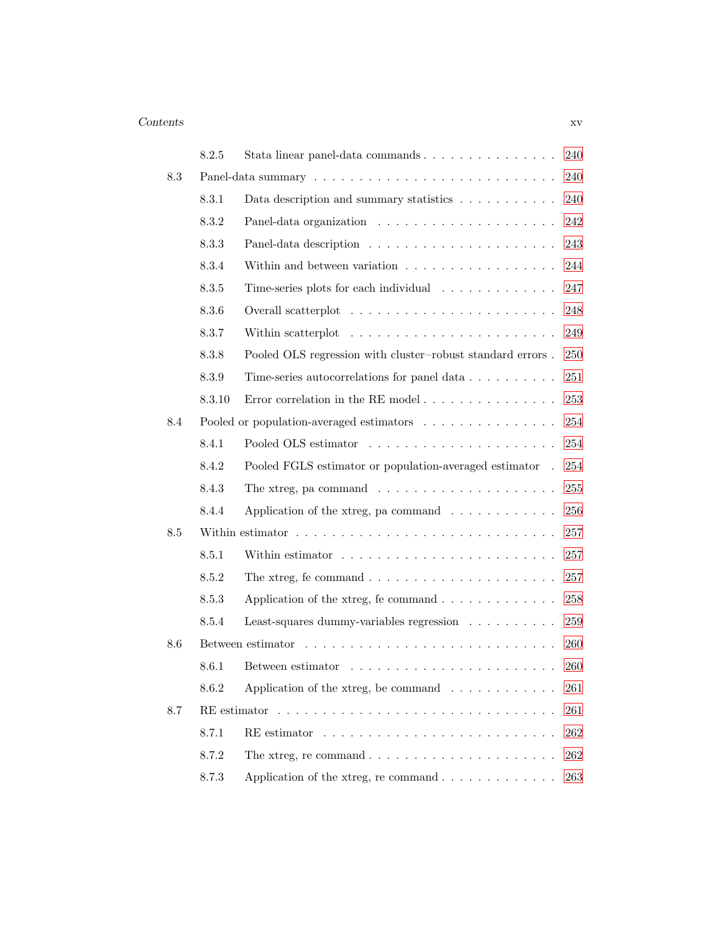|     | 8.2.5  |                                                                          | 240 |
|-----|--------|--------------------------------------------------------------------------|-----|
| 8.3 |        |                                                                          | 240 |
|     | 8.3.1  | Data description and summary statistics                                  | 240 |
|     | 8.3.2  |                                                                          | 242 |
|     | 8.3.3  |                                                                          | 243 |
|     | 8.3.4  | Within and between variation $\ldots \ldots \ldots \ldots \ldots \ldots$ | 244 |
|     | 8.3.5  | Time-series plots for each individual                                    | 247 |
|     | 8.3.6  |                                                                          | 248 |
|     | 8.3.7  | Within scatterplot                                                       | 249 |
|     | 8.3.8  | Pooled OLS regression with cluster-robust standard errors.               | 250 |
|     | 8.3.9  | Time-series autocorrelations for panel data                              | 251 |
|     | 8.3.10 | Error correlation in the RE model $\ldots \ldots \ldots \ldots \ldots$   | 253 |
| 8.4 |        | Pooled or population-averaged estimators                                 | 254 |
|     | 8.4.1  |                                                                          | 254 |
|     | 8.4.2  | Pooled FGLS estimator or population-averaged estimator.                  | 254 |
|     | 8.4.3  | The xtreg, pa command $\ldots \ldots \ldots \ldots \ldots \ldots \ldots$ | 255 |
|     | 8.4.4  | Application of the xtreg, pa command $\ldots \ldots \ldots \ldots$       | 256 |
| 8.5 |        |                                                                          | 257 |
|     | 8.5.1  |                                                                          | 257 |
|     | 8.5.2  | The xtreg, fe command $\ldots \ldots \ldots \ldots \ldots \ldots \ldots$ | 257 |
|     | 8.5.3  | Application of the xtreg, fe command $\ldots \ldots \ldots \ldots$       | 258 |
|     | 8.5.4  | Least-squares dummy-variables regression                                 | 259 |
| 8.6 |        |                                                                          | 260 |
|     | 8.6.1  |                                                                          | 260 |
|     | 8.6.2  | Application of the xtreg, be command $\ldots \ldots \ldots \ldots$       | 261 |
| 8.7 |        |                                                                          | 261 |
|     | 8.7.1  |                                                                          | 262 |
|     | 8.7.2  |                                                                          | 262 |
|     | 8.7.3  | Application of the xtreg, recommand $\ldots \ldots \ldots \ldots$        | 263 |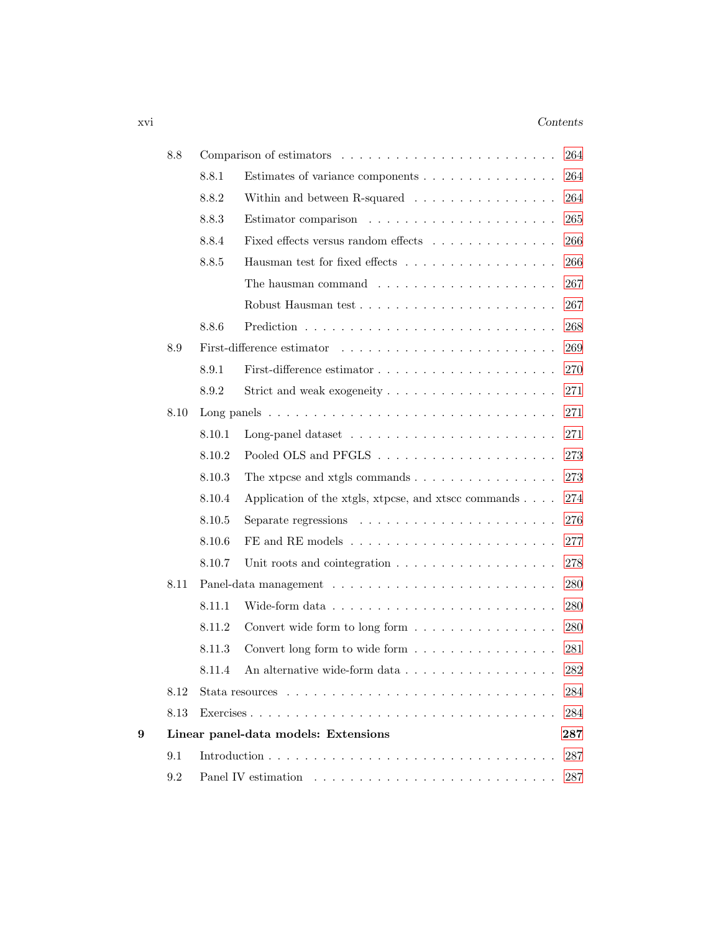### xvi *Contents*

|   | 8.8  |        | Comparison of estimators                                                                   | 264     |
|---|------|--------|--------------------------------------------------------------------------------------------|---------|
|   |      | 8.8.1  | Estimates of variance components                                                           | 264     |
|   |      | 8.8.2  | Within and between R-squared $\ldots$ ,                                                    | 264     |
|   |      | 8.8.3  |                                                                                            | 265     |
|   |      | 8.8.4  | Fixed effects versus random effects                                                        | 266     |
|   |      | 8.8.5  | Hausman test for fixed effects                                                             | 266     |
|   |      |        | The hausman command $\ldots \ldots \ldots \ldots \ldots \ldots$                            | 267     |
|   |      |        |                                                                                            | 267     |
|   |      | 8.8.6  |                                                                                            | 268     |
|   | 8.9  |        |                                                                                            | 269     |
|   |      | 8.9.1  |                                                                                            | 270     |
|   |      | 8.9.2  |                                                                                            | 271     |
|   | 8.10 |        | Long panels $\ldots \ldots \ldots \ldots \ldots \ldots \ldots \ldots \ldots \ldots \ldots$ | 271     |
|   |      | 8.10.1 |                                                                                            | 271     |
|   |      | 8.10.2 |                                                                                            | 273     |
|   |      | 8.10.3 | The xtpcse and xtgls commands $\dots \dots \dots \dots \dots$                              | 273     |
|   |      | 8.10.4 | Application of the xtgls, xtpcse, and xtscc commands                                       | 274     |
|   |      | 8.10.5 | Separate regressions $\ldots \ldots \ldots \ldots \ldots \ldots \ldots$                    | 276     |
|   |      | 8.10.6 |                                                                                            | $277\,$ |
|   |      | 8.10.7 | Unit roots and cointegration $\ldots \ldots \ldots \ldots \ldots \ldots$                   | 278     |
|   | 8.11 |        |                                                                                            | 280     |
|   |      | 8.11.1 |                                                                                            | 280     |
|   |      | 8.11.2 | Convert wide form to long form                                                             | 280     |
|   |      | 8.11.3 | Convert long form to wide form                                                             | 281     |
|   |      | 8.11.4 | An alternative wide-form data                                                              | 282     |
|   | 8.12 |        |                                                                                            | 284     |
|   | 8.13 |        |                                                                                            | 284     |
| 9 |      |        | Linear panel-data models: Extensions                                                       | 287     |
|   | 9.1  |        |                                                                                            | 287     |
|   | 9.2  |        |                                                                                            | 287     |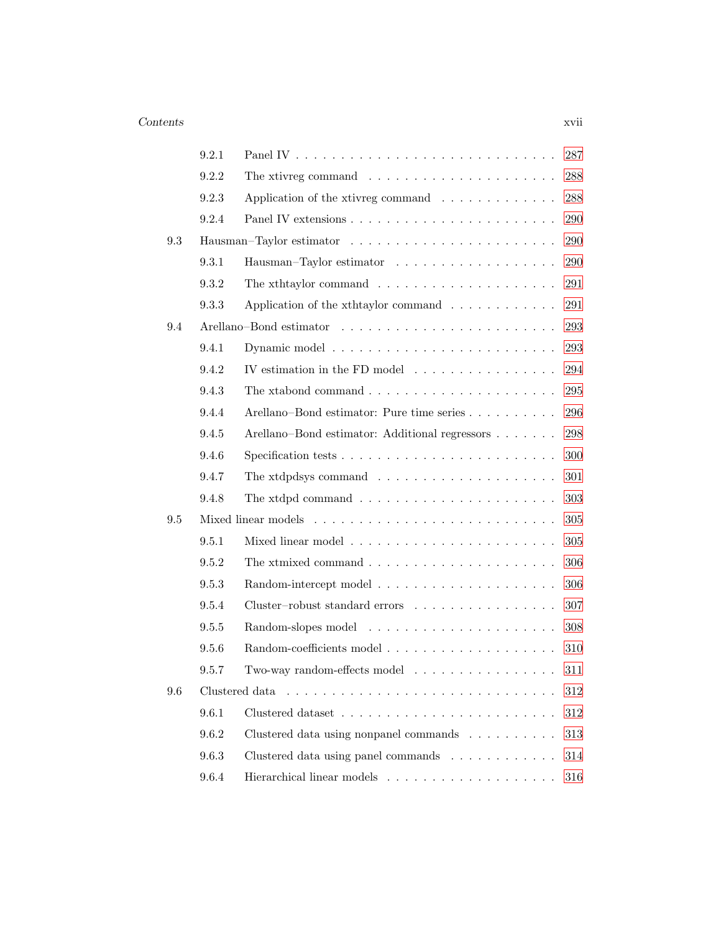|     | 9.2.1 |                                                                               | 287     |
|-----|-------|-------------------------------------------------------------------------------|---------|
|     | 9.2.2 | The xtivreg command $\ldots \ldots \ldots \ldots \ldots \ldots$               | 288     |
|     | 9.2.3 | Application of the xtivreg command                                            | 288     |
|     | 9.2.4 |                                                                               | 290     |
| 9.3 |       |                                                                               | 290     |
|     | 9.3.1 |                                                                               | 290     |
|     | 9.3.2 | The xthtaylor command $\ldots \ldots \ldots \ldots \ldots \ldots$             | 291     |
|     | 9.3.3 | Application of the xth taylor command $\ldots \ldots \ldots \ldots$           | 291     |
| 9.4 |       |                                                                               | 293     |
|     | 9.4.1 |                                                                               | 293     |
|     | 9.4.2 | IV estimation in the FD model $\ldots \ldots \ldots \ldots \ldots$            | 294     |
|     | 9.4.3 |                                                                               | 295     |
|     | 9.4.4 | Arellano–Bond estimator: Pure time series                                     | 296     |
|     | 9.4.5 | Arellano–Bond estimator: Additional regressors                                | 298     |
|     | 9.4.6 | Specification tests $\ldots \ldots \ldots \ldots \ldots \ldots \ldots \ldots$ | 300     |
|     | 9.4.7 | The xtdpdsys command $\ldots \ldots \ldots \ldots \ldots \ldots \ldots$       | 301     |
|     | 9.4.8 | The xtdpd command $\ldots \ldots \ldots \ldots \ldots \ldots \ldots$          | 303     |
| 9.5 |       |                                                                               | 305     |
|     | 9.5.1 |                                                                               | 305     |
|     | 9.5.2 | The xtmixed command $\ldots \ldots \ldots \ldots \ldots \ldots \ldots$        | 306     |
|     | 9.5.3 |                                                                               | 306     |
|     | 9.5.4 | Cluster-robust standard errors                                                | 307     |
|     | 9.5.5 |                                                                               | 308     |
|     | 9.5.6 |                                                                               | 310     |
|     | 9.5.7 | Two-way random-effects model $\dots \dots \dots \dots \dots$                  | 311     |
| 9.6 |       |                                                                               | 312     |
|     | 9.6.1 |                                                                               | $312\,$ |
|     | 9.6.2 | Clustered data using nonpanel commands                                        | 313     |
|     | 9.6.3 | Clustered data using panel commands                                           | 314     |
|     | 9.6.4 |                                                                               | 316     |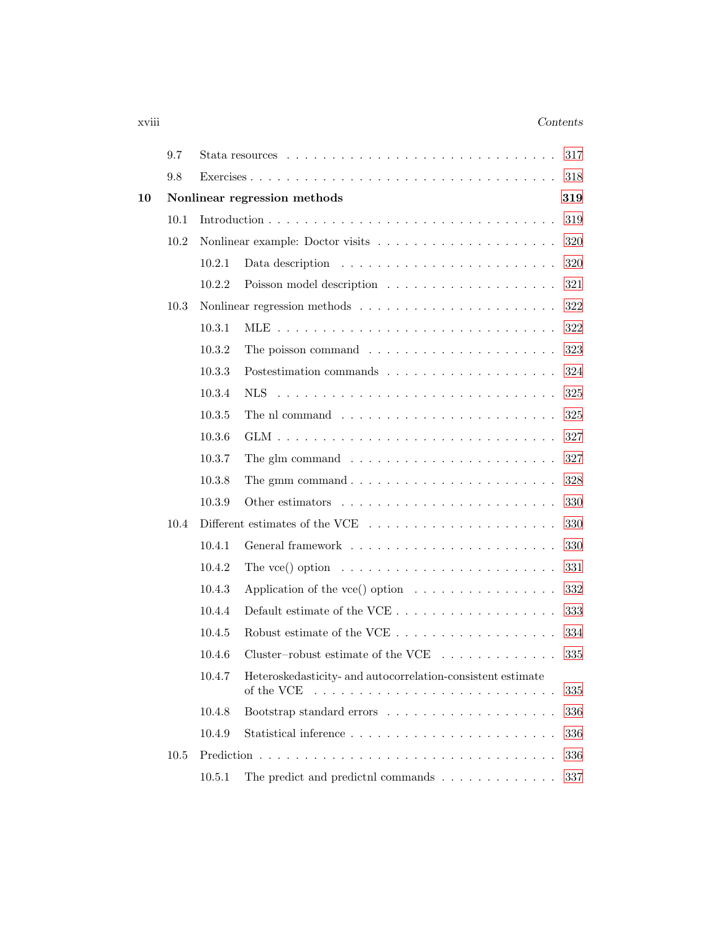### xviii *Contents*

|    | 9.7  |        | 317                                                                                      |  |
|----|------|--------|------------------------------------------------------------------------------------------|--|
|    | 9.8  |        | 318                                                                                      |  |
| 10 |      |        | Nonlinear regression methods<br>319                                                      |  |
|    | 10.1 |        | 319                                                                                      |  |
|    | 10.2 |        | 320                                                                                      |  |
|    |      | 10.2.1 | Data description $\ldots \ldots \ldots \ldots \ldots \ldots \ldots$<br>320               |  |
|    |      | 10.2.2 | Poisson model description $\ldots \ldots \ldots \ldots \ldots \ldots$<br>321             |  |
|    | 10.3 |        | 322                                                                                      |  |
|    |      | 10.3.1 | 322                                                                                      |  |
|    |      | 10.3.2 | The poisson command $\ldots \ldots \ldots \ldots \ldots \ldots \ldots$<br>323            |  |
|    |      | 10.3.3 | 324                                                                                      |  |
|    |      | 10.3.4 | 325                                                                                      |  |
|    |      | 10.3.5 | 325                                                                                      |  |
|    |      | 10.3.6 | 327                                                                                      |  |
|    |      | 10.3.7 | The glm command $\ldots \ldots \ldots \ldots \ldots \ldots \ldots \ldots$<br>327         |  |
|    |      | 10.3.8 | 328                                                                                      |  |
|    |      | 10.3.9 | 330                                                                                      |  |
|    | 10.4 |        | Different estimates of the VCE $\ldots \ldots \ldots \ldots \ldots \ldots \ldots$<br>330 |  |
|    |      | 10.4.1 | 330                                                                                      |  |
|    |      | 10.4.2 | The vce() option $\dots \dots \dots \dots \dots \dots \dots \dots \dots$<br>331          |  |
|    |      | 10.4.3 | Application of the vce() option $\dots \dots \dots \dots \dots$<br>332                   |  |
|    |      | 10.4.4 | 333                                                                                      |  |
|    |      | 10.4.5 | 334                                                                                      |  |
|    |      | 10.4.6 | Cluster-robust estimate of the VCE $\ldots \ldots \ldots \ldots$<br>335                  |  |
|    |      |        | 10.4.7 Heteroskedasticity- and autocorrelation-consistent estimate<br>of the VCE<br>335  |  |
|    |      | 10.4.8 | 336                                                                                      |  |
|    |      | 10.4.9 | 336                                                                                      |  |
|    | 10.5 |        | 336                                                                                      |  |
|    |      | 10.5.1 | The predict and predictnl commands $\ldots$<br>337                                       |  |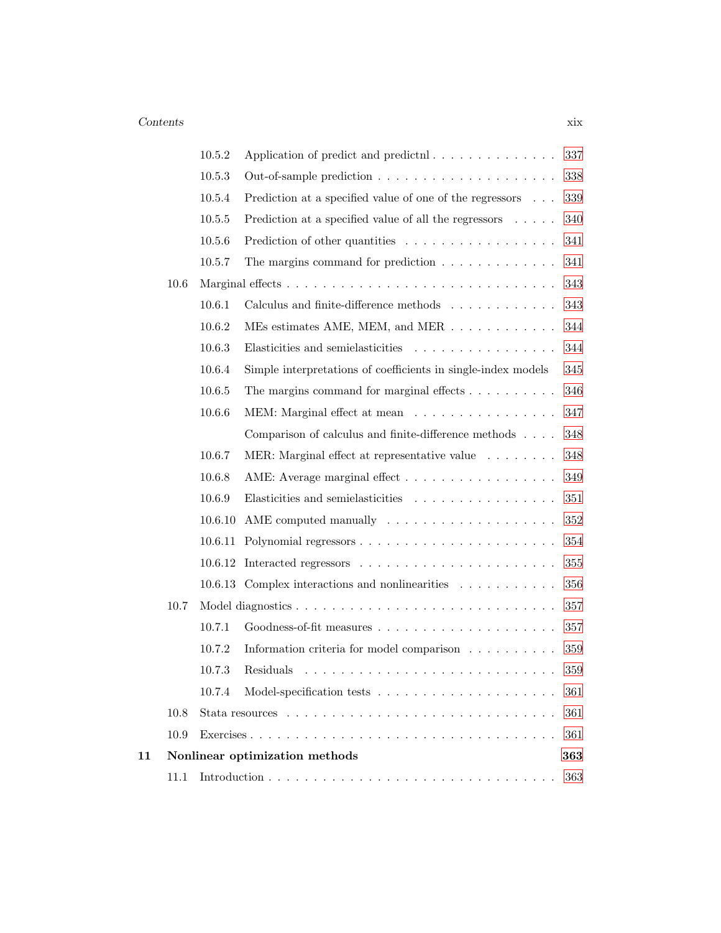|    |      | 10.5.2  | Application of predict and predictnl                                 | 337     |
|----|------|---------|----------------------------------------------------------------------|---------|
|    |      | 10.5.3  |                                                                      | 338     |
|    |      | 10.5.4  | Prediction at a specified value of one of the regressors             | 339     |
|    |      | 10.5.5  | Prediction at a specified value of all the regressors $\dots$ .      | 340     |
|    |      | 10.5.6  | Prediction of other quantities                                       | 341     |
|    |      | 10.5.7  | The margins command for prediction $\ldots \ldots \ldots \ldots$     | 341     |
|    | 10.6 |         |                                                                      | 343     |
|    |      | 10.6.1  | Calculus and finite-difference methods $\ldots \ldots \ldots \ldots$ | 343     |
|    |      | 10.6.2  | MEs estimates AME, MEM, and MER                                      | 344     |
|    |      | 10.6.3  | Elasticities and semielasticities                                    | 344     |
|    |      | 10.6.4  | Simple interpretations of coefficients in single-index models        | 345     |
|    |      | 10.6.5  | The margins command for marginal effects $\ldots \ldots \ldots$      | 346     |
|    |      | 10.6.6  | MEM: Marginal effect at mean                                         | 347     |
|    |      |         | Comparison of calculus and finite-difference methods                 | 348     |
|    |      | 10.6.7  | MER: Marginal effect at representative value                         | 348     |
|    |      | 10.6.8  | AME: Average marginal effect                                         | 349     |
|    |      | 10.6.9  | Elasticities and semielasticities                                    | 351     |
|    |      | 10.6.10 |                                                                      | $352\,$ |
|    |      |         |                                                                      | 354     |
|    |      |         |                                                                      | 355     |
|    |      |         | 10.6.13 Complex interactions and nonlinearities                      | 356     |
|    | 10.7 |         |                                                                      | 357     |
|    |      | 10.7.1  |                                                                      | 357     |
|    |      | 10.7.2  | Information criteria for model comparison                            | 359     |
|    |      | 10.7.3  |                                                                      | 359     |
|    |      | 10.7.4  |                                                                      | 361     |
|    | 10.8 |         |                                                                      | 361     |
|    | 10.9 |         |                                                                      | 361     |
| 11 |      |         | Nonlinear optimization methods                                       | 363     |
|    | 11.1 |         |                                                                      | 363     |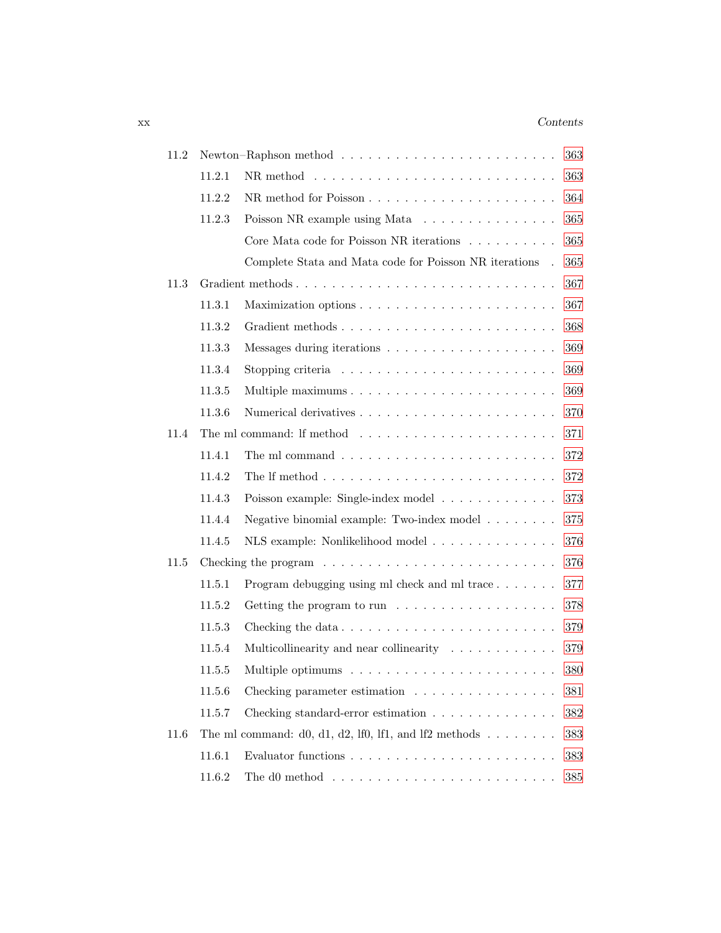### xx *Contents*

| 11.2 |        |                                                                                       | 363     |
|------|--------|---------------------------------------------------------------------------------------|---------|
|      | 11.2.1 |                                                                                       | 363     |
|      | 11.2.2 |                                                                                       | 364     |
|      | 11.2.3 | Poisson NR example using Mata                                                         | 365     |
|      |        | Core Mata code for Poisson NR iterations                                              | 365     |
|      |        | Complete Stata and Mata code for Poisson NR iterations .                              | 365     |
| 11.3 |        | Gradient methods                                                                      | 367     |
|      | 11.3.1 |                                                                                       | 367     |
|      | 11.3.2 |                                                                                       | 368     |
|      | 11.3.3 |                                                                                       | 369     |
|      | 11.3.4 | Stopping criteria $\ldots \ldots \ldots \ldots \ldots \ldots \ldots \ldots$           | 369     |
|      | 11.3.5 |                                                                                       | 369     |
|      | 11.3.6 |                                                                                       | 370     |
| 11.4 |        | The ml command: If method $\dots \dots \dots \dots \dots \dots \dots \dots$           | 371     |
|      | 11.4.1 |                                                                                       | 372     |
|      | 11.4.2 |                                                                                       | 372     |
|      | 11.4.3 | Poisson example: Single-index model                                                   | 373     |
|      | 11.4.4 | Negative binomial example: Two-index model                                            | $375\,$ |
|      | 11.4.5 | NLS example: Nonlikelihood model                                                      | 376     |
| 11.5 |        | Checking the program $\ldots \ldots \ldots \ldots \ldots \ldots \ldots \ldots \ldots$ | 376     |
|      | 11.5.1 | Program debugging using ml check and ml trace                                         | 377     |
|      | 11.5.2 |                                                                                       | 378     |
|      | 11.5.3 | Checking the data                                                                     | 379     |
|      | 11.5.4 | Multicollinearity and near collinearity                                               | 379     |
|      | 11.5.5 |                                                                                       | 380     |
|      | 11.5.6 | Checking parameter estimation                                                         | 381     |
|      | 11.5.7 | Checking standard-error estimation $\ldots \ldots \ldots \ldots$                      | 382     |
| 11.6 |        | The ml command: d0, d1, d2, lf0, lf1, and lf2 methods $\ldots \ldots$                 | 383     |
|      | 11.6.1 |                                                                                       | 383     |
|      | 11.6.2 | The d0 method $\ldots \ldots \ldots \ldots \ldots \ldots \ldots \ldots \ldots$        | 385     |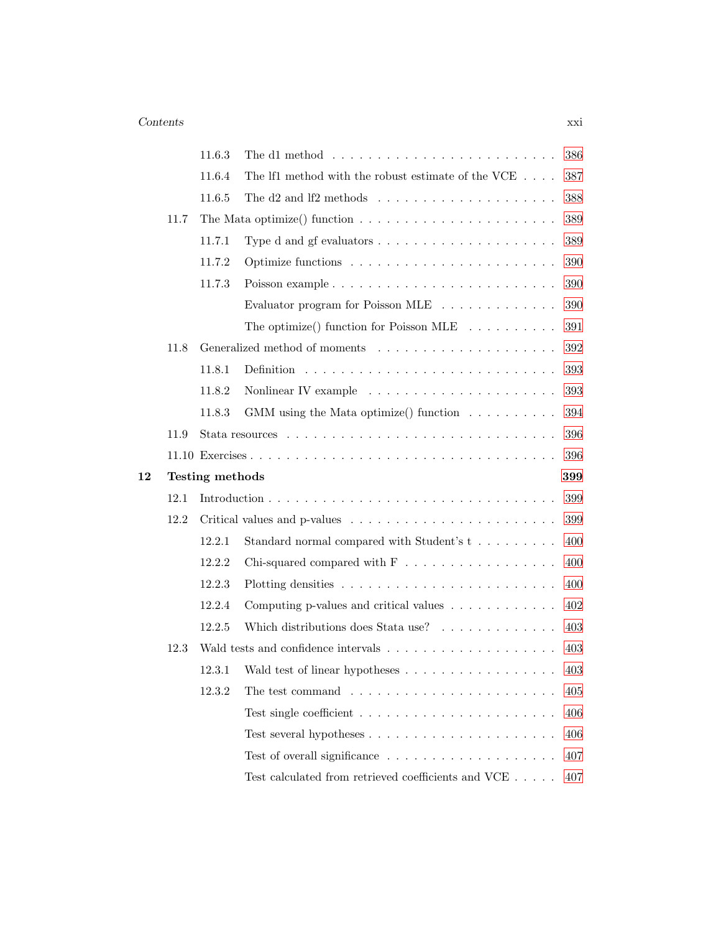|    |      | 11.6.3          | The d1 method $\ldots \ldots \ldots \ldots \ldots \ldots \ldots \ldots \ldots$ | 386 |
|----|------|-----------------|--------------------------------------------------------------------------------|-----|
|    |      | 11.6.4          | The lf1 method with the robust estimate of the VCE $\dots$ .                   | 387 |
|    |      | 11.6.5          | The d2 and lf2 methods $\dots \dots \dots \dots \dots \dots \dots$             | 388 |
|    | 11.7 |                 | The Mata optimize() function $\dots \dots \dots \dots \dots \dots \dots \dots$ | 389 |
|    |      | 11.7.1          |                                                                                | 389 |
|    |      | 11.7.2          |                                                                                | 390 |
|    |      | 11.7.3          |                                                                                | 390 |
|    |      |                 | Evaluator program for Poisson MLE                                              | 390 |
|    |      |                 | The optimize() function for Poisson MLE $\ldots \ldots \ldots$                 | 391 |
|    | 11.8 |                 |                                                                                | 392 |
|    |      | 11.8.1          |                                                                                | 393 |
|    |      | 11.8.2          | Nonlinear IV example $\dots \dots \dots \dots \dots \dots \dots \dots$         | 393 |
|    |      | 11.8.3          | GMM using the Mata optimize() function $\ldots \ldots \ldots$                  | 394 |
|    | 11.9 |                 |                                                                                | 396 |
|    |      |                 |                                                                                | 396 |
|    |      |                 |                                                                                |     |
| 12 |      | Testing methods |                                                                                | 399 |
|    | 12.1 |                 |                                                                                | 399 |
|    | 12.2 |                 |                                                                                | 399 |
|    |      | 12.2.1          | Standard normal compared with Student's t                                      | 400 |
|    |      | 12.2.2          | Chi-squared compared with $F \dots \dots \dots \dots \dots \dots$              | 400 |
|    |      | 12.2.3          |                                                                                | 400 |
|    |      | 12.2.4          | Computing p-values and critical values $\ldots \ldots \ldots \ldots$           | 402 |
|    |      | 12.2.5          | Which distributions does Stata use?                                            | 403 |
|    | 12.3 |                 |                                                                                | 403 |
|    |      | 12.3.1          | Wald test of linear hypotheses                                                 | 403 |
|    |      | 12.3.2          | The test command $\ldots \ldots \ldots \ldots \ldots \ldots \ldots$            | 405 |
|    |      |                 |                                                                                | 406 |
|    |      |                 |                                                                                | 406 |
|    |      |                 |                                                                                | 407 |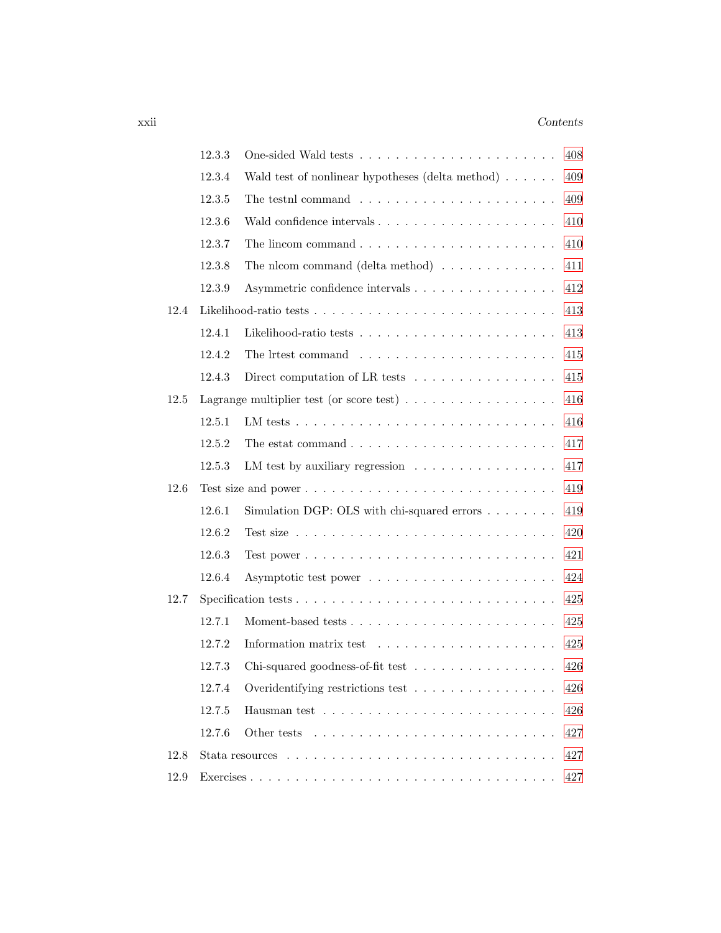### xxii *Contents*

|      | 12.3.3 |                                                                                  | 408 |
|------|--------|----------------------------------------------------------------------------------|-----|
|      | 12.3.4 | Wald test of nonlinear hypotheses (delta method) $\ldots \ldots$                 | 409 |
|      | 12.3.5 | The testnl command $\ldots \ldots \ldots \ldots \ldots \ldots \ldots$            | 409 |
|      | 12.3.6 | Wald confidence intervals                                                        | 410 |
|      | 12.3.7 |                                                                                  | 410 |
|      | 12.3.8 | The nicom command (delta method) $\ldots \ldots \ldots \ldots$                   | 411 |
|      | 12.3.9 | Asymmetric confidence intervals                                                  | 412 |
| 12.4 |        |                                                                                  | 413 |
|      | 12.4.1 |                                                                                  | 413 |
|      | 12.4.2 |                                                                                  | 415 |
|      | 12.4.3 | Direct computation of LR tests $\dots \dots \dots \dots \dots \dots$             | 415 |
| 12.5 |        | Lagrange multiplier test (or score test) $\dots \dots \dots \dots \dots \dots$   | 416 |
|      | 12.5.1 | LM tests $\ldots \ldots \ldots \ldots \ldots \ldots \ldots \ldots \ldots \ldots$ | 416 |
|      | 12.5.2 | The estat command $\ldots \ldots \ldots \ldots \ldots \ldots \ldots \ldots$      | 417 |
|      | 12.5.3 | LM test by auxiliary regression                                                  | 417 |
| 12.6 |        |                                                                                  | 419 |
|      | 12.6.1 | Simulation DGP: OLS with chi-squared errors $\ldots \ldots$                      | 419 |
|      | 12.6.2 |                                                                                  | 420 |
|      | 12.6.3 |                                                                                  | 421 |
|      | 12.6.4 |                                                                                  | 424 |
| 12.7 |        |                                                                                  | 425 |
|      | 12.7.1 |                                                                                  | 425 |
|      | 12.7.2 |                                                                                  | 425 |
|      | 12.7.3 | Chi-squared goodness-of-fit test                                                 | 426 |
|      | 12.7.4 | Overidentifying restrictions test                                                | 426 |
|      | 12.7.5 |                                                                                  | 426 |
|      | 12.7.6 |                                                                                  | 427 |
| 12.8 |        |                                                                                  | 427 |
| 12.9 |        |                                                                                  | 427 |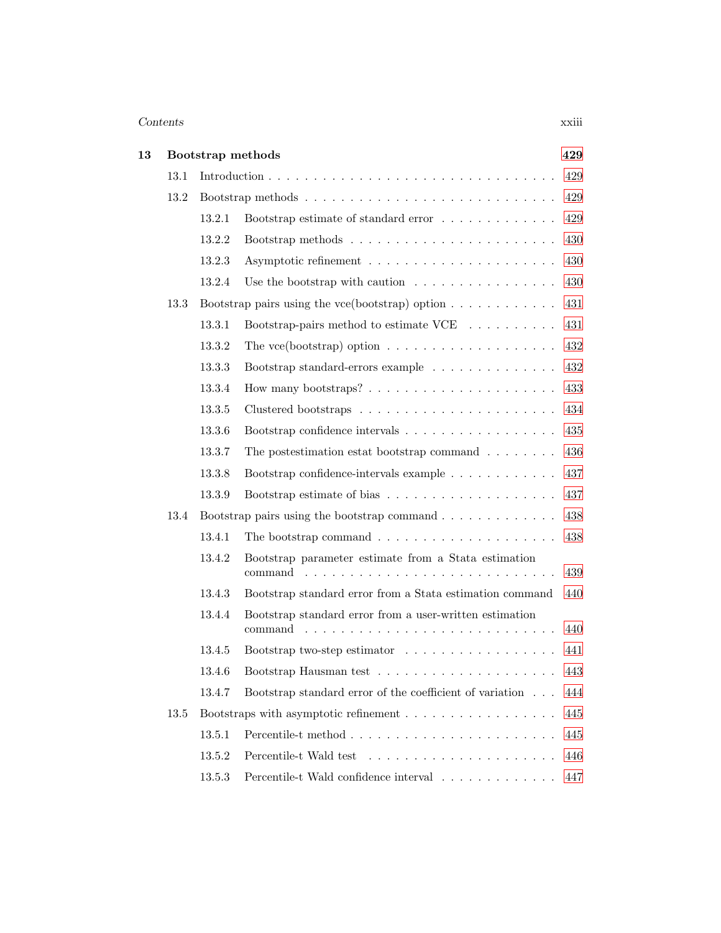### *Contents* xxiii

| 13 |      |        | Bootstrap methods                                                                                              | 429 |
|----|------|--------|----------------------------------------------------------------------------------------------------------------|-----|
|    | 13.1 |        |                                                                                                                | 429 |
|    | 13.2 |        |                                                                                                                | 429 |
|    |      | 13.2.1 | Bootstrap estimate of standard error                                                                           | 429 |
|    |      | 13.2.2 | Bootstrap methods $\ldots \ldots \ldots \ldots \ldots \ldots \ldots$                                           | 430 |
|    |      | 13.2.3 |                                                                                                                | 430 |
|    |      | 13.2.4 | Use the bootstrap with caution $\ldots \ldots \ldots \ldots \ldots$                                            | 430 |
|    | 13.3 |        | Bootstrap pairs using the vce (bootstrap) option $\ldots \ldots \ldots \ldots$                                 | 431 |
|    |      | 13.3.1 | Bootstrap-pairs method to estimate $VCE$                                                                       | 431 |
|    |      | 13.3.2 | The vce(bootstrap) option $\ldots \ldots \ldots \ldots \ldots \ldots$                                          | 432 |
|    |      | 13.3.3 | Bootstrap standard-errors example                                                                              | 432 |
|    |      | 13.3.4 | How many bootstraps? $\ldots \ldots \ldots \ldots \ldots \ldots$                                               | 433 |
|    |      | 13.3.5 |                                                                                                                | 434 |
|    |      | 13.3.6 |                                                                                                                | 435 |
|    |      | 13.3.7 | The postestimation estat bootstrap command $\ldots \ldots$                                                     | 436 |
|    |      | 13.3.8 | Bootstrap confidence-intervals example $\ldots \ldots \ldots \ldots$                                           | 437 |
|    |      | 13.3.9 |                                                                                                                | 437 |
|    | 13.4 |        | Bootstrap pairs using the bootstrap command $\ldots \ldots \ldots \ldots$                                      | 438 |
|    |      | 13.4.1 | The bootstrap command $\ldots \ldots \ldots \ldots \ldots \ldots$                                              | 438 |
|    |      | 13.4.2 | Bootstrap parameter estimate from a Stata estimation<br>command<br>$\mathcal{L}^{\pm}$ and $\mathcal{L}^{\pm}$ | 439 |
|    |      | 13.4.3 | Bootstrap standard error from a Stata estimation command                                                       | 440 |
|    |      | 13.4.4 | Bootstrap standard error from a user-written estimation<br>command                                             | 440 |
|    |      | 13.4.5 | Bootstrap two-step estimator                                                                                   | 441 |
|    |      | 13.4.6 |                                                                                                                | 443 |
|    |      | 13.4.7 | Bootstrap standard error of the coefficient of variation                                                       | 444 |
|    | 13.5 |        | Bootstraps with asymptotic refinement $\ldots \ldots \ldots \ldots \ldots$                                     | 445 |
|    |      | 13.5.1 |                                                                                                                | 445 |
|    |      | 13.5.2 |                                                                                                                | 446 |
|    |      | 13.5.3 | Percentile-t Wald confidence interval                                                                          | 447 |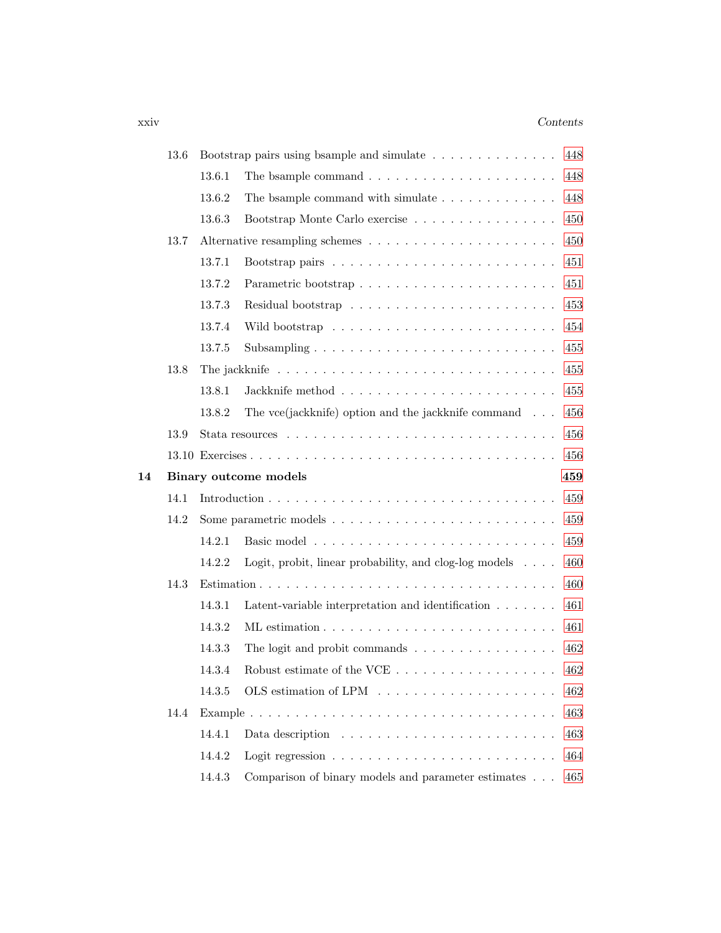### xxiv *Contents*

|    | 13.6 |        | Bootstrap pairs using bsample and simulate                             | 448 |
|----|------|--------|------------------------------------------------------------------------|-----|
|    |      | 13.6.1 | The bsample command $\ldots \ldots \ldots \ldots \ldots \ldots \ldots$ | 448 |
|    |      | 13.6.2 | The bsample command with simulate $\ldots$ ,                           | 448 |
|    |      | 13.6.3 | Bootstrap Monte Carlo exercise                                         | 450 |
|    | 13.7 |        |                                                                        | 450 |
|    |      | 13.7.1 |                                                                        | 451 |
|    |      | 13.7.2 | Parametric bootstrap                                                   | 451 |
|    |      | 13.7.3 |                                                                        | 453 |
|    |      | 13.7.4 |                                                                        | 454 |
|    |      | 13.7.5 |                                                                        | 455 |
|    | 13.8 |        |                                                                        | 455 |
|    |      | 13.8.1 |                                                                        | 455 |
|    |      | 13.8.2 | The vce(jackknife) option and the jackknife command $\ldots$           | 456 |
|    | 13.9 |        |                                                                        | 456 |
|    |      |        |                                                                        | 456 |
|    |      |        |                                                                        |     |
| 14 |      |        | Binary outcome models                                                  | 459 |
|    | 14.1 |        |                                                                        | 459 |
|    | 14.2 |        |                                                                        | 459 |
|    |      | 14.2.1 |                                                                        | 459 |
|    |      | 14.2.2 | Logit, probit, linear probability, and clog-log models $\dots$ .       | 460 |
|    | 14.3 |        |                                                                        | 460 |
|    |      | 14.3.1 | Latent-variable interpretation and identification $\ldots \ldots$      | 461 |
|    |      | 14.3.2 |                                                                        | 461 |
|    |      | 14.3.3 | The logit and probit commands $\dots \dots \dots \dots \dots \dots$    | 462 |
|    |      | 14.3.4 | Robust estimate of the VCE $\dots \dots \dots \dots \dots \dots$       | 462 |
|    |      | 14.3.5 |                                                                        | 462 |
|    | 14.4 |        |                                                                        | 463 |
|    |      | 14.4.1 |                                                                        | 463 |
|    |      | 14.4.2 |                                                                        | 464 |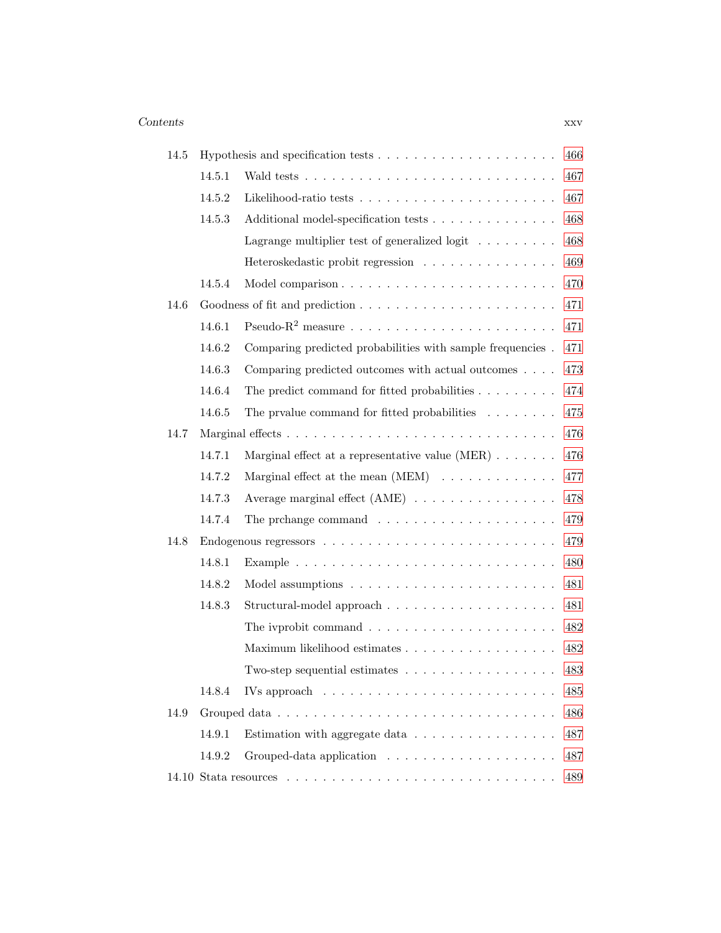| 14.5 |        |                                                                                                      | 466 |
|------|--------|------------------------------------------------------------------------------------------------------|-----|
|      | 14.5.1 |                                                                                                      | 467 |
|      | 14.5.2 |                                                                                                      | 467 |
|      | 14.5.3 | Additional model-specification tests                                                                 | 468 |
|      |        | Lagrange multiplier test of generalized logit $\ldots \ldots \ldots$                                 | 468 |
|      |        | Heteroskedastic probit regression                                                                    | 469 |
|      | 14.5.4 |                                                                                                      | 470 |
| 14.6 |        |                                                                                                      | 471 |
|      | 14.6.1 |                                                                                                      | 471 |
|      | 14.6.2 | Comparing predicted probabilities with sample frequencies.                                           | 471 |
|      | 14.6.3 | Comparing predicted outcomes with actual outcomes                                                    | 473 |
|      | 14.6.4 | The predict command for fitted probabilities $\ldots \ldots \ldots$                                  | 474 |
|      | 14.6.5 | The prvalue command for fitted probabilities $\ldots \ldots$                                         | 475 |
| 14.7 |        |                                                                                                      | 476 |
|      | 14.7.1 | Marginal effect at a representative value $(MER) \ldots \ldots$                                      | 476 |
|      | 14.7.2 | Marginal effect at the mean $(MEM) \dots \dots \dots \dots$                                          | 477 |
|      | 14.7.3 | Average marginal effect $(AME) \dots \dots \dots \dots \dots$                                        | 478 |
|      | 14.7.4 | The prchange command $\ldots \ldots \ldots \ldots \ldots \ldots \ldots$                              | 479 |
| 14.8 |        |                                                                                                      | 479 |
|      | 14.8.1 |                                                                                                      | 480 |
|      | 14.8.2 |                                                                                                      | 481 |
|      | 14.8.3 |                                                                                                      | 481 |
|      |        |                                                                                                      | 482 |
|      |        | Maximum likelihood estimates                                                                         | 482 |
|      |        | Two-step sequential estimates $\ldots \ldots \ldots \ldots \ldots$                                   | 483 |
|      | 14.8.4 | IVs approach $\ldots \ldots \ldots \ldots \ldots \ldots \ldots \ldots \ldots$                        | 485 |
| 14.9 |        |                                                                                                      | 486 |
|      | 14.9.1 | Estimation with aggregate data $\ldots \ldots \ldots \ldots \ldots$                                  | 487 |
|      | 14.9.2 |                                                                                                      | 487 |
|      |        | 14.10 Stata resources $\ldots \ldots \ldots \ldots \ldots \ldots \ldots \ldots \ldots \ldots \ldots$ | 489 |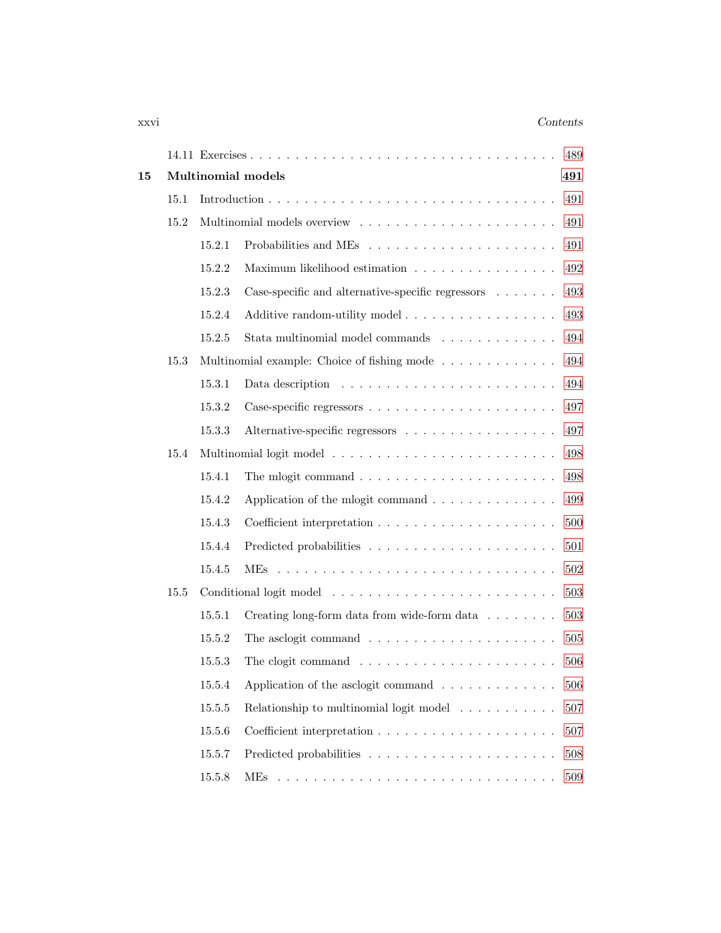### xxvi *Contents*

|    |      |        |                                                                                                                                                                                                                                      | 489 |
|----|------|--------|--------------------------------------------------------------------------------------------------------------------------------------------------------------------------------------------------------------------------------------|-----|
| 15 |      |        | Multinomial models                                                                                                                                                                                                                   | 491 |
|    | 15.1 |        |                                                                                                                                                                                                                                      | 491 |
|    | 15.2 |        |                                                                                                                                                                                                                                      | 491 |
|    |      | 15.2.1 |                                                                                                                                                                                                                                      | 491 |
|    |      | 15.2.2 | Maximum likelihood estimation                                                                                                                                                                                                        | 492 |
|    |      | 15.2.3 | Case-specific and alternative-specific regressors $\ldots \ldots$                                                                                                                                                                    | 493 |
|    |      | 15.2.4 | Additive random-utility model                                                                                                                                                                                                        | 493 |
|    |      | 15.2.5 | Stata multinomial model commands                                                                                                                                                                                                     | 494 |
|    | 15.3 |        | Multinomial example: Choice of fishing mode                                                                                                                                                                                          | 494 |
|    |      | 15.3.1 |                                                                                                                                                                                                                                      | 494 |
|    |      | 15.3.2 |                                                                                                                                                                                                                                      | 497 |
|    |      | 15.3.3 | Alternative-specific regressors                                                                                                                                                                                                      | 497 |
|    | 15.4 |        |                                                                                                                                                                                                                                      | 498 |
|    |      | 15.4.1 |                                                                                                                                                                                                                                      | 498 |
|    |      | 15.4.2 | Application of the mlogit command                                                                                                                                                                                                    | 499 |
|    |      | 15.4.3 |                                                                                                                                                                                                                                      | 500 |
|    |      | 15.4.4 |                                                                                                                                                                                                                                      | 501 |
|    |      | 15.4.5 |                                                                                                                                                                                                                                      | 502 |
|    | 15.5 |        |                                                                                                                                                                                                                                      | 503 |
|    |      | 15.5.1 | Creating long-form data from wide-form data $\ldots \ldots$                                                                                                                                                                          | 503 |
|    |      | 15.5.2 |                                                                                                                                                                                                                                      | 505 |
|    |      | 15.5.3 |                                                                                                                                                                                                                                      | 506 |
|    |      | 15.5.4 | Application of the asclogit command $\ldots \ldots \ldots \ldots$                                                                                                                                                                    | 506 |
|    |      | 15.5.5 | Relationship to multinomial logit model $\ldots \ldots \ldots$                                                                                                                                                                       | 507 |
|    |      | 15.5.6 |                                                                                                                                                                                                                                      | 507 |
|    |      | 15.5.7 |                                                                                                                                                                                                                                      | 508 |
|    |      | 15.5.8 | MEs<br>a construction of the construction of the construction of the construction of the construction of the construction of the construction of the construction of the construction of the construction of the construction of the | 509 |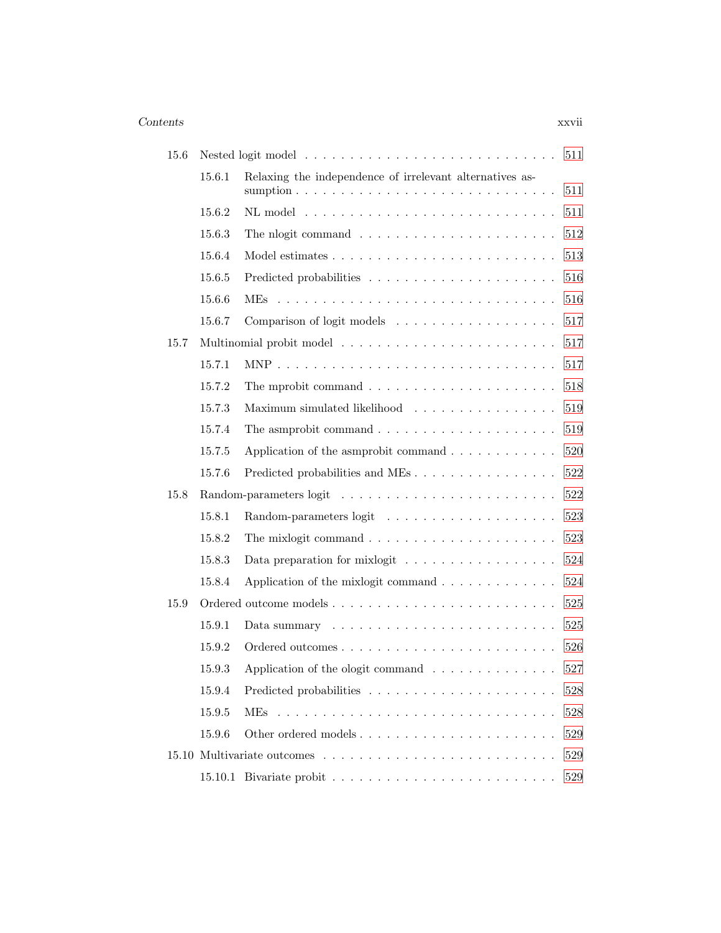#### *Contents* xxvii

| 15.6 |        |                                                                          | 511 |
|------|--------|--------------------------------------------------------------------------|-----|
|      | 15.6.1 | Relaxing the independence of irrelevant alternatives as-                 | 511 |
|      | 15.6.2 |                                                                          | 511 |
|      | 15.6.3 |                                                                          | 512 |
|      | 15.6.4 |                                                                          | 513 |
|      | 15.6.5 |                                                                          | 516 |
|      | 15.6.6 |                                                                          | 516 |
|      | 15.6.7 |                                                                          | 517 |
| 15.7 |        |                                                                          | 517 |
|      | 15.7.1 |                                                                          | 517 |
|      | 15.7.2 | The mprobit command $\ldots \ldots \ldots \ldots \ldots \ldots \ldots$   | 518 |
|      | 15.7.3 | Maximum simulated likelihood                                             | 519 |
|      | 15.7.4 | The asmprobit command $\ldots \ldots \ldots \ldots \ldots \ldots \ldots$ | 519 |
|      | 15.7.5 | Application of the asmprobit command                                     | 520 |
|      | 15.7.6 | Predicted probabilities and MEs                                          | 522 |
| 15.8 |        |                                                                          | 522 |
|      | 15.8.1 |                                                                          | 523 |
|      | 15.8.2 |                                                                          | 523 |
|      | 15.8.3 | Data preparation for mixlogit $\dots \dots \dots \dots \dots \dots$      | 524 |
|      | 15.8.4 | Application of the mixlogit command                                      | 524 |
| 15.9 |        |                                                                          | 525 |
|      | 15.9.1 |                                                                          | 525 |
|      | 15.9.2 |                                                                          | 526 |
|      | 15.9.3 | Application of the ologit command $\ldots \ldots \ldots \ldots$          | 527 |
|      | 15.9.4 |                                                                          | 528 |
|      | 15.9.5 | <b>MEs</b>                                                               | 528 |
|      | 15.9.6 | Other ordered models                                                     | 529 |
|      |        |                                                                          | 529 |
|      |        |                                                                          | 529 |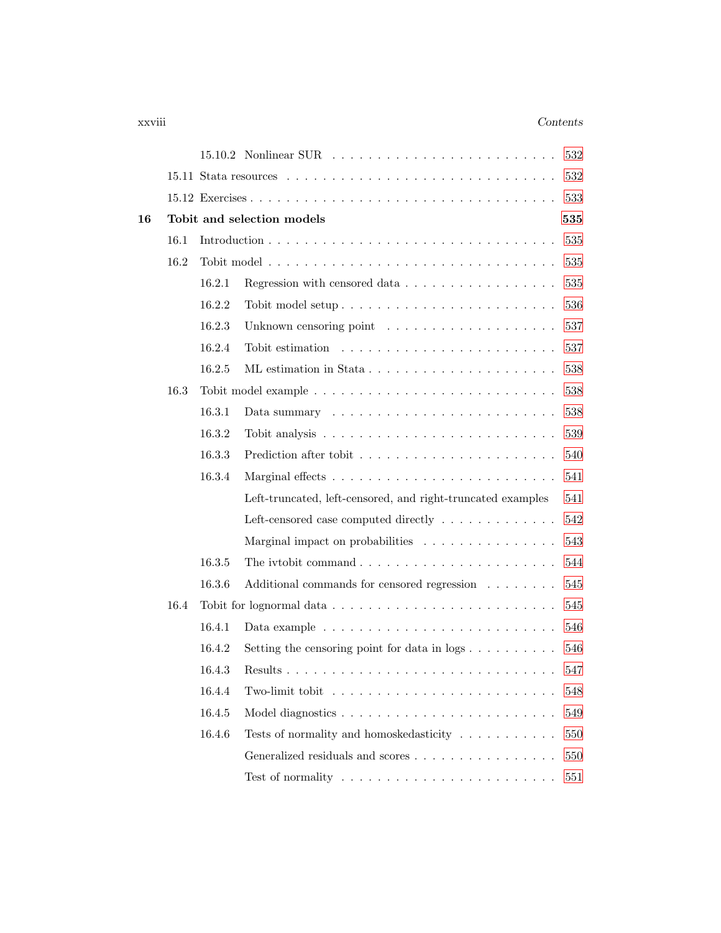### xxviii *Contents*

|    |      |        | $15.10.2$ Nonlinear SUR $\ldots \ldots \ldots \ldots \ldots \ldots \ldots \ldots$  | 532 |
|----|------|--------|------------------------------------------------------------------------------------|-----|
|    |      |        |                                                                                    | 532 |
|    |      |        |                                                                                    | 533 |
| 16 |      |        | Tobit and selection models                                                         | 535 |
|    | 16.1 |        |                                                                                    | 535 |
|    | 16.2 |        |                                                                                    | 535 |
|    |      | 16.2.1 | Regression with censored data                                                      | 535 |
|    |      | 16.2.2 |                                                                                    | 536 |
|    |      | 16.2.3 |                                                                                    | 537 |
|    |      | 16.2.4 |                                                                                    | 537 |
|    |      | 16.2.5 |                                                                                    | 538 |
|    | 16.3 |        |                                                                                    | 538 |
|    |      | 16.3.1 |                                                                                    | 538 |
|    |      | 16.3.2 |                                                                                    | 539 |
|    |      | 16.3.3 |                                                                                    | 540 |
|    |      | 16.3.4 |                                                                                    | 541 |
|    |      |        | Left-truncated, left-censored, and right-truncated examples                        | 541 |
|    |      |        | Left-censored case computed directly $\dots \dots \dots \dots$                     | 542 |
|    |      |        | Marginal impact on probabilities                                                   | 543 |
|    |      | 16.3.5 |                                                                                    | 544 |
|    |      | 16.3.6 | Additional commands for censored regression                                        | 545 |
|    | 16.4 |        |                                                                                    | 545 |
|    |      | 16.4.1 |                                                                                    | 546 |
|    |      | 16.4.2 | Setting the censoring point for data in $\log s$                                   | 546 |
|    |      | 16.4.3 |                                                                                    | 547 |
|    |      | 16.4.4 | Two-limit tobit $\ldots \ldots \ldots \ldots \ldots \ldots \ldots \ldots \ldots$   | 548 |
|    |      | 16.4.5 |                                                                                    | 549 |
|    |      | 16.4.6 | Tests of normality and homosked<br>asticity $\hfill\ldots\ldots\ldots\ldots\ldots$ | 550 |
|    |      |        | Generalized residuals and scores                                                   | 550 |
|    |      |        | Test of normality $\dots \dots \dots \dots \dots \dots \dots \dots \dots \dots$    | 551 |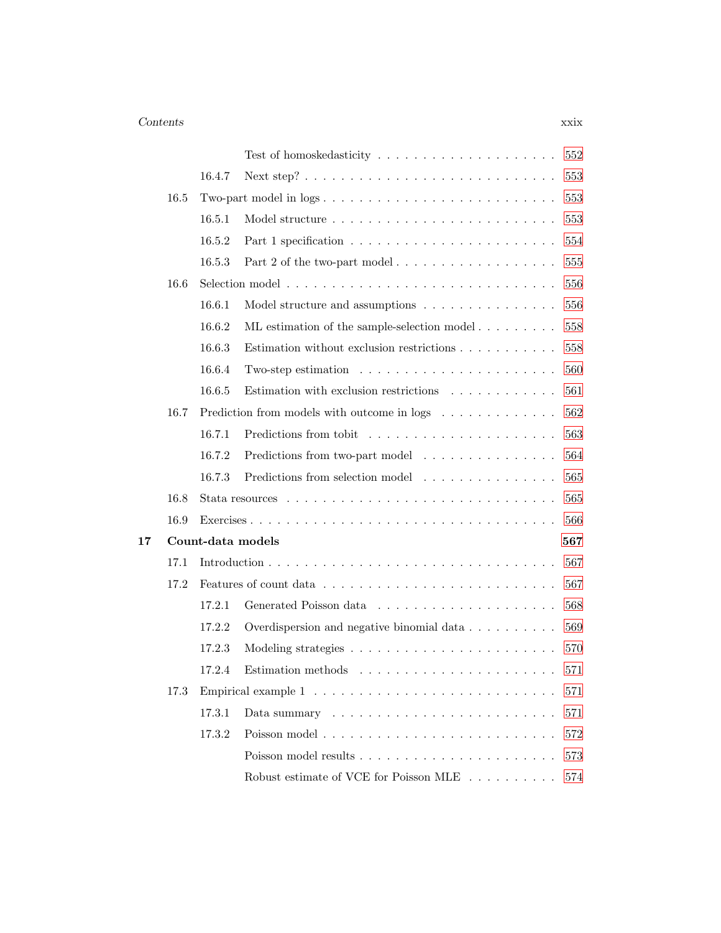### *Contents* xxix

|    |      |        | 552                                                                                  |
|----|------|--------|--------------------------------------------------------------------------------------|
|    |      | 16.4.7 | 553                                                                                  |
|    | 16.5 |        | Two-part model in logs<br>553                                                        |
|    |      | 16.5.1 | 553                                                                                  |
|    |      | 16.5.2 | 554                                                                                  |
|    |      | 16.5.3 | Part 2 of the two-part model<br>555                                                  |
|    | 16.6 |        | 556                                                                                  |
|    |      | 16.6.1 | 556<br>Model structure and assumptions                                               |
|    |      | 16.6.2 | 558<br>ML estimation of the sample-selection model                                   |
|    |      | 16.6.3 | 558<br>Estimation without exclusion restrictions $\ldots \ldots \ldots \ldots$       |
|    |      | 16.6.4 | Two-step estimation $\ldots \ldots \ldots \ldots \ldots \ldots \ldots$<br>560        |
|    |      | 16.6.5 | Estimation with exclusion restrictions $\hfill\ldots\ldots\ldots\ldots\ldots$<br>561 |
|    | 16.7 |        | Prediction from models with outcome in logs<br>562                                   |
|    |      | 16.7.1 | 563                                                                                  |
|    |      | 16.7.2 | 564<br>Predictions from two-part model                                               |
|    |      | 16.7.3 | Predictions from selection model<br>565                                              |
|    | 16.8 |        | 565                                                                                  |
|    | 16.9 |        | 566                                                                                  |
| 17 |      |        | Count-data models<br>567                                                             |
|    | 17.1 |        | 567                                                                                  |
|    | 17.2 |        | 567                                                                                  |
|    |      | 17.2.1 | 568                                                                                  |
|    |      | 17.2.2 | Overdispersion and negative binomial data<br>569                                     |
|    |      | 17.2.3 | 570                                                                                  |
|    |      | 17.2.4 | Estimation methods $\dots \dots \dots \dots \dots \dots \dots \dots$<br>571          |
|    | 17.3 |        | 571                                                                                  |
|    |      | 17.3.1 | 571<br>Data summary $\dots \dots \dots \dots \dots \dots \dots \dots \dots \dots$    |
|    |      | 17.3.2 | 572                                                                                  |
|    |      |        | 573                                                                                  |
|    |      |        | Robust estimate of VCE for Poisson MLE<br>574                                        |
|    |      |        |                                                                                      |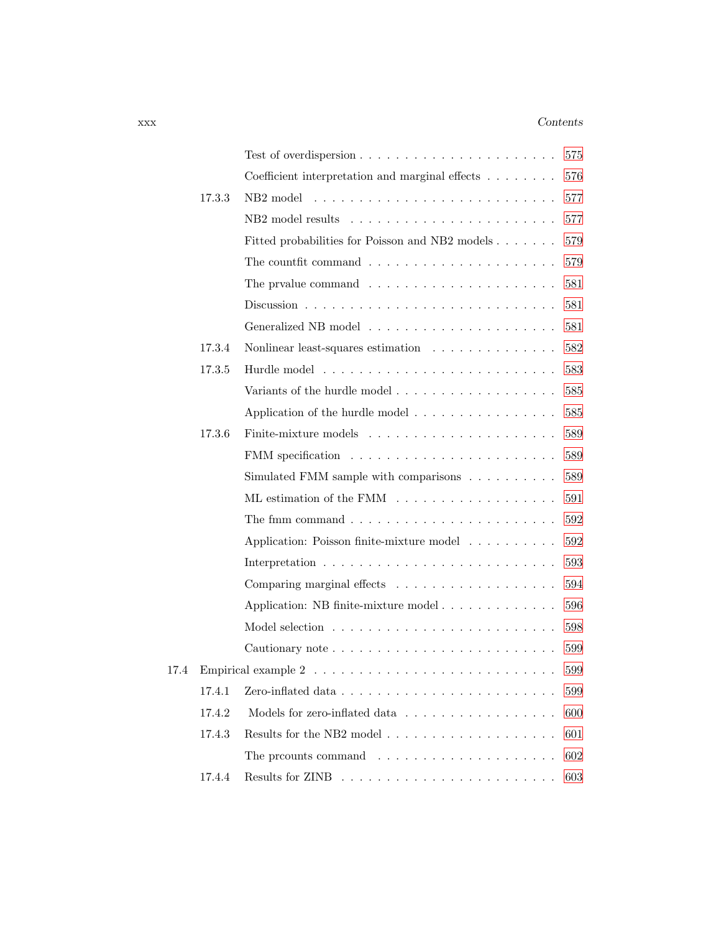### xxx *Contents*

|      |        | Test of overdispersion $\ldots \ldots \ldots \ldots \ldots \ldots \ldots \ldots$    | 575 |
|------|--------|-------------------------------------------------------------------------------------|-----|
|      |        | Coefficient interpretation and marginal effects $\ldots \ldots$                     | 576 |
|      | 17.3.3 | NB <sub>2</sub> model                                                               | 577 |
|      |        |                                                                                     | 577 |
|      |        | Fitted probabilities for Poisson and NB2 models                                     | 579 |
|      |        | The countfit command $\ldots \ldots \ldots \ldots \ldots \ldots \ldots$             | 579 |
|      |        | The prvalue command $\ldots \ldots \ldots \ldots \ldots \ldots \ldots$              | 581 |
|      |        |                                                                                     | 581 |
|      |        |                                                                                     | 581 |
|      | 17.3.4 | Nonlinear least-squares estimation $\ldots \ldots \ldots \ldots$                    | 582 |
|      | 17.3.5 |                                                                                     | 583 |
|      |        |                                                                                     | 585 |
|      |        | Application of the hurdle model $\dots \dots \dots \dots \dots$                     | 585 |
|      | 17.3.6 |                                                                                     | 589 |
|      |        |                                                                                     | 589 |
|      |        | Simulated FMM sample with comparisons                                               | 589 |
|      |        |                                                                                     | 591 |
|      |        |                                                                                     | 592 |
|      |        | Application: Poisson finite-mixture model                                           | 592 |
|      |        |                                                                                     | 593 |
|      |        |                                                                                     | 594 |
|      |        | Application: NB finite-mixture model                                                | 596 |
|      |        |                                                                                     | 598 |
|      |        |                                                                                     | 599 |
| 17.4 |        |                                                                                     | 599 |
|      | 17.4.1 | Zero-inflated data $\ldots \ldots \ldots \ldots \ldots \ldots \ldots \ldots \ldots$ | 599 |
|      | 17.4.2 | Models for zero-inflated data                                                       | 600 |
|      | 17.4.3 |                                                                                     | 601 |
|      |        |                                                                                     | 602 |
|      | 17.4.4 |                                                                                     | 603 |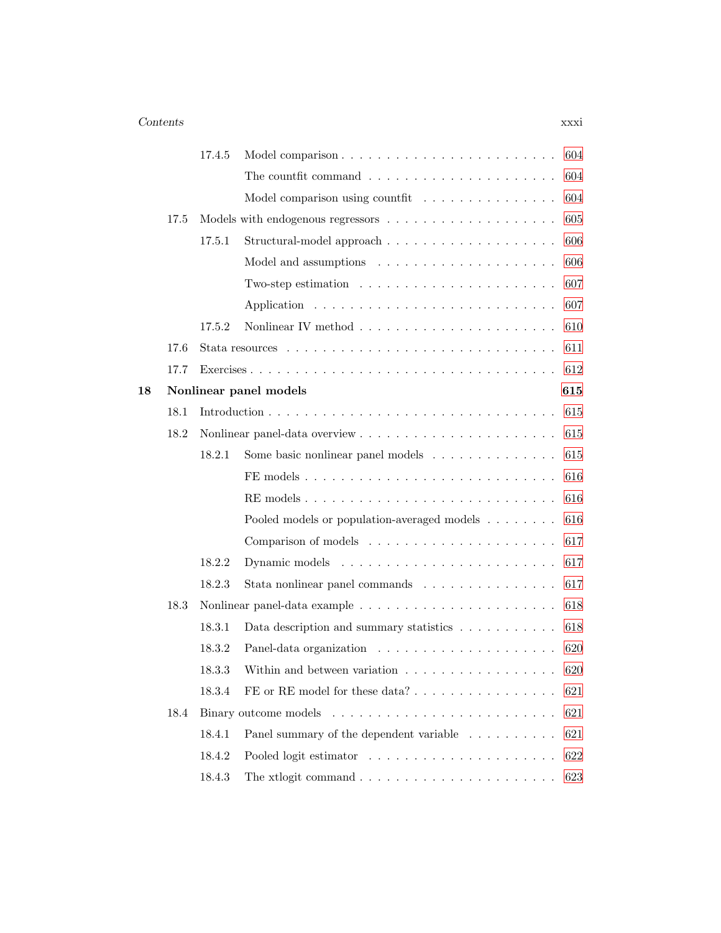### *Contents* xxxi

|    |      | 17.4.5 | 604<br>Model comparison                                                              |
|----|------|--------|--------------------------------------------------------------------------------------|
|    |      |        | The countfit command $\ldots \ldots \ldots \ldots \ldots \ldots \ldots$<br>604       |
|    |      |        | 604<br>Model comparison using countfit                                               |
|    | 17.5 |        | 605                                                                                  |
|    |      | 17.5.1 | 606                                                                                  |
|    |      |        | 606                                                                                  |
|    |      |        | Two-step estimation $\ldots \ldots \ldots \ldots \ldots \ldots \ldots$<br>607        |
|    |      |        | 607                                                                                  |
|    |      | 17.5.2 | 610                                                                                  |
|    | 17.6 |        | 611                                                                                  |
|    | 17.7 |        | 612                                                                                  |
| 18 |      |        | Nonlinear panel models<br>615                                                        |
|    | 18.1 |        | 615                                                                                  |
|    | 18.2 |        | 615                                                                                  |
|    |      | 18.2.1 | 615<br>Some basic nonlinear panel models                                             |
|    |      |        | 616                                                                                  |
|    |      |        | 616                                                                                  |
|    |      |        | 616<br>Pooled models or population-averaged models                                   |
|    |      |        | 617                                                                                  |
|    |      | 18.2.2 | 617                                                                                  |
|    |      | 18.2.3 | 617<br>Stata nonlinear panel commands                                                |
|    | 18.3 |        | 618                                                                                  |
|    |      | 18.3.1 | 618<br>Data description and summary statistics                                       |
|    |      | 18.3.2 | 620                                                                                  |
|    |      | 18.3.3 | Within and between variation $\dots \dots \dots \dots \dots \dots$<br>620            |
|    |      | 18.3.4 | 621                                                                                  |
|    | 18.4 |        | 621                                                                                  |
|    |      | 18.4.1 | Panel summary of the dependent variable<br>621                                       |
|    |      | 18.4.2 | 622                                                                                  |
|    |      | 18.4.3 | The xtlogit command $\ldots \ldots \ldots \ldots \ldots \ldots \ldots \ldots$<br>623 |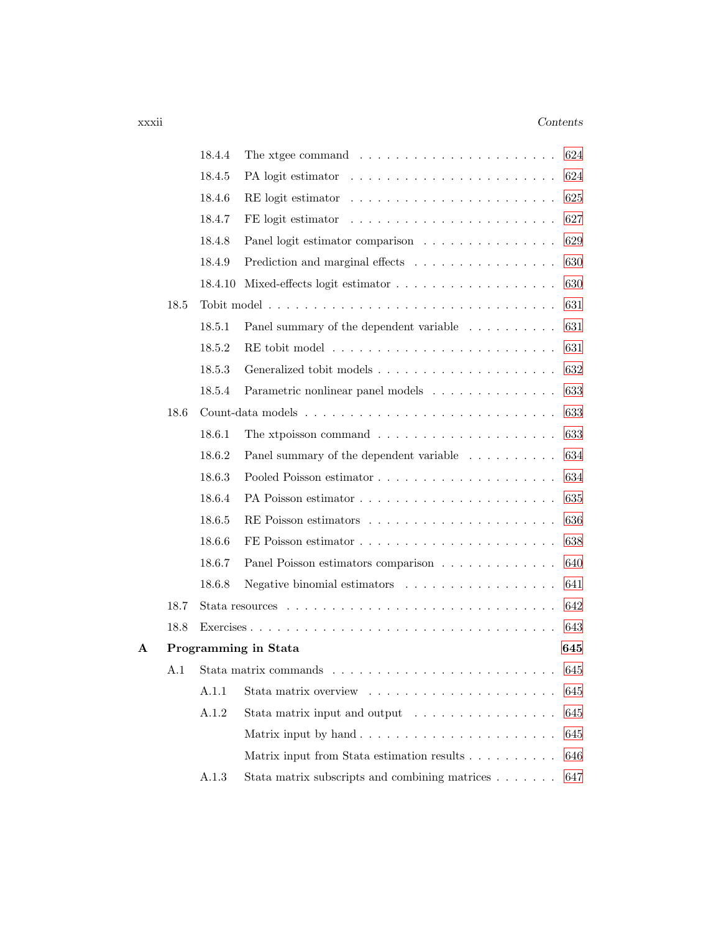### xxxii *Contents*

|   |      | 18.4.4  | The xtgee command $\ldots \ldots \ldots \ldots \ldots \ldots \ldots$          | 624 |
|---|------|---------|-------------------------------------------------------------------------------|-----|
|   |      | 18.4.5  |                                                                               | 624 |
|   |      | 18.4.6  |                                                                               | 625 |
|   |      | 18.4.7  | FE logit estimator $\dots \dots \dots \dots \dots \dots \dots \dots \dots$    | 627 |
|   |      | 18.4.8  | Panel logit estimator comparison                                              | 629 |
|   |      | 18.4.9  | Prediction and marginal effects                                               | 630 |
|   |      | 18.4.10 |                                                                               | 630 |
|   | 18.5 |         |                                                                               | 631 |
|   |      | 18.5.1  | Panel summary of the dependent variable $\;\ldots\; \ldots\; \ldots\; \ldots$ | 631 |
|   |      | 18.5.2  |                                                                               | 631 |
|   |      | 18.5.3  |                                                                               | 632 |
|   |      | 18.5.4  | Parametric nonlinear panel models                                             | 633 |
|   | 18.6 |         |                                                                               | 633 |
|   |      | 18.6.1  | The xtpoisson command $\ldots \ldots \ldots \ldots \ldots \ldots \ldots$      | 633 |
|   |      | 18.6.2  | Panel summary of the dependent variable                                       | 634 |
|   |      | 18.6.3  |                                                                               | 634 |
|   |      | 18.6.4  |                                                                               | 635 |
|   |      | 18.6.5  |                                                                               | 636 |
|   |      | 18.6.6  |                                                                               | 638 |
|   |      | 18.6.7  | Panel Poisson estimators comparison                                           | 640 |
|   |      | 18.6.8  | Negative binomial estimators $\dots \dots \dots \dots \dots \dots$            | 641 |
|   | 18.7 |         |                                                                               | 642 |
|   | 18.8 |         |                                                                               | 643 |
| А |      |         | Programming in Stata<br>645                                                   |     |
|   | A.1  |         |                                                                               | 645 |
|   |      | A.1.1   |                                                                               | 645 |
|   |      | A.1.2   | Stata matrix input and output $\ldots \ldots \ldots \ldots \ldots$            | 645 |
|   |      |         |                                                                               | 645 |
|   |      |         | Matrix input from Stata estimation results                                    | 646 |
|   |      | A.1.3   | Stata matrix subscripts and combining matrices                                | 647 |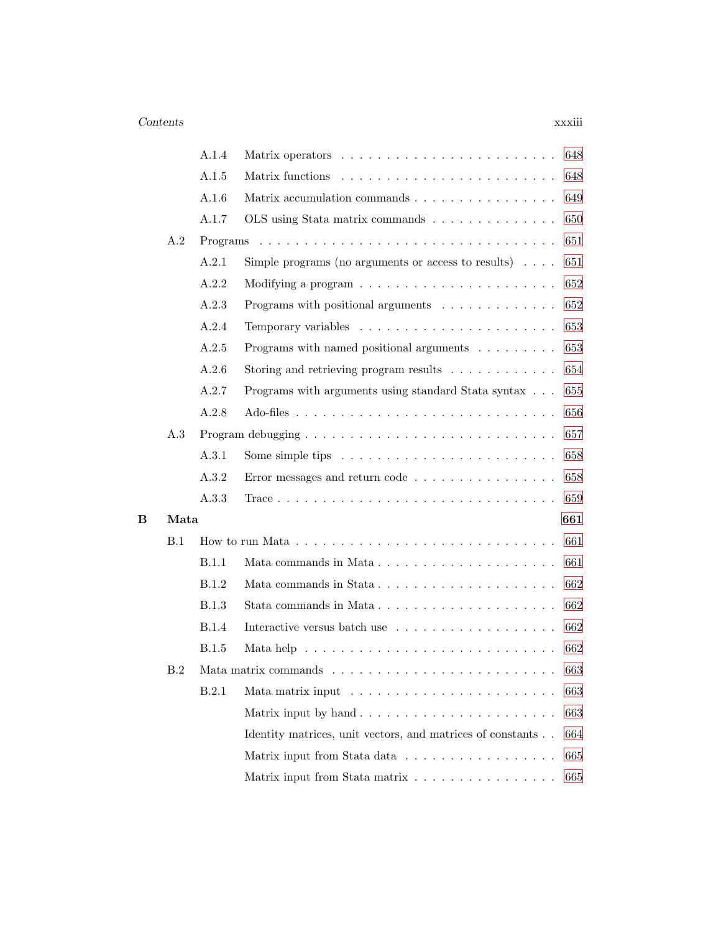|  | × |  |
|--|---|--|
|  |   |  |
|  |   |  |

|   |      | A.1.4        | 648                                                                                  |  |
|---|------|--------------|--------------------------------------------------------------------------------------|--|
|   |      | A.1.5        | 648                                                                                  |  |
|   |      | A.1.6        | Matrix accumulation commands<br>649                                                  |  |
|   |      | A.1.7        | OLS using Stata matrix commands<br>650                                               |  |
|   | A.2  |              | 651                                                                                  |  |
|   |      | A.2.1        | Simple programs (no arguments or access to results) $\dots$<br>651                   |  |
|   |      | A.2.2        | 652                                                                                  |  |
|   |      | A.2.3        | Programs with positional arguments $\ldots \ldots \ldots \ldots$<br>652              |  |
|   |      | A.2.4        | 653                                                                                  |  |
|   |      | A.2.5        | Programs with named positional arguments<br>653                                      |  |
|   |      | A.2.6        | Storing and retrieving program results $\ldots \ldots \ldots \ldots$<br>654          |  |
|   |      | A.2.7        | Programs with arguments using standard Stata syntax<br>655                           |  |
|   |      | A.2.8        | 656                                                                                  |  |
|   | A.3  |              | 657                                                                                  |  |
|   |      | A.3.1        | Some simple tips $\dots \dots \dots \dots \dots \dots \dots \dots$<br>658            |  |
|   |      | A.3.2        | Error messages and return code $\ldots \ldots \ldots \ldots \ldots$<br>658           |  |
|   |      | A.3.3        | 659                                                                                  |  |
| в | Mata |              | 661                                                                                  |  |
|   | B.1  |              | 661                                                                                  |  |
|   |      | B.1.1        | 661<br>Mata commands in Mata                                                         |  |
|   |      | B.1.2        | 662                                                                                  |  |
|   |      | B.1.3        | Stata commands in Mata<br>662                                                        |  |
|   |      | <b>B.1.4</b> | Interactive versus batch use<br>662                                                  |  |
|   |      | B.1.5        | Mata help $\dots \dots \dots \dots \dots \dots \dots \dots \dots \dots \dots$<br>662 |  |
|   | B.2  |              | 663                                                                                  |  |
|   |      | B.2.1        | 663                                                                                  |  |
|   |      |              | Matrix input by hand<br>663                                                          |  |
|   |      |              | Identity matrices, unit vectors, and matrices of constants<br>664                    |  |
|   |      |              | Matrix input from Stata data<br>665                                                  |  |
|   |      |              | 665<br>Matrix input from Stata matrix                                                |  |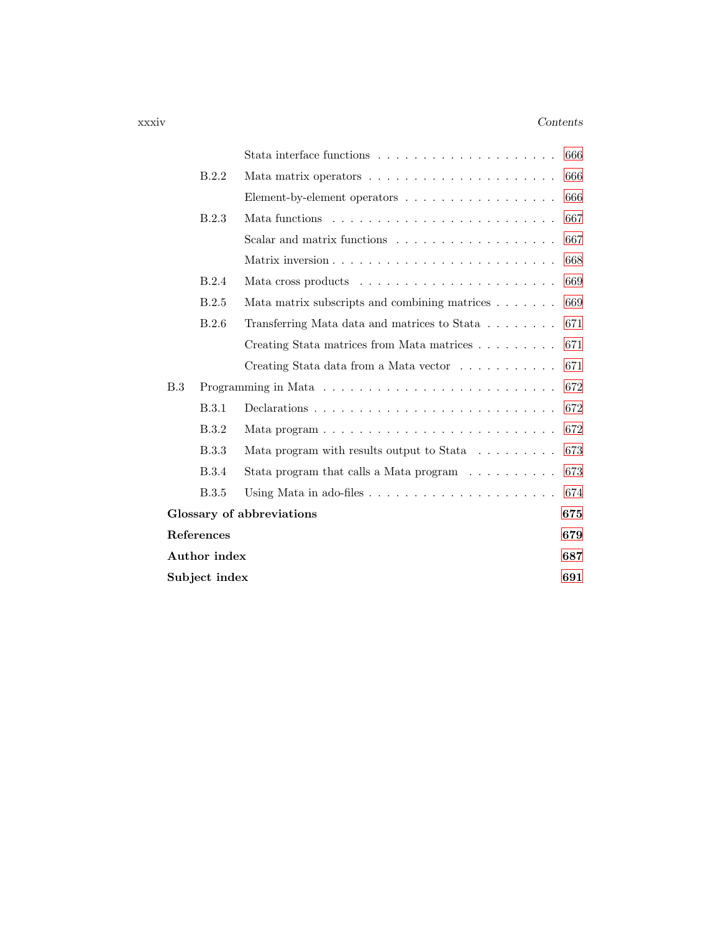#### xxxiv *Contents*

|     |                      |                                                                            | 666 |
|-----|----------------------|----------------------------------------------------------------------------|-----|
|     | B.2.2                |                                                                            | 666 |
|     |                      | Element-by-element operators $\dots \dots \dots \dots \dots \dots$         | 666 |
|     | B.2.3                |                                                                            | 667 |
|     |                      | Scalar and matrix functions                                                | 667 |
|     |                      |                                                                            | 668 |
|     | B.2.4                |                                                                            | 669 |
|     | B.2.5                | Mata matrix subscripts and combining matrices                              | 669 |
|     | B.2.6                | Transferring Mata data and matrices to Stata                               | 671 |
|     |                      | Creating Stata matrices from Mata matrices                                 | 671 |
|     |                      | Creating Stata data from a Mata vector                                     | 671 |
| B.3 |                      |                                                                            | 672 |
|     | B.3.1                |                                                                            | 672 |
|     | B.3.2                |                                                                            | 672 |
|     | B.3.3                | Mata program with results output to Stata $\ldots \ldots \ldots$           | 673 |
|     | B.3.4                | Stata program that calls a Mata program $\ldots \ldots \ldots$             | 673 |
|     | <b>B.3.5</b>         | Using Mata in ado-files $\ldots \ldots \ldots \ldots \ldots \ldots \ldots$ | 674 |
|     |                      | Glossary of abbreviations                                                  | 675 |
|     | References           |                                                                            | 679 |
|     | Author index         |                                                                            | 687 |
|     | Subject index<br>691 |                                                                            |     |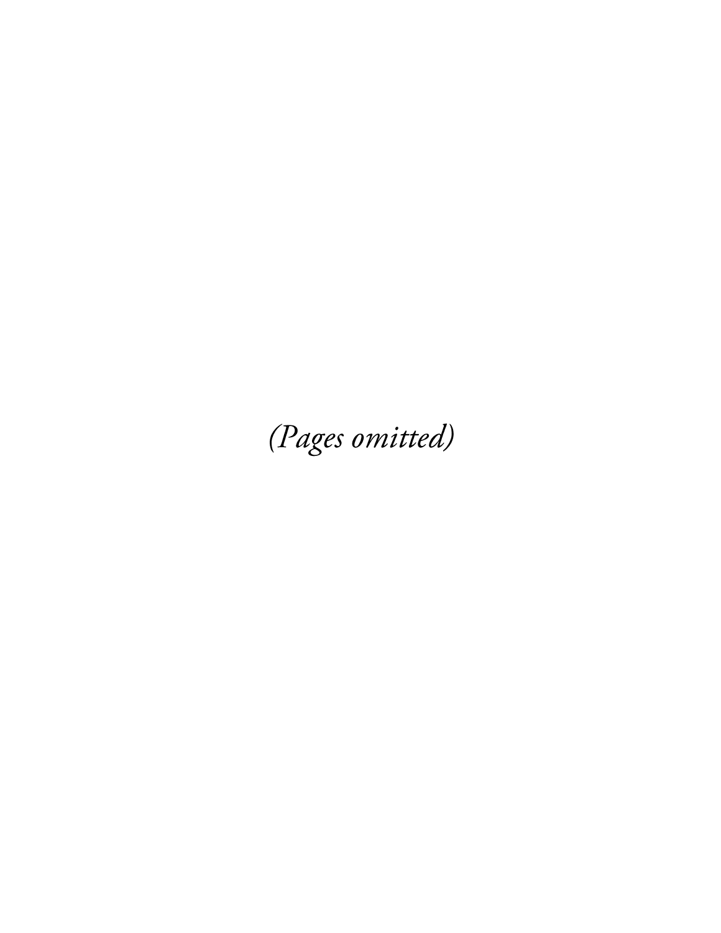(Pages omitted)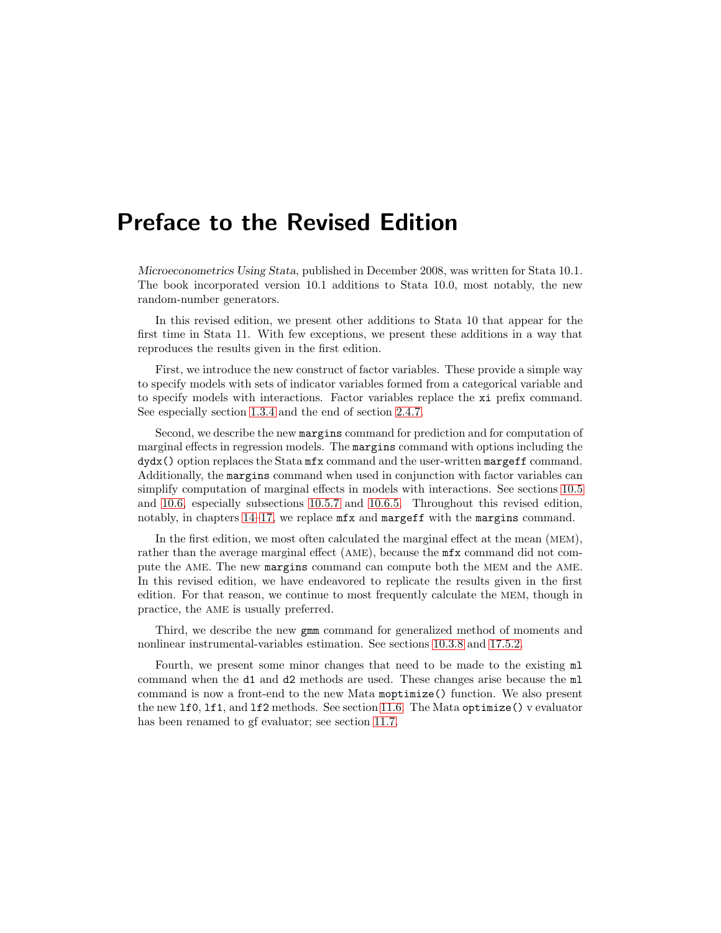## Preface to the Revised Edition

*Microeconometrics Using Stata*, published in December 2008, was written for Stata 10.1. The book incorporated version 10.1 additions to Stata 10.0, most notably, the new random-number generators.

In this revised edition, we present other additions to Stata 10 that appear for the first time in Stata 11. With few exceptions, we present these additions in a way that reproduces the results given in the first edition.

First, we introduce the new construct of factor variables. These provide a simple way to specify models with sets of indicator variables formed from a categorical variable and to specify models with interactions. Factor variables replace the xi prefix command. See especially section 1.3.4 and the end of section 2.4.7.

Second, we describe the new margins command for prediction and for computation of marginal effects in regression models. The margins command with options including the dydx() option replaces the Stata mfx command and the user-written margeff command. Additionally, the margins command when used in conjunction with factor variables can simplify computation of marginal effects in models with interactions. See sections 10.5 and 10.6, especially subsections 10.5.7 and 10.6.5. Throughout this revised edition, notably, in chapters 14–17, we replace mfx and margeff with the margins command.

In the first edition, we most often calculated the marginal effect at the mean (MEM), rather than the average marginal effect (AME), because the mfx command did not compute the AME. The new margins command can compute both the MEM and the AME. In this revised edition, we have endeavored to replicate the results given in the first edition. For that reason, we continue to most frequently calculate the MEM, though in practice, the AME is usually preferred.

Third, we describe the new gmm command for generalized method of moments and nonlinear instrumental-variables estimation. See sections 10.3.8 and 17.5.2.

Fourth, we present some minor changes that need to be made to the existing  $m1$ command when the d1 and d2 methods are used. These changes arise because the ml command is now a front-end to the new Mata moptimize() function. We also present the new lf0, lf1, and lf2 methods. See section 11.6. The Mata optimize() v evaluator has been renamed to gf evaluator; see section 11.7.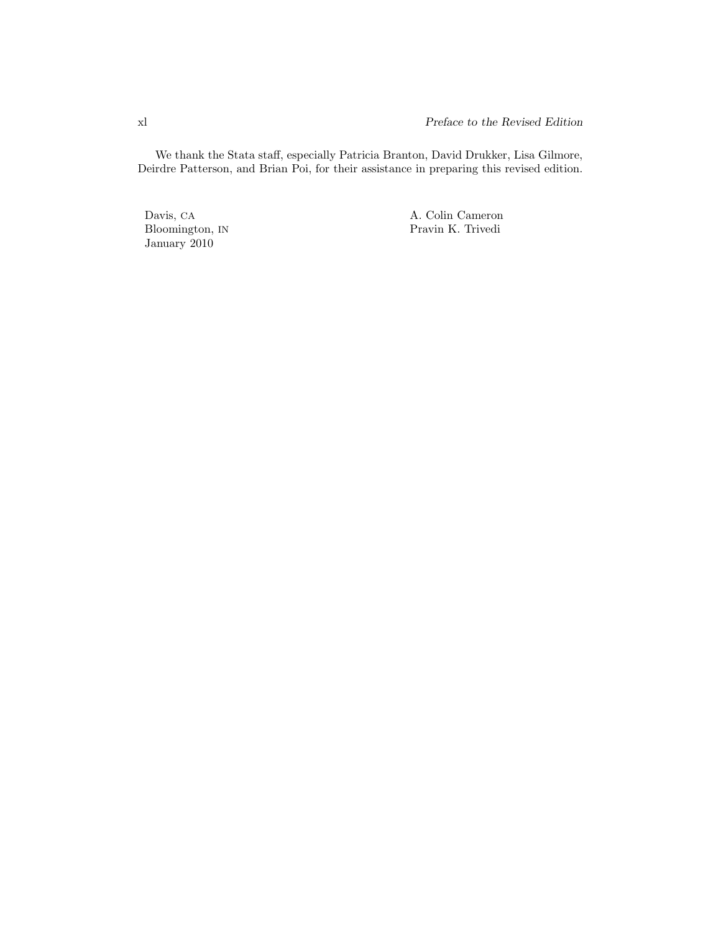We thank the Stata staff, especially Patricia Branton, David Drukker, Lisa Gilmore, Deirdre Patterson, and Brian Poi, for their assistance in preparing this revised edition.

Bloomington, IN January 2010

Davis, CA <br>Bloomington, IN <br>Bloomington, IN <br>Pravin K. Trivedi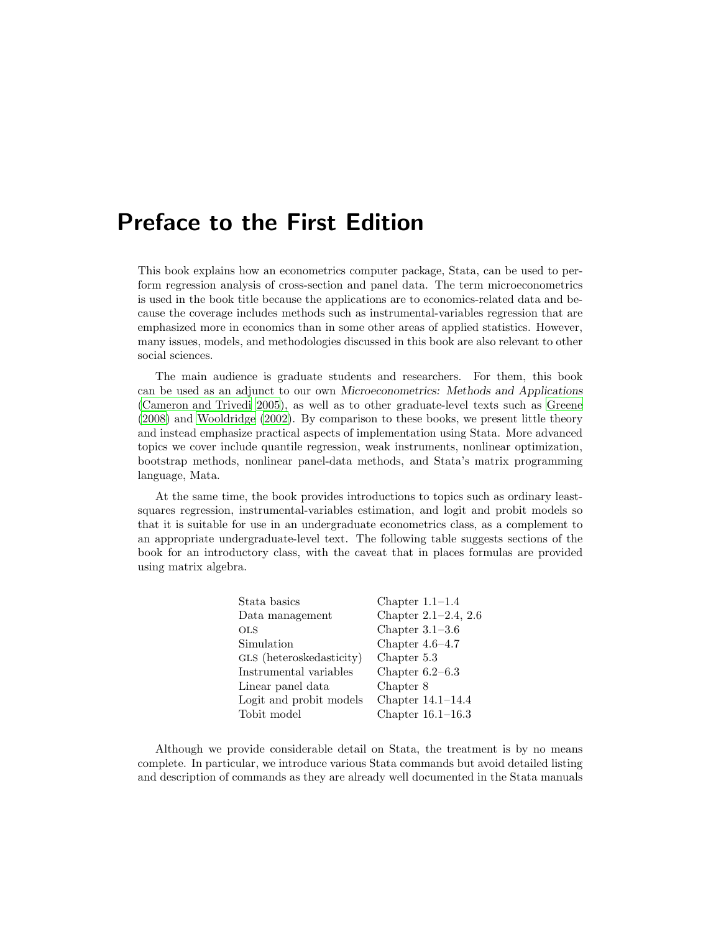## Preface to the First Edition

This book explains how an econometrics computer package, Stata, can be used to perform regression analysis of cross-section and panel data. The term microeconometrics is used in the book title because the applications are to economics-related data and because the coverage includes methods such as instrumental-variables regression that are emphasized more in economics than in some other areas of applied statistics. However, many issues, models, and methodologies discussed in this book are also relevant to other social sciences.

The main audience is graduate students and researchers. For them, this book can be used as an adjunct to our own *Microeconometrics: Methods and Applications* (Cameron and Trivedi 2005), as well as to other graduate-level texts such as Greene (2008) and Wooldridge (2002). By comparison to these books, we present little theory and instead emphasize practical aspects of implementation using Stata. More advanced topics we cover include quantile regression, weak instruments, nonlinear optimization, bootstrap methods, nonlinear panel-data methods, and Stata's matrix programming language, Mata.

At the same time, the book provides introductions to topics such as ordinary leastsquares regression, instrumental-variables estimation, and logit and probit models so that it is suitable for use in an undergraduate econometrics class, as a complement to an appropriate undergraduate-level text. The following table suggests sections of the book for an introductory class, with the caveat that in places formulas are provided using matrix algebra.

| Stata basics             | Chapter $1.1-1.4$    |
|--------------------------|----------------------|
| Data management          | Chapter 2.1-2.4, 2.6 |
| <b>OLS</b>               | Chapter $3.1-3.6$    |
| Simulation               | Chapter $4.6-4.7$    |
| GLS (heteroskedasticity) | Chapter 5.3          |
| Instrumental variables   | Chapter $6.2-6.3$    |
| Linear panel data        | Chapter 8            |
| Logit and probit models  | Chapter $14.1-14.4$  |
| Tobit model              | Chapter $16.1-16.3$  |
|                          |                      |

Although we provide considerable detail on Stata, the treatment is by no means complete. In particular, we introduce various Stata commands but avoid detailed listing and description of commands as they are already well documented in the Stata manuals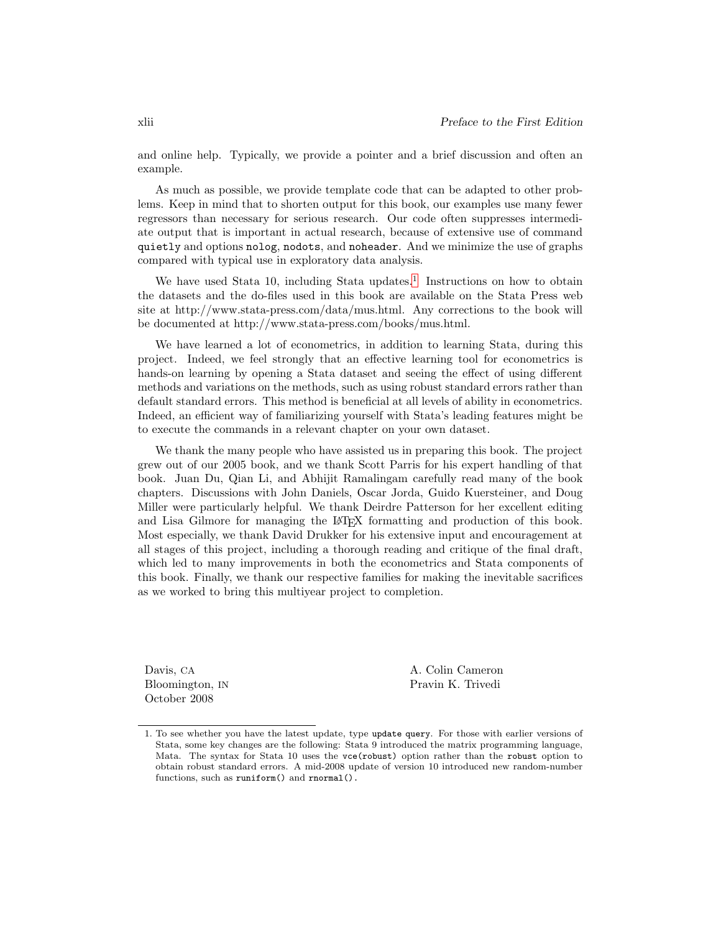and online help. Typically, we provide a pointer and a brief discussion and often an example.

As much as possible, we provide template code that can be adapted to other problems. Keep in mind that to shorten output for this book, our examples use many fewer regressors than necessary for serious research. Our code often suppresses intermediate output that is important in actual research, because of extensive use of command quietly and options nolog, nodots, and noheader. And we minimize the use of graphs compared with typical use in exploratory data analysis.

We have used Stata 10, including Stata updates.<sup>1</sup> Instructions on how to obtain the datasets and the do-files used in this book are available on the Stata Press web site at http://www.stata-press.com/data/mus.html. Any corrections to the book will be documented at http://www.stata-press.com/books/mus.html.

We have learned a lot of econometrics, in addition to learning Stata, during this project. Indeed, we feel strongly that an effective learning tool for econometrics is hands-on learning by opening a Stata dataset and seeing the effect of using different methods and variations on the methods, such as using robust standard errors rather than default standard errors. This method is beneficial at all levels of ability in econometrics. Indeed, an efficient way of familiarizing yourself with Stata's leading features might be to execute the commands in a relevant chapter on your own dataset.

We thank the many people who have assisted us in preparing this book. The project grew out of our 2005 book, and we thank Scott Parris for his expert handling of that book. Juan Du, Qian Li, and Abhijit Ramalingam carefully read many of the book chapters. Discussions with John Daniels, Oscar Jorda, Guido Kuersteiner, and Doug Miller were particularly helpful. We thank Deirdre Patterson for her excellent editing and Lisa Gilmore for managing the LATEX formatting and production of this book. Most especially, we thank David Drukker for his extensive input and encouragement at all stages of this project, including a thorough reading and critique of the final draft, which led to many improvements in both the econometrics and Stata components of this book. Finally, we thank our respective families for making the inevitable sacrifices as we worked to bring this multiyear project to completion.

October 2008

Davis, CA A. Colin Cameron Bloomington, IN Pravin K. Trivedi

<sup>1.</sup> To see whether you have the latest update, type update query. For those with earlier versions of Stata, some key changes are the following: Stata 9 introduced the matrix programming language, Mata. The syntax for Stata 10 uses the vce(robust) option rather than the robust option to obtain robust standard errors. A mid-2008 update of version 10 introduced new random-number functions, such as runiform() and rnormal().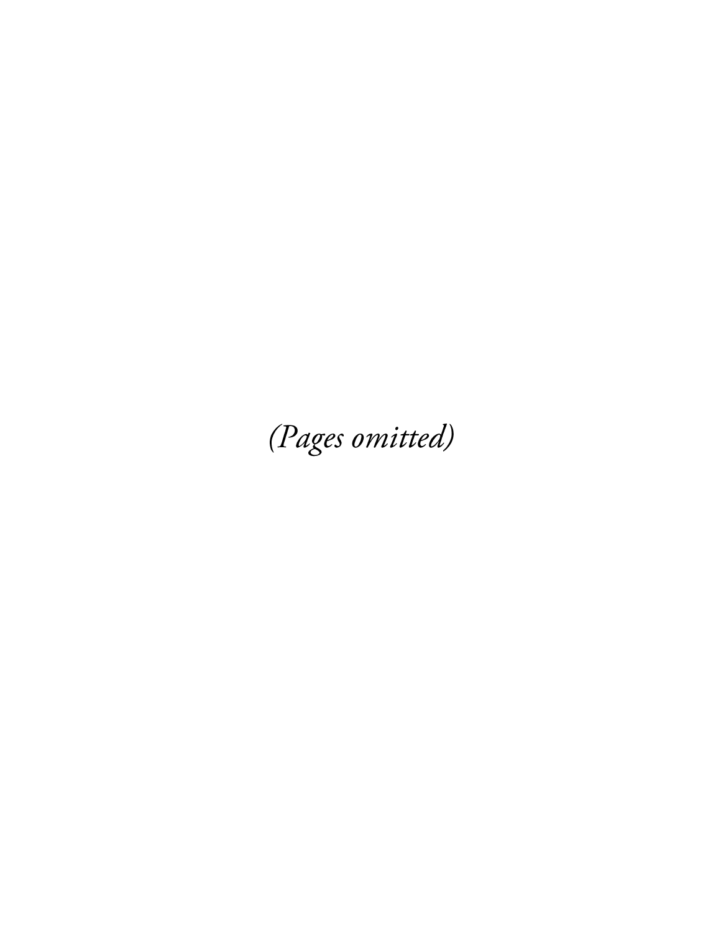(Pages omitted)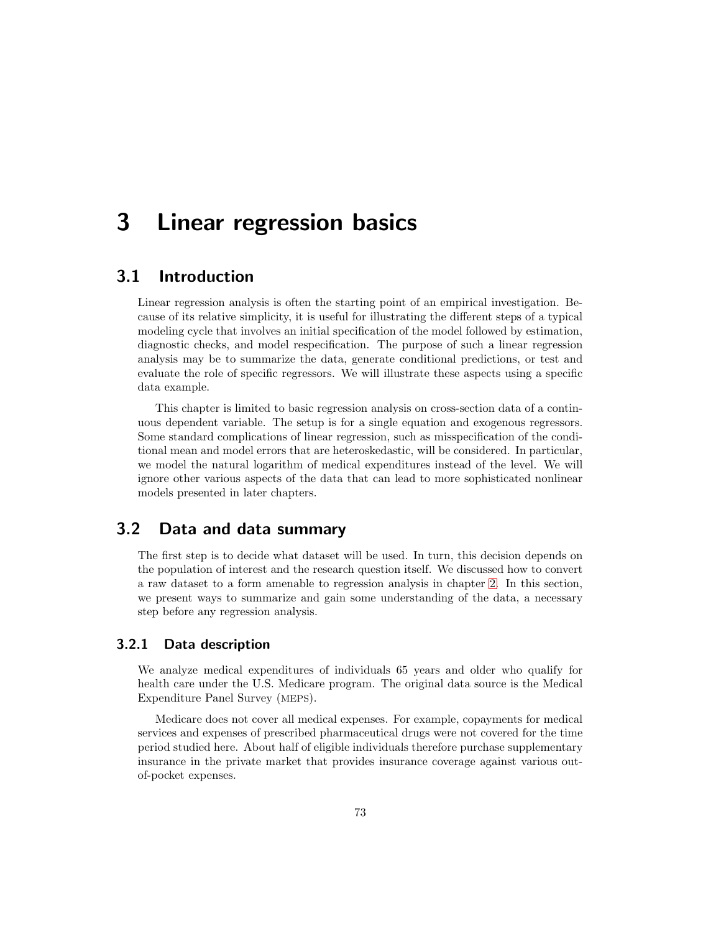## 3 Linear regression basics

### 3.1 Introduction

Linear regression analysis is often the starting point of an empirical investigation. Because of its relative simplicity, it is useful for illustrating the different steps of a typical modeling cycle that involves an initial specification of the model followed by estimation, diagnostic checks, and model respecification. The purpose of such a linear regression analysis may be to summarize the data, generate conditional predictions, or test and evaluate the role of specific regressors. We will illustrate these aspects using a specific data example.

This chapter is limited to basic regression analysis on cross-section data of a continuous dependent variable. The setup is for a single equation and exogenous regressors. Some standard complications of linear regression, such as misspecification of the conditional mean and model errors that are heteroskedastic, will be considered. In particular, we model the natural logarithm of medical expenditures instead of the level. We will ignore other various aspects of the data that can lead to more sophisticated nonlinear models presented in later chapters.

### 3.2 Data and data summary

The first step is to decide what dataset will be used. In turn, this decision depends on the population of interest and the research question itself. We discussed how to convert a raw dataset to a form amenable to regression analysis in chapter 2. In this section, we present ways to summarize and gain some understanding of the data, a necessary step before any regression analysis.

### 3.2.1 Data description

We analyze medical expenditures of individuals 65 years and older who qualify for health care under the U.S. Medicare program. The original data source is the Medical Expenditure Panel Survey (MEPS).

Medicare does not cover all medical expenses. For example, copayments for medical services and expenses of prescribed pharmaceutical drugs were not covered for the time period studied here. About half of eligible individuals therefore purchase supplementary insurance in the private market that provides insurance coverage against various outof-pocket expenses.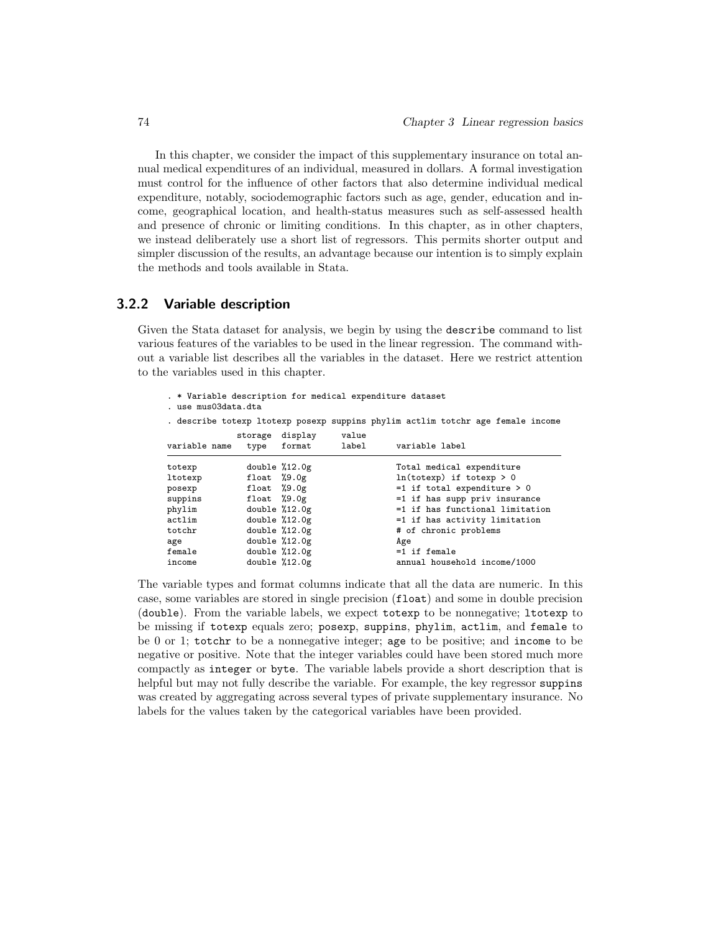In this chapter, we consider the impact of this supplementary insurance on total annual medical expenditures of an individual, measured in dollars. A formal investigation must control for the influence of other factors that also determine individual medical expenditure, notably, sociodemographic factors such as age, gender, education and income, geographical location, and health-status measures such as self-assessed health and presence of chronic or limiting conditions. In this chapter, as in other chapters, we instead deliberately use a short list of regressors. This permits shorter output and simpler discussion of the results, an advantage because our intention is to simply explain the methods and tools available in Stata.

### 3.2.2 Variable description

Given the Stata dataset for analysis, we begin by using the describe command to list various features of the variables to be used in the linear regression. The command without a variable list describes all the variables in the dataset. Here we restrict attention to the variables used in this chapter.

- . \* Variable description for medical expenditure dataset
- . use mus03data.dta

. describe totexp ltotexp posexp suppins phylim actlim totchr age female income storage display value

| variable name | ptorage urbpray<br>type | format          | value<br>label | variable label                  |
|---------------|-------------------------|-----------------|----------------|---------------------------------|
| totexp        |                         | double $%12.0g$ |                | Total medical expenditure       |
| ltotexp       | float $%9.0g$           |                 |                | $ln(totexp)$ if totexp > 0      |
| posexp        | float $%9.0g$           |                 |                | $=1$ if total expenditure $> 0$ |
| suppins       | float $%9.0g$           |                 |                | =1 if has supp priv insurance   |
| phylim        |                         | double $%12.0g$ |                | =1 if has functional limitation |
| actlim        |                         | double $%12.0g$ |                | =1 if has activity limitation   |
| totchr        |                         | double $%12.0g$ |                | # of chronic problems           |
| age           |                         | double $%12.0g$ |                | Age                             |
| female        |                         | double $%12.0g$ |                | $=1$ if female                  |
| income        |                         | double $%12.0g$ |                | annual household income/1000    |

The variable types and format columns indicate that all the data are numeric. In this case, some variables are stored in single precision (float) and some in double precision (double). From the variable labels, we expect totexp to be nonnegative; ltotexp to be missing if totexp equals zero; posexp, suppins, phylim, actlim, and female to be 0 or 1; totchr to be a nonnegative integer; age to be positive; and income to be negative or positive. Note that the integer variables could have been stored much more compactly as integer or byte. The variable labels provide a short description that is helpful but may not fully describe the variable. For example, the key regressor suppins was created by aggregating across several types of private supplementary insurance. No labels for the values taken by the categorical variables have been provided.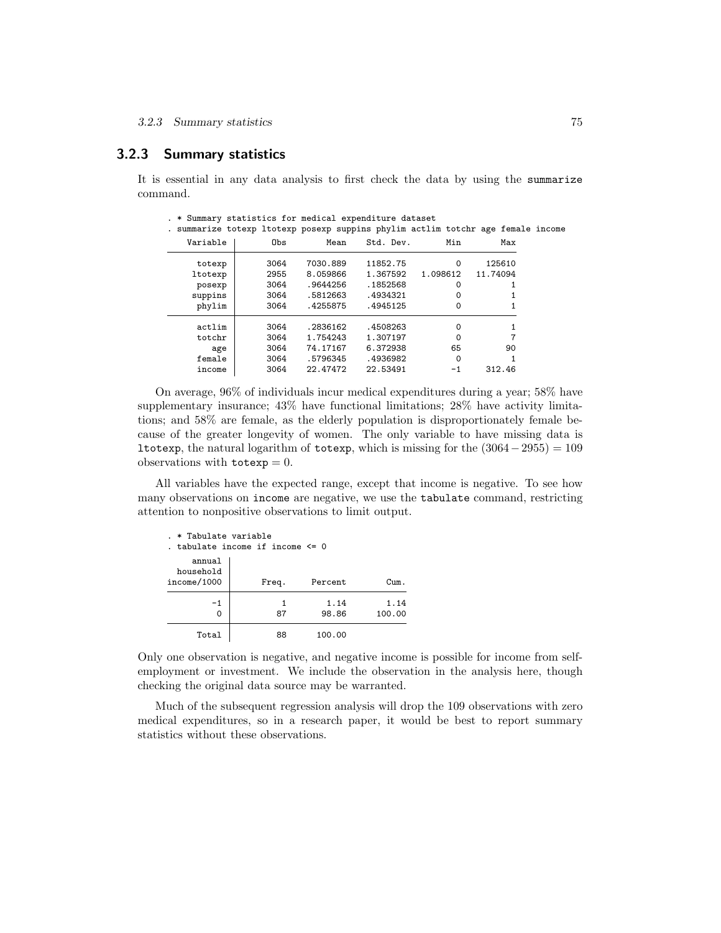### 3.2.3 Summary statistics

It is essential in any data analysis to first check the data by using the summarize command.

. \* Summary statistics for medical expenditure dataset

| . summarize totexp ltotexp posexp suppins phylim actlim totchr age female income |      |          |           |          |          |  |
|----------------------------------------------------------------------------------|------|----------|-----------|----------|----------|--|
| Variable                                                                         | Obs  | Mean     | Std. Dev. | Min      | Max      |  |
| totexp                                                                           | 3064 | 7030.889 | 11852.75  | 0        | 125610   |  |
| ltotexp                                                                          | 2955 | 8.059866 | 1.367592  | 1.098612 | 11.74094 |  |
| posexp                                                                           | 3064 | .9644256 | .1852568  | 0        |          |  |
| suppins                                                                          | 3064 | .5812663 | .4934321  | 0        |          |  |
| phylim                                                                           | 3064 | .4255875 | .4945125  | 0        |          |  |
| actlim                                                                           | 3064 | .2836162 | .4508263  | $\Omega$ |          |  |
| totchr                                                                           | 3064 | 1.754243 | 1.307197  | $\Omega$ |          |  |
| age                                                                              | 3064 | 74.17167 | 6.372938  | 65       | 90       |  |
| female                                                                           | 3064 | .5796345 | .4936982  | $\Omega$ |          |  |
| income                                                                           | 3064 | 22.47472 | 22.53491  | -1       | 312.46   |  |

On average, 96% of individuals incur medical expenditures during a year; 58% have supplementary insurance; 43% have functional limitations; 28% have activity limitations; and 58% are female, as the elderly population is disproportionately female because of the greater longevity of women. The only variable to have missing data is ltotexp, the natural logarithm of totexp, which is missing for the  $(3064-2955) = 109$ observations with  $\mathtt{totexp}=0$ .

All variables have the expected range, except that income is negative. To see how many observations on income are negative, we use the tabulate command, restricting attention to nonpositive observations to limit output.

| . * Tabulate variable<br>tabulate income if income <= 0 |         |               |                |  |  |  |
|---------------------------------------------------------|---------|---------------|----------------|--|--|--|
| annual<br>household<br>income/1000                      | Freq.   | Percent       | Cum.           |  |  |  |
| $-1$<br>0                                               | 1<br>87 | 1.14<br>98.86 | 1.14<br>100.00 |  |  |  |
| Total                                                   | 88      | 100.00        |                |  |  |  |

Only one observation is negative, and negative income is possible for income from selfemployment or investment. We include the observation in the analysis here, though checking the original data source may be warranted.

Much of the subsequent regression analysis will drop the 109 observations with zero medical expenditures, so in a research paper, it would be best to report summary statistics without these observations.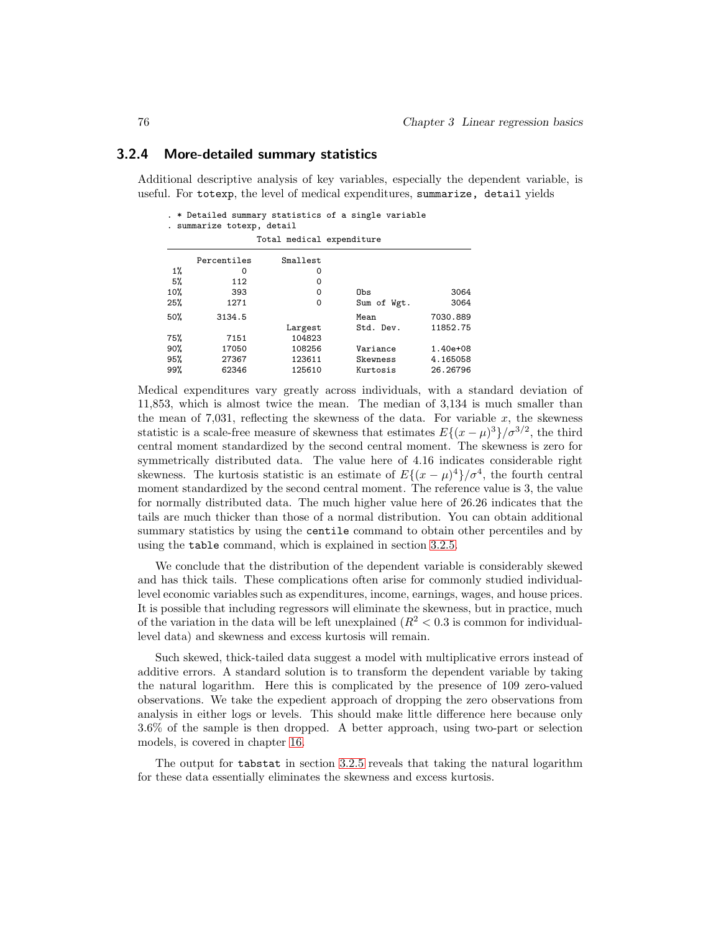### 3.2.4 More-detailed summary statistics

Additional descriptive analysis of key variables, especially the dependent variable, is useful. For totexp, the level of medical expenditures, summarize, detail yields

. \* Detailed summary statistics of a single variable

|  | summarize totexp, detail |  |  |
|--|--------------------------|--|--|
|--|--------------------------|--|--|

|     |             | Total medical expenditure |             |          |
|-----|-------------|---------------------------|-------------|----------|
|     | Percentiles | Smallest                  |             |          |
| 1%  | O           | 0                         |             |          |
| 5%  | 112         | 0                         |             |          |
| 10% | 393         | 0                         | Obs         | 3064     |
| 25% | 1271        | 0                         | Sum of Wgt. | 3064     |
| 50% | 3134.5      |                           | Mean        | 7030.889 |
|     |             | Largest                   | Std. Dev.   | 11852.75 |
| 75% | 7151        | 104823                    |             |          |
| 90% | 17050       | 108256                    | Variance    | 1.40e+08 |
| 95% | 27367       | 123611                    | Skewness    | 4.165058 |
| 99% | 62346       | 125610                    | Kurtosis    | 26.26796 |

Medical expenditures vary greatly across individuals, with a standard deviation of 11,853, which is almost twice the mean. The median of 3,134 is much smaller than the mean of 7,031, reflecting the skewness of the data. For variable  $x$ , the skewness statistic is a scale-free measure of skewness that estimates  $E\{(x-\mu)^3\}/\sigma^{3/2}$ , the third central moment standardized by the second central moment. The skewness is zero for symmetrically distributed data. The value here of 4.16 indicates considerable right skewness. The kurtosis statistic is an estimate of  $E\{(x-\mu)^4\}/\sigma^4$ , the fourth central moment standardized by the second central moment. The reference value is 3, the value for normally distributed data. The much higher value here of 26.26 indicates that the tails are much thicker than those of a normal distribution. You can obtain additional summary statistics by using the centile command to obtain other percentiles and by using the table command, which is explained in section 3.2.5.

We conclude that the distribution of the dependent variable is considerably skewed and has thick tails. These complications often arise for commonly studied individuallevel economic variables such as expenditures, income, earnings, wages, and house prices. It is possible that including regressors will eliminate the skewness, but in practice, much of the variation in the data will be left unexplained  $(R^2 < 0.3$  is common for individuallevel data) and skewness and excess kurtosis will remain.

Such skewed, thick-tailed data suggest a model with multiplicative errors instead of additive errors. A standard solution is to transform the dependent variable by taking the natural logarithm. Here this is complicated by the presence of 109 zero-valued observations. We take the expedient approach of dropping the zero observations from analysis in either logs or levels. This should make little difference here because only 3.6% of the sample is then dropped. A better approach, using two-part or selection models, is covered in chapter 16.

The output for tabstat in section 3.2.5 reveals that taking the natural logarithm for these data essentially eliminates the skewness and excess kurtosis.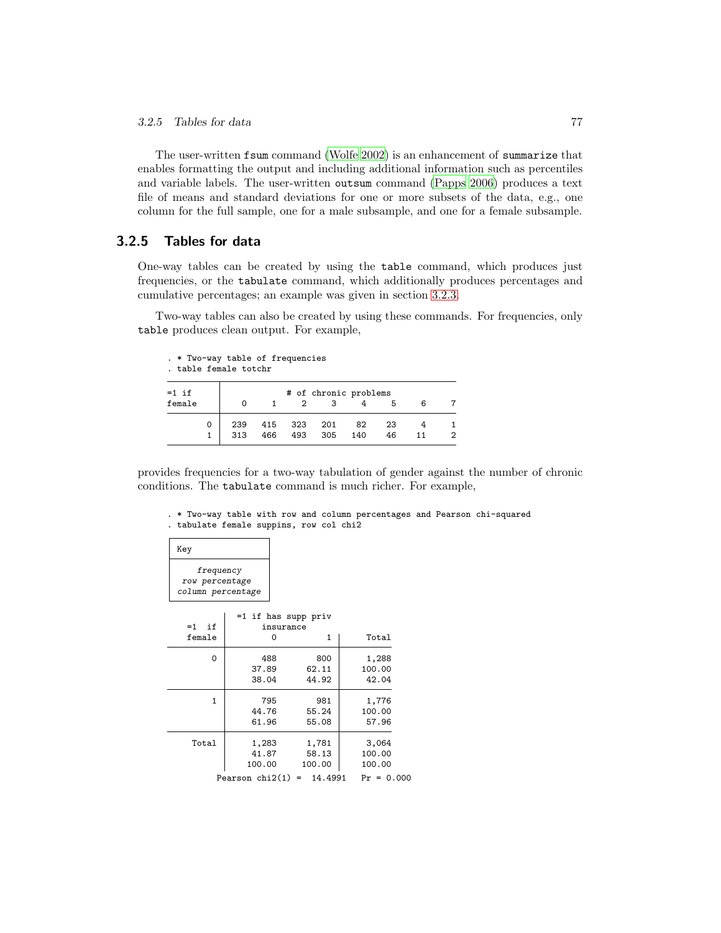The user-written fsum command (Wolfe 2002) is an enhancement of summarize that enables formatting the output and including additional information such as percentiles and variable labels. The user-written outsum command (Papps 2006) produces a text file of means and standard deviations for one or more subsets of the data, e.g., one column for the full sample, one for a male subsample, and one for a female subsample.

### 3.2.5 Tables for data

One-way tables can be created by using the table command, which produces just frequencies, or the tabulate command, which additionally produces percentages and cumulative percentages; an example was given in section 3.2.3.

Two-way tables can also be created by using these commands. For frequencies, only table produces clean output. For example,

|                   | . * Two-way table of frequencies<br>, table female totchr |            |            |            |            |                       |          |    |   |  |
|-------------------|-----------------------------------------------------------|------------|------------|------------|------------|-----------------------|----------|----|---|--|
| $=1$ if<br>female |                                                           | Ω          |            |            | 3          | # of chronic problems | 5        | 6  |   |  |
|                   | 0<br>1                                                    | 239<br>313 | 415<br>466 | 323<br>493 | 201<br>305 | 82<br>140             | 23<br>46 | 11 | 2 |  |

provides frequencies for a two-way tabulation of gender against the number of chronic conditions. The tabulate command is much richer. For example,

. \* Two-way table with row and column percentages and Pearson chi-squared . tabulate female suppins, row col chi2

| Key                                              |                     |                |              |
|--------------------------------------------------|---------------------|----------------|--------------|
| frequency<br>row percentage<br>column percentage |                     |                |              |
|                                                  | =1 if has supp priv |                |              |
| $=1$<br>if                                       | insurance           |                |              |
| female                                           | $\Omega$            | 1              | Total        |
| 0                                                | 488                 | 800            | 1,288        |
|                                                  | 37.89               | 62.11          | 100.00       |
|                                                  | 38.04               | 44.92          | 42.04        |
| 1                                                | 795                 | 981            | 1,776        |
|                                                  | 44.76               | 55.24          | 100.00       |
|                                                  | 61.96               | 55.08          | 57.96        |
| Total                                            | 1,283               | 1,781          | 3,064        |
|                                                  | 41.87               | 58.13          | 100.00       |
|                                                  | 100.00              | 100.00         | 100.00       |
|                                                  | Pearson $chi2(1)$   | 14.4991<br>$=$ | $Pr = 0.000$ |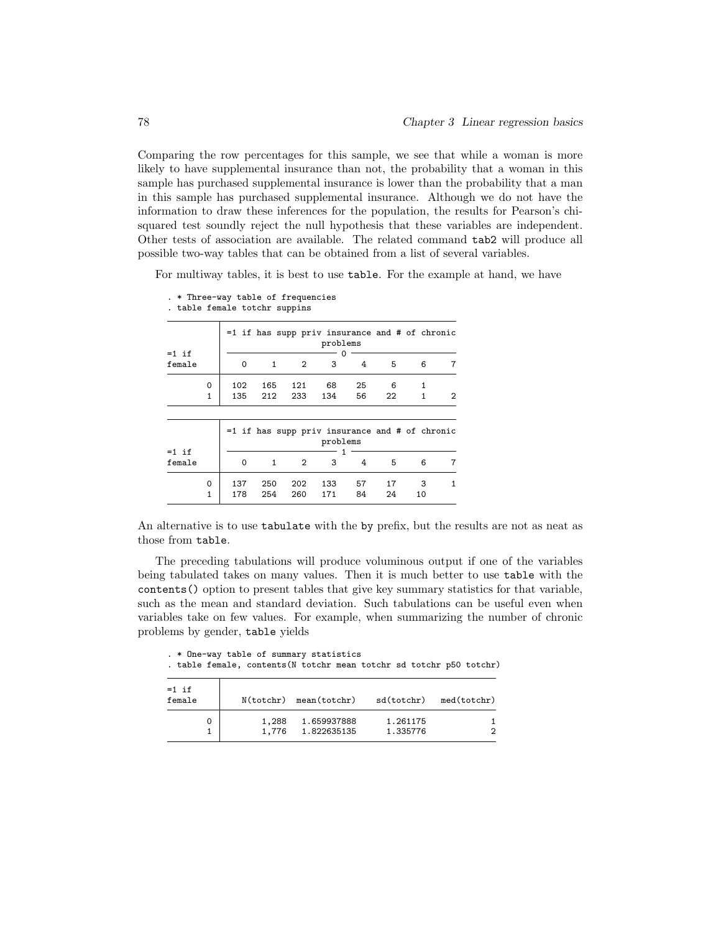Comparing the row percentages for this sample, we see that while a woman is more likely to have supplemental insurance than not, the probability that a woman in this sample has purchased supplemental insurance is lower than the probability that a man in this sample has purchased supplemental insurance. Although we do not have the information to draw these inferences for the population, the results for Pearson's chisquared test soundly reject the null hypothesis that these variables are independent. Other tests of association are available. The related command tab2 will produce all possible two-way tables that can be obtained from a list of several variables.

For multiway tables, it is best to use table. For the example at hand, we have

|                   |              |          |              |                | $=1$ if has supp priv insurance and # of chronic<br>problems |    |    |    |   |
|-------------------|--------------|----------|--------------|----------------|--------------------------------------------------------------|----|----|----|---|
| $=1$ if<br>female |              | $\Omega$ | 1            | 2              | 3                                                            | 4  | 5  | 6  | 7 |
|                   | 0            | 102      | 165          | 121            | 68                                                           | 25 | 6  | 1  |   |
|                   | $\mathbf{1}$ | 135      | 212          | 233            | 134                                                          | 56 | 22 | 1  | 2 |
| $=1$ if           |              |          |              |                | $=1$ if has supp priv insurance and # of chronic<br>problems |    |    |    |   |
| female            |              | $\Omega$ | $\mathbf{1}$ | $\overline{2}$ | 3                                                            | 4  | 5  | 6  | 7 |
|                   | 0            | 137      | 250          | 202            | 133                                                          | 57 | 17 | 3  | 1 |
|                   | 1            | 178      | 254          | 260            | 171                                                          | 84 | 24 | 10 |   |

. \* Three-way table of frequencies

. table female totchr suppins

An alternative is to use tabulate with the by prefix, but the results are not as neat as those from table.

The preceding tabulations will produce voluminous output if one of the variables being tabulated takes on many values. Then it is much better to use table with the contents() option to present tables that give key summary statistics for that variable, such as the mean and standard deviation. Such tabulations can be useful even when variables take on few values. For example, when summarizing the number of chronic problems by gender, table yields

|                   | . * One-way table of summary statistics |                             | . table female, contents (N totchr mean totchr sd totchr p50 totchr) |                        |
|-------------------|-----------------------------------------|-----------------------------|----------------------------------------------------------------------|------------------------|
| $=1$ if<br>female |                                         | $N(totchr)$ mean $(totchr)$ |                                                                      | sd(totchr) med(totchr) |
| 0                 | 1,288                                   | 1.659937888                 | 1.261175                                                             |                        |
|                   | 1,776                                   | 1.822635135                 | 1.335776                                                             |                        |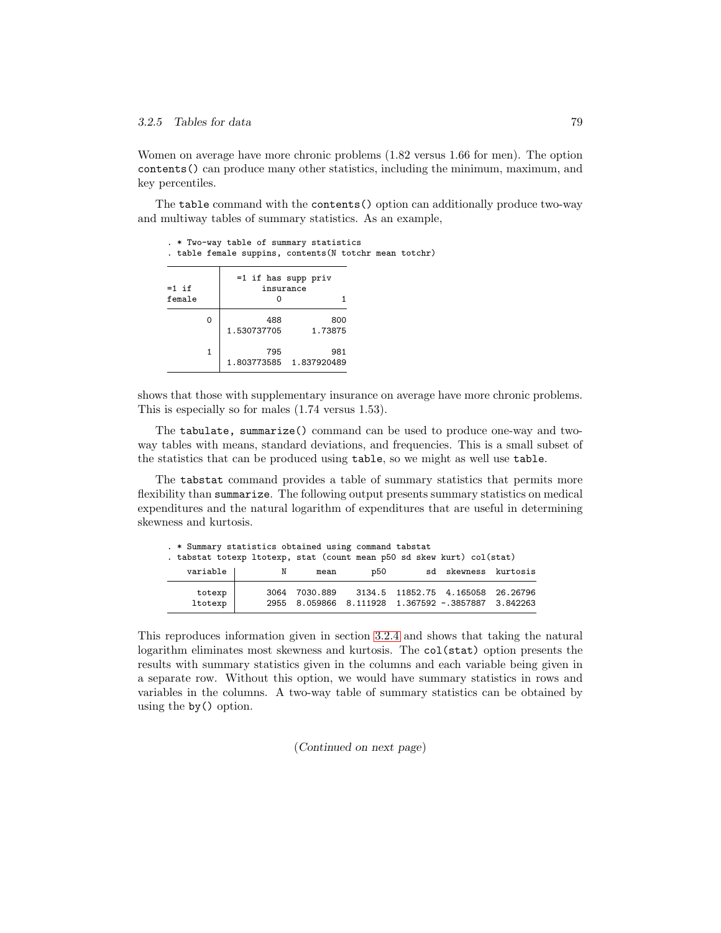Women on average have more chronic problems (1.82 versus 1.66 for men). The option contents() can produce many other statistics, including the minimum, maximum, and key percentiles.

The table command with the contents() option can additionally produce two-way and multiway tables of summary statistics. As an example,

|                   | . * Two-way table of summary statistics<br>. table female suppins, contents (N totchr mean totchr) |                                    |  |
|-------------------|----------------------------------------------------------------------------------------------------|------------------------------------|--|
| $=1$ if<br>female |                                                                                                    | $=1$ if has supp priv<br>insurance |  |
| 0                 | 488<br>1.530737705                                                                                 | 800<br>1.73875                     |  |
| 1                 | 795                                                                                                | 981<br>1.803773585 1.837920489     |  |

shows that those with supplementary insurance on average have more chronic problems. This is especially so for males (1.74 versus 1.53).

The tabulate, summarize() command can be used to produce one-way and twoway tables with means, standard deviations, and frequencies. This is a small subset of the statistics that can be produced using table, so we might as well use table.

The tabstat command provides a table of summary statistics that permits more flexibility than summarize. The following output presents summary statistics on medical expenditures and the natural logarithm of expenditures that are useful in determining skewness and kurtosis.

| . * Summary statistics obtained using command tabstat<br>. tabstat totexp ltotexp, stat (count mean p50 sd skew kurt) col(stat) |      |                                                                |     |  |                                   |
|---------------------------------------------------------------------------------------------------------------------------------|------|----------------------------------------------------------------|-----|--|-----------------------------------|
| variable                                                                                                                        | N    | mean                                                           | p50 |  | sd skewness kurtosis              |
| totexp<br>ltotexp                                                                                                               | 3064 | 7030.889<br>2955 8.059866 8.111928 1.367592 -.3857887 3.842263 |     |  | 3134.5 11852.75 4.165058 26.26796 |

This reproduces information given in section 3.2.4 and shows that taking the natural logarithm eliminates most skewness and kurtosis. The col(stat) option presents the results with summary statistics given in the columns and each variable being given in a separate row. Without this option, we would have summary statistics in rows and variables in the columns. A two-way table of summary statistics can be obtained by using the by() option.

(*Continued on next page*)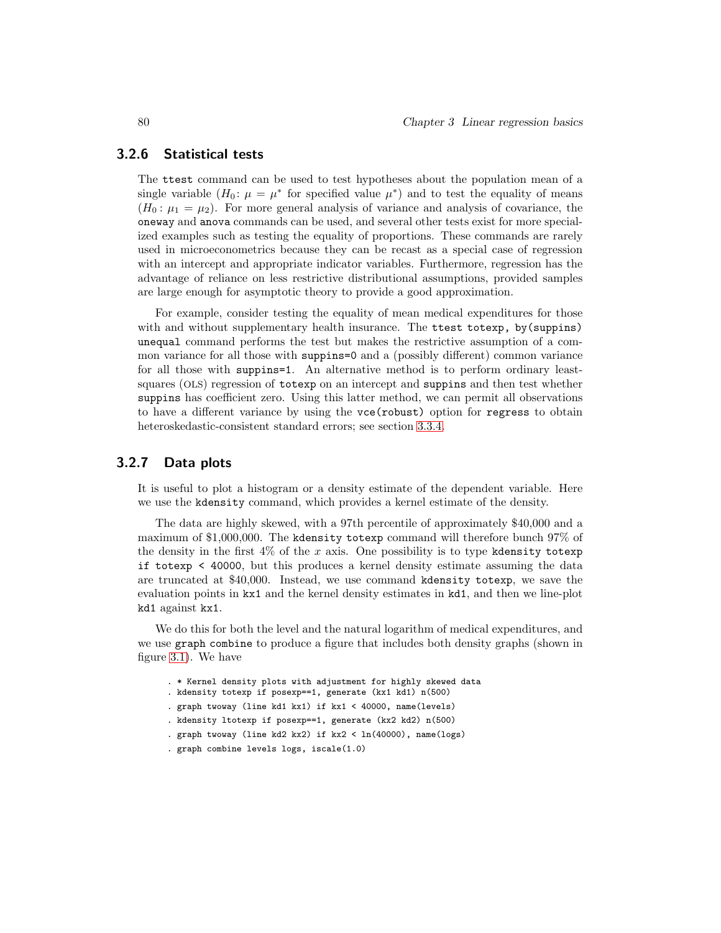### 3.2.6 Statistical tests

The ttest command can be used to test hypotheses about the population mean of a single variable  $(H_0: \mu = \mu^*)$  for specified value  $\mu^*$  and to test the equality of means  $(H_0: \mu_1 = \mu_2)$ . For more general analysis of variance and analysis of covariance, the oneway and anova commands can be used, and several other tests exist for more specialized examples such as testing the equality of proportions. These commands are rarely used in microeconometrics because they can be recast as a special case of regression with an intercept and appropriate indicator variables. Furthermore, regression has the advantage of reliance on less restrictive distributional assumptions, provided samples are large enough for asymptotic theory to provide a good approximation.

For example, consider testing the equality of mean medical expenditures for those with and without supplementary health insurance. The ttest totexp, by(suppins) unequal command performs the test but makes the restrictive assumption of a common variance for all those with suppins=0 and a (possibly different) common variance for all those with suppins=1. An alternative method is to perform ordinary leastsquares (OLS) regression of totexp on an intercept and suppins and then test whether suppins has coefficient zero. Using this latter method, we can permit all observations to have a different variance by using the vce(robust) option for regress to obtain heteroskedastic-consistent standard errors; see section 3.3.4.

#### 3.2.7 Data plots

It is useful to plot a histogram or a density estimate of the dependent variable. Here we use the kdensity command, which provides a kernel estimate of the density.

The data are highly skewed, with a 97th percentile of approximately \$40,000 and a maximum of \$1,000,000. The kdensity totexp command will therefore bunch 97% of the density in the first  $4\%$  of the x axis. One possibility is to type kdensity totexp if totexp < 40000, but this produces a kernel density estimate assuming the data are truncated at \$40,000. Instead, we use command kdensity totexp, we save the evaluation points in kx1 and the kernel density estimates in kd1, and then we line-plot kd1 against kx1.

We do this for both the level and the natural logarithm of medical expenditures, and we use graph combine to produce a figure that includes both density graphs (shown in figure 3.1). We have

- . \* Kernel density plots with adjustment for highly skewed data
- . kdensity totexp if posexp==1, generate (kx1 kd1) n(500)
- . graph twoway (line kd1 kx1) if kx1 < 40000, name(levels)
- . kdensity ltotexp if posexp==1, generate (kx2 kd2) n(500)
- . graph twoway (line kd2 kx2) if kx2 < ln(40000), name(logs)
- . graph combine levels logs, iscale(1.0)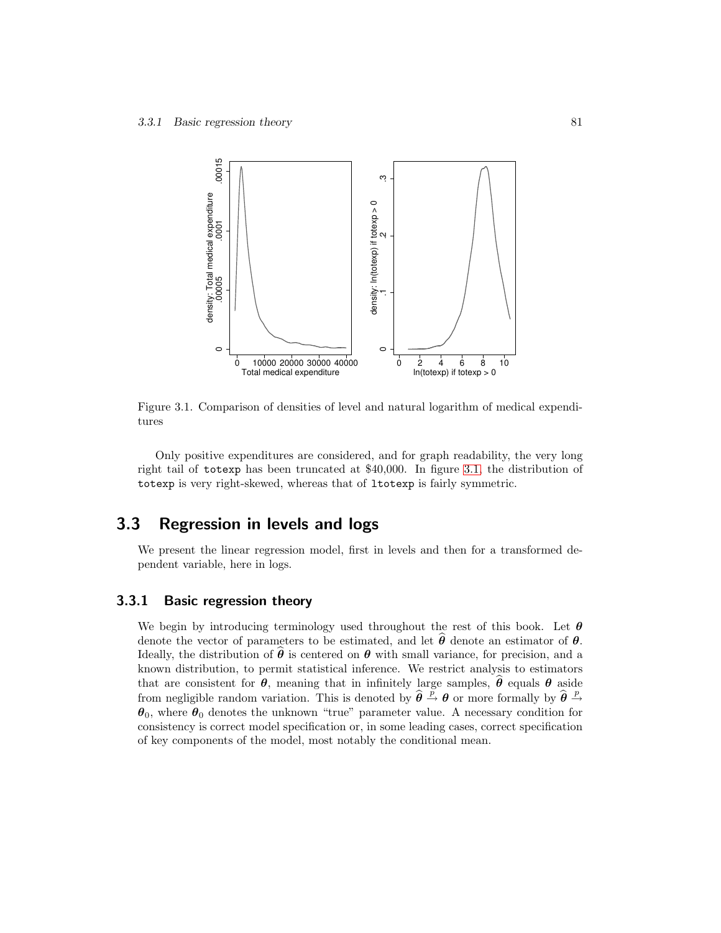

Figure 3.1. Comparison of densities of level and natural logarithm of medical expenditures

Only positive expenditures are considered, and for graph readability, the very long right tail of totexp has been truncated at \$40,000. In figure 3.1, the distribution of totexp is very right-skewed, whereas that of ltotexp is fairly symmetric.

### 3.3 Regression in levels and logs

We present the linear regression model, first in levels and then for a transformed dependent variable, here in logs.

### 3.3.1 Basic regression theory

We begin by introducing terminology used throughout the rest of this book. Let  $\theta$ denote the vector of parameters to be estimated, and let  $\hat{\theta}$  denote an estimator of  $\theta$ . Ideally, the distribution of  $\hat{\theta}$  is centered on  $\theta$  with small variance, for precision, and a known distribution, to permit statistical inference. We restrict analysis to estimators that are consistent for  $\theta$ , meaning that in infinitely large samples,  $\hat{\theta}$  equals  $\theta$  aside from negligible random variation. This is denoted by  $\hat{\theta} \stackrel{\bar{p}}{\rightarrow} \theta$  or more formally by  $\hat{\theta} \stackrel{p}{\rightarrow}$  $\theta_0$ , where  $\theta_0$  denotes the unknown "true" parameter value. A necessary condition for consistency is correct model specification or, in some leading cases, correct specification of key components of the model, most notably the conditional mean.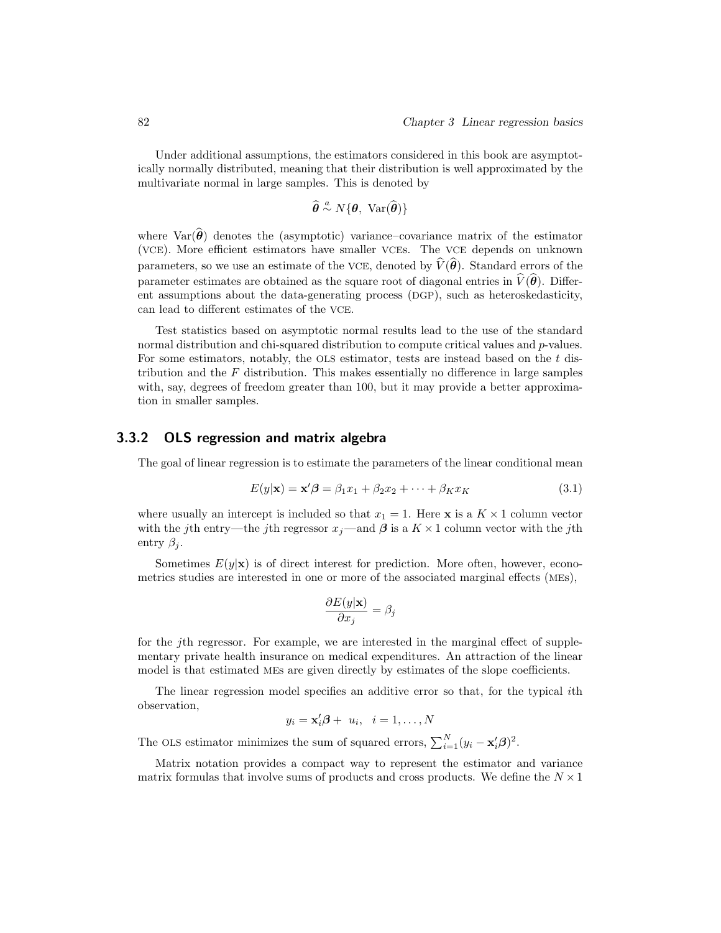Under additional assumptions, the estimators considered in this book are asymptotically normally distributed, meaning that their distribution is well approximated by the multivariate normal in large samples. This is denoted by

$$
\widehat{\boldsymbol{\theta}} \stackrel{a}{\sim} N\{\boldsymbol{\theta}, \ \text{Var}(\widehat{\boldsymbol{\theta}})\}
$$

where  $\text{Var}(\hat{\theta})$  denotes the (asymptotic) variance–covariance matrix of the estimator (VCE). More efficient estimators have smaller VCEs. The VCE depends on unknown parameters, so we use an estimate of the VCE, denoted by  $\widehat{V}(\widehat{\theta})$ . Standard errors of the parameter estimates are obtained as the square root of diagonal entries in  $\hat{V}(\hat{\theta})$ . Different assumptions about the data-generating process (DGP), such as heteroskedasticity, can lead to different estimates of the VCE.

Test statistics based on asymptotic normal results lead to the use of the standard normal distribution and chi-squared distribution to compute critical values and p-values. For some estimators, notably, the OLS estimator, tests are instead based on the t distribution and the  $F$  distribution. This makes essentially no difference in large samples with, say, degrees of freedom greater than 100, but it may provide a better approximation in smaller samples.

#### 3.3.2 OLS regression and matrix algebra

The goal of linear regression is to estimate the parameters of the linear conditional mean

$$
E(y|\mathbf{x}) = \mathbf{x}'\boldsymbol{\beta} = \beta_1 x_1 + \beta_2 x_2 + \dots + \beta_K x_K
$$
\n(3.1)

where usually an intercept is included so that  $x_1 = 1$ . Here **x** is a  $K \times 1$  column vector with the jth entry—the jth regressor  $x_j$ —and  $\beta$  is a  $K \times 1$  column vector with the jth entry  $\beta_i$ .

Sometimes  $E(y|\mathbf{x})$  is of direct interest for prediction. More often, however, econometrics studies are interested in one or more of the associated marginal effects (MEs),

$$
\frac{\partial E(y|\mathbf{x})}{\partial x_j} = \beta_j
$$

for the jth regressor. For example, we are interested in the marginal effect of supplementary private health insurance on medical expenditures. An attraction of the linear model is that estimated MEs are given directly by estimates of the slope coefficients.

The linear regression model specifies an additive error so that, for the typical ith observation,

$$
y_i = \mathbf{x}'_i \boldsymbol{\beta} + u_i, \quad i = 1, \dots, N
$$

The OLS estimator minimizes the sum of squared errors,  $\sum_{i=1}^{N} (y_i - \mathbf{x}'_i \boldsymbol{\beta})^2$ .

Matrix notation provides a compact way to represent the estimator and variance matrix formulas that involve sums of products and cross products. We define the  $N \times 1$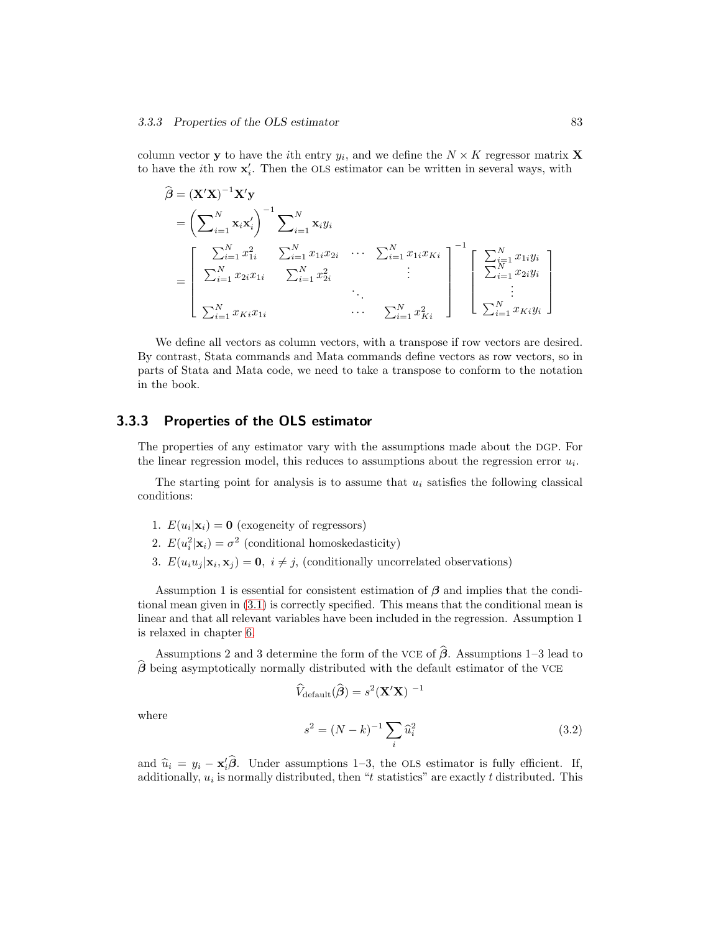column vector **y** to have the *i*th entry  $y_i$ , and we define the  $N \times K$  regressor matrix **X** to have the *i*<sup>th</sup> row  $\mathbf{x}'_i$ . Then the OLS estimator can be written in several ways, with

$$
\hat{\boldsymbol{\beta}} = (\mathbf{X}'\mathbf{X})^{-1}\mathbf{X}'\mathbf{y} \n= \left(\sum_{i=1}^{N} \mathbf{x}_{i}\mathbf{x}'_{i}\right)^{-1} \sum_{i=1}^{N} \mathbf{x}_{i}y_{i} \n= \left[\begin{array}{cccc} \sum_{i=1}^{N} x_{i}^{2} & \sum_{i=1}^{N} x_{1i}x_{2i} & \cdots & \sum_{i=1}^{N} x_{1i}x_{Ki} \\ \sum_{i=1}^{N} x_{2i}x_{1i} & \sum_{i=1}^{N} x_{2i}^{2} & \cdots & \sum_{i=1}^{N} x_{1i}x_{Ki} \\ \vdots & \ddots & \ddots & \vdots \\ \sum_{i=1}^{N} x_{Ki}x_{1i} & \cdots & \sum_{i=1}^{N} x_{Ki}^{2} \end{array}\right]^{-1} \left[\begin{array}{c} \sum_{i=1}^{N} x_{1i}y_{i} \\ \sum_{i=1}^{N} x_{2i}y_{i} \\ \vdots \\ \sum_{i=1}^{N} x_{Ki}y_{i} \end{array}\right]
$$

We define all vectors as column vectors, with a transpose if row vectors are desired. By contrast, Stata commands and Mata commands define vectors as row vectors, so in parts of Stata and Mata code, we need to take a transpose to conform to the notation in the book.

### 3.3.3 Properties of the OLS estimator

The properties of any estimator vary with the assumptions made about the DGP. For the linear regression model, this reduces to assumptions about the regression error  $u_i$ .

The starting point for analysis is to assume that  $u_i$  satisfies the following classical conditions:

- 1.  $E(u_i|\mathbf{x}_i) = \mathbf{0}$  (exogeneity of regressors)
- 2.  $E(u_i^2|\mathbf{x}_i) = \sigma^2$  (conditional homoskedasticity)
- 3.  $E(u_i u_j | \mathbf{x}_i, \mathbf{x}_j) = \mathbf{0}, i \neq j$ , (conditionally uncorrelated observations)

Assumption 1 is essential for consistent estimation of  $\beta$  and implies that the conditional mean given in (3.1) is correctly specified. This means that the conditional mean is linear and that all relevant variables have been included in the regression. Assumption 1 is relaxed in chapter 6.

Assumptions 2 and 3 determine the form of the VCE of  $\hat{\boldsymbol{\beta}}$ . Assumptions 1–3 lead to  $\beta$  being asymptotically normally distributed with the default estimator of the VCE

$$
\widehat{V}_{\text{default}}(\widehat{\boldsymbol{\beta}}) = s^2 (\mathbf{X}' \mathbf{X})^{-1}
$$

where

$$
s^{2} = (N - k)^{-1} \sum_{i} \hat{u}_{i}^{2}
$$
 (3.2)

and  $\hat{u}_i = y_i - \mathbf{x}_i' \hat{\boldsymbol{\beta}}$ . Under assumptions 1–3, the OLS estimator is fully efficient. If, additionally,  $u_i$  is normally distributed, then "t statistics" are exactly t distributed. This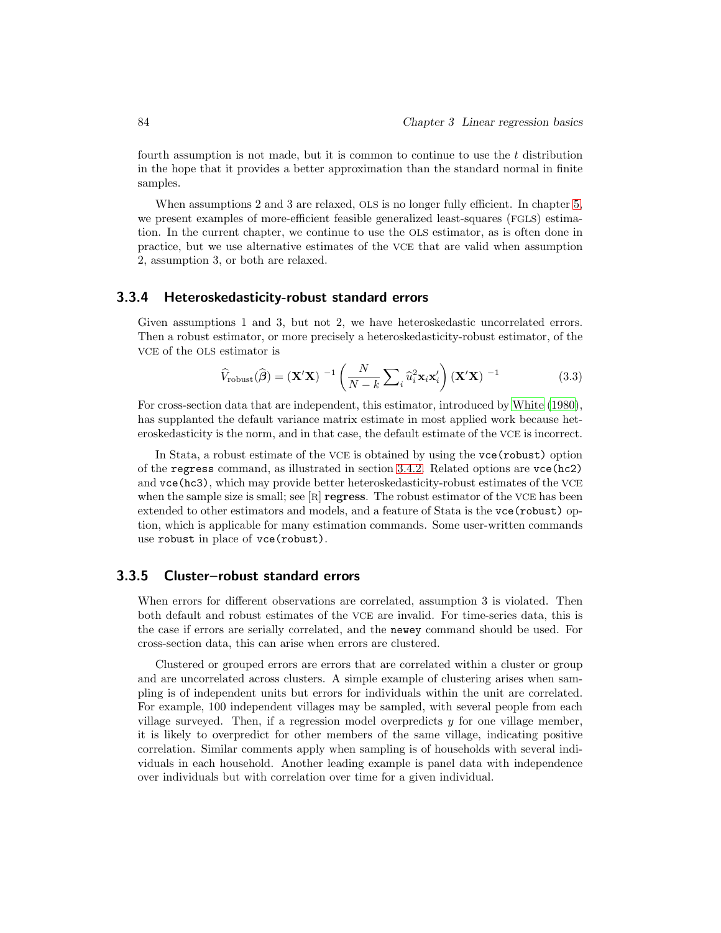fourth assumption is not made, but it is common to continue to use the  $t$  distribution in the hope that it provides a better approximation than the standard normal in finite samples.

When assumptions 2 and 3 are relaxed, OLS is no longer fully efficient. In chapter 5, we present examples of more-efficient feasible generalized least-squares (FGLS) estimation. In the current chapter, we continue to use the OLS estimator, as is often done in practice, but we use alternative estimates of the VCE that are valid when assumption 2, assumption 3, or both are relaxed.

### 3.3.4 Heteroskedasticity-robust standard errors

Given assumptions 1 and 3, but not 2, we have heteroskedastic uncorrelated errors. Then a robust estimator, or more precisely a heteroskedasticity-robust estimator, of the VCE of the OLS estimator is

$$
\widehat{V}_{\text{robust}}(\widehat{\boldsymbol{\beta}}) = (\mathbf{X}'\mathbf{X})^{-1} \left( \frac{N}{N-k} \sum_{i} \widehat{u}_{i}^{2} \mathbf{x}_{i} \mathbf{x}'_{i} \right) (\mathbf{X}'\mathbf{X})^{-1}
$$
(3.3)

For cross-section data that are independent, this estimator, introduced by White (1980), has supplanted the default variance matrix estimate in most applied work because heteroskedasticity is the norm, and in that case, the default estimate of the VCE is incorrect.

In Stata, a robust estimate of the VCE is obtained by using the vce(robust) option of the regress command, as illustrated in section 3.4.2. Related options are vce(hc2) and vce(hc3), which may provide better heteroskedasticity-robust estimates of the VCE when the sample size is small; see  $[R]$  regress. The robust estimator of the VCE has been extended to other estimators and models, and a feature of Stata is the vce (robust) option, which is applicable for many estimation commands. Some user-written commands use robust in place of vce(robust).

### 3.3.5 Cluster–robust standard errors

When errors for different observations are correlated, assumption 3 is violated. Then both default and robust estimates of the VCE are invalid. For time-series data, this is the case if errors are serially correlated, and the newey command should be used. For cross-section data, this can arise when errors are clustered.

Clustered or grouped errors are errors that are correlated within a cluster or group and are uncorrelated across clusters. A simple example of clustering arises when sampling is of independent units but errors for individuals within the unit are correlated. For example, 100 independent villages may be sampled, with several people from each village surveyed. Then, if a regression model overpredicts  $y$  for one village member, it is likely to overpredict for other members of the same village, indicating positive correlation. Similar comments apply when sampling is of households with several individuals in each household. Another leading example is panel data with independence over individuals but with correlation over time for a given individual.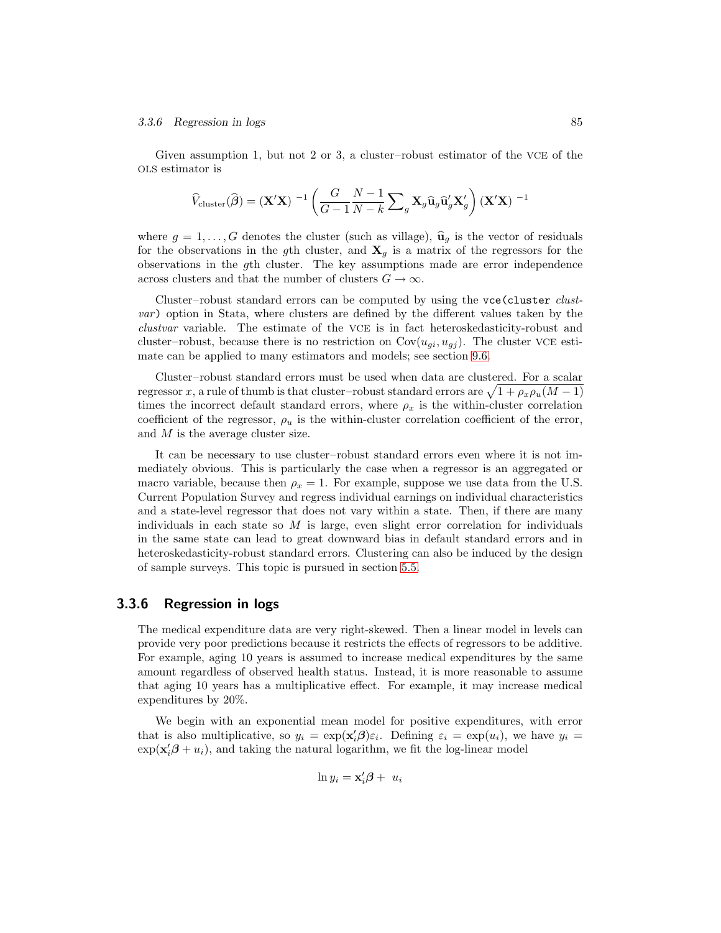#### **3.3.6 Regression in logs** 85

Given assumption 1, but not 2 or 3, a cluster–robust estimator of the VCE of the OLS estimator is

$$
\widehat{V}_{\text{cluster}}(\widehat{\boldsymbol{\beta}}) = (\mathbf{X}'\mathbf{X})^{-1} \left( \frac{G}{G-1} \frac{N-1}{N-k} \sum\nolimits_g \mathbf{X}_g \widehat{\mathbf{u}}_g \widehat{\mathbf{u}}_g' \mathbf{X}'_g \right) (\mathbf{X}'\mathbf{X})^{-1}
$$

where  $g = 1, \ldots, G$  denotes the cluster (such as village),  $\hat{u}_g$  is the vector of residuals for the observations in the gth cluster, and  $\mathbf{X}_q$  is a matrix of the regressors for the observations in the gth cluster. The key assumptions made are error independence across clusters and that the number of clusters  $G \to \infty$ .

Cluster–robust standard errors can be computed by using the vce (cluster *clust*var) option in Stata, where clusters are defined by the different values taken by the clustvar variable. The estimate of the VCE is in fact heteroskedasticity-robust and cluster–robust, because there is no restriction on  $Cov(u_{gi}, u_{gj})$ . The cluster VCE estimate can be applied to many estimators and models; see section 9.6.

Cluster–robust standard errors must be used when data are clustered. For a scalar regressor x, a rule of thumb is that cluster–robust standard errors are  $\sqrt{1 + \rho_x \rho_u (M - 1)}$ times the incorrect default standard errors, where  $\rho_x$  is the within-cluster correlation coefficient of the regressor,  $\rho_u$  is the within-cluster correlation coefficient of the error, and M is the average cluster size.

It can be necessary to use cluster–robust standard errors even where it is not immediately obvious. This is particularly the case when a regressor is an aggregated or macro variable, because then  $\rho_x = 1$ . For example, suppose we use data from the U.S. Current Population Survey and regress individual earnings on individual characteristics and a state-level regressor that does not vary within a state. Then, if there are many individuals in each state so  $M$  is large, even slight error correlation for individuals in the same state can lead to great downward bias in default standard errors and in heteroskedasticity-robust standard errors. Clustering can also be induced by the design of sample surveys. This topic is pursued in section 5.5.

### 3.3.6 Regression in logs

The medical expenditure data are very right-skewed. Then a linear model in levels can provide very poor predictions because it restricts the effects of regressors to be additive. For example, aging 10 years is assumed to increase medical expenditures by the same amount regardless of observed health status. Instead, it is more reasonable to assume that aging 10 years has a multiplicative effect. For example, it may increase medical expenditures by 20%.

We begin with an exponential mean model for positive expenditures, with error that is also multiplicative, so  $y_i = \exp(\mathbf{x}'_i \boldsymbol{\beta}) \varepsilon_i$ . Defining  $\varepsilon_i = \exp(u_i)$ , we have  $y_i =$  $\exp(\mathbf{x}'_i\boldsymbol{\beta} + u_i)$ , and taking the natural logarithm, we fit the log-linear model

$$
\ln y_i = \mathbf{x}_i' \boldsymbol{\beta} + u_i
$$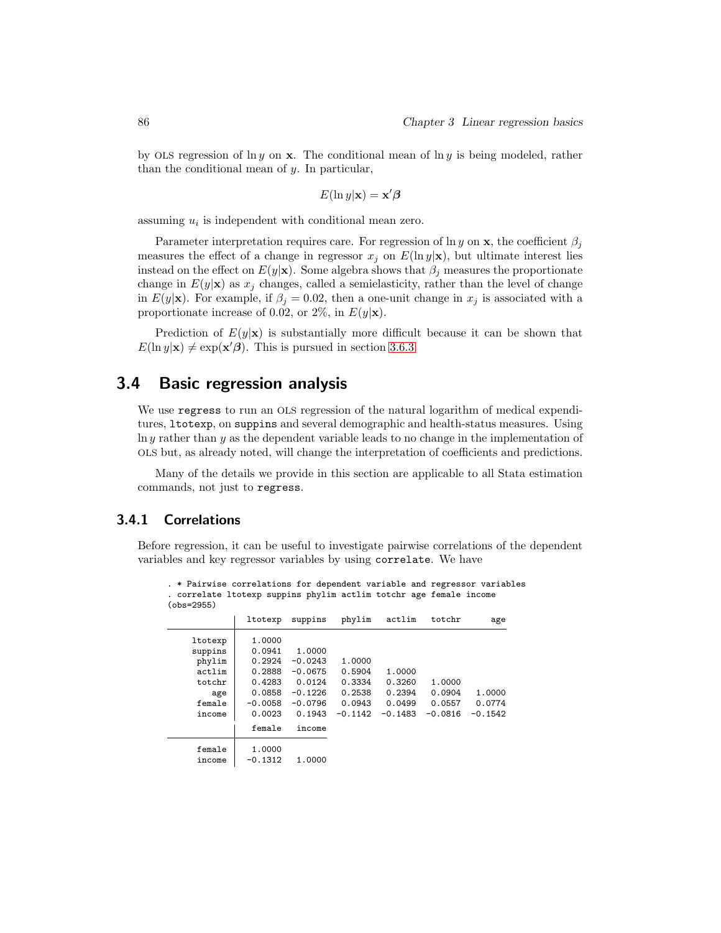by OLS regression of  $\ln y$  on **x**. The conditional mean of  $\ln y$  is being modeled, rather than the conditional mean of y. In particular,

$$
E(\ln y|\mathbf{x}) = \mathbf{x}'\boldsymbol{\beta}
$$

assuming  $u_i$  is independent with conditional mean zero.

Parameter interpretation requires care. For regression of ln y on x, the coefficient  $\beta_i$ measures the effect of a change in regressor  $x_j$  on  $E(\ln y|\mathbf{x})$ , but ultimate interest lies instead on the effect on  $E(y|\mathbf{x})$ . Some algebra shows that  $\beta_j$  measures the proportionate change in  $E(y|\mathbf{x})$  as  $x_j$  changes, called a semielasticity, rather than the level of change in  $E(y|\mathbf{x})$ . For example, if  $\beta_j = 0.02$ , then a one-unit change in  $x_j$  is associated with a proportionate increase of 0.02, or 2%, in  $E(y|\mathbf{x})$ .

Prediction of  $E(y|\mathbf{x})$  is substantially more difficult because it can be shown that  $E(\ln y|\mathbf{x}) \neq \exp(\mathbf{x}'\boldsymbol{\beta})$ . This is pursued in section 3.6.3.

### 3.4 Basic regression analysis

We use regress to run an OLS regression of the natural logarithm of medical expenditures, ltotexp, on suppins and several demographic and health-status measures. Using  $\ln y$  rather than y as the dependent variable leads to no change in the implementation of OLS but, as already noted, will change the interpretation of coefficients and predictions.

Many of the details we provide in this section are applicable to all Stata estimation commands, not just to regress.

### 3.4.1 Correlations

Before regression, it can be useful to investigate pairwise correlations of the dependent variables and key regressor variables by using correlate. We have

. \* Pairwise correlations for dependent variable and regressor variables

| . correlate ltotexp suppins phylim actlim totchr age female income<br>$(obs = 2955)$ |                     |                        |                     |                     |                     |                     |
|--------------------------------------------------------------------------------------|---------------------|------------------------|---------------------|---------------------|---------------------|---------------------|
|                                                                                      | ltotexp             | suppins                | phylim              | actlim              | totchr              | age                 |
| ltotexp<br>suppins                                                                   | 1.0000<br>0.0941    | 1,0000                 |                     |                     |                     |                     |
| phylim<br>actlim                                                                     | 0.2924<br>0.2888    | $-0.0243$<br>$-0.0675$ | 1,0000<br>0.5904    | 1.0000              |                     |                     |
| totchr<br>age                                                                        | 0.4283<br>0.0858    | 0.0124<br>$-0.1226$    | 0.3334<br>0.2538    | 0.3260<br>0.2394    | 1,0000<br>0.0904    | 1,0000              |
| female<br>income                                                                     | $-0.0058$<br>0.0023 | $-0.0796$<br>0.1943    | 0.0943<br>$-0.1142$ | 0.0499<br>$-0.1483$ | 0.0557<br>$-0.0816$ | 0.0774<br>$-0.1542$ |
|                                                                                      | female              | income                 |                     |                     |                     |                     |
| female<br>income                                                                     | 1.0000<br>$-0.1312$ | 1,0000                 |                     |                     |                     |                     |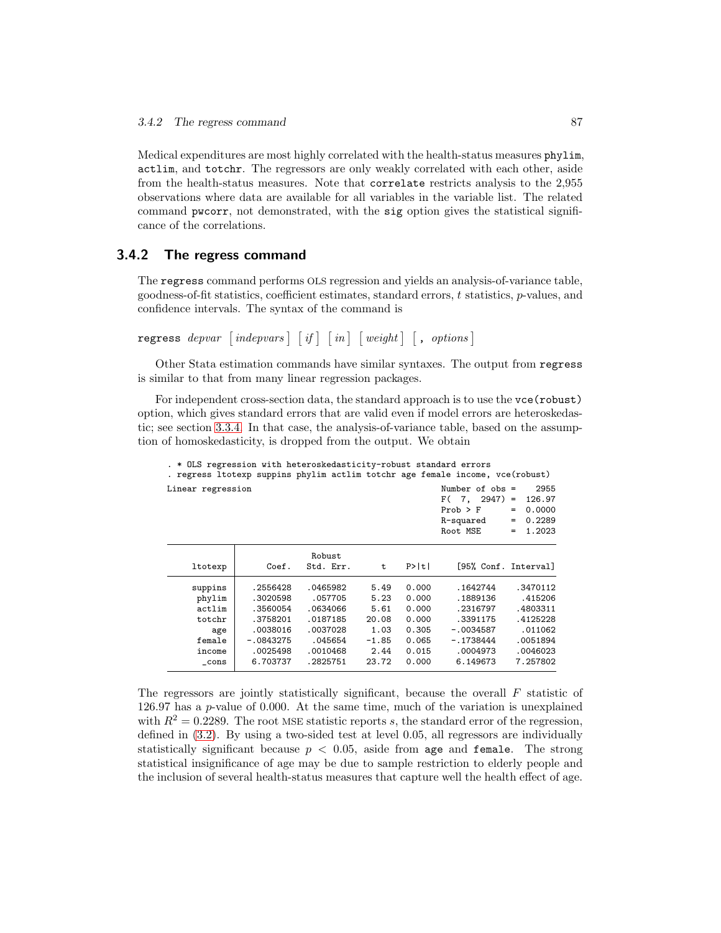Medical expenditures are most highly correlated with the health-status measures phylim, actlim, and totchr. The regressors are only weakly correlated with each other, aside from the health-status measures. Note that correlate restricts analysis to the 2,955 observations where data are available for all variables in the variable list. The related command pwcorr, not demonstrated, with the sig option gives the statistical significance of the correlations.

### 3.4.2 The regress command

The regress command performs OLS regression and yields an analysis-of-variance table, goodness-of-fit statistics, coefficient estimates, standard errors,  $t$  statistics,  $p$ -values, and confidence intervals. The syntax of the command is

```
regress depvar \lceil indepvars \rceil \lceil if \rceil \lceil in \rceil \lceil weight \rceil \lceil , options \rceil
```
Other Stata estimation commands have similar syntaxes. The output from regress is similar to that from many linear regression packages.

For independent cross-section data, the standard approach is to use the  $\mathsf{vce}(\mathtt{robust})$ option, which gives standard errors that are valid even if model errors are heteroskedastic; see section 3.3.4. In that case, the analysis-of-variance table, based on the assumption of homoskedasticity, is dropped from the output. We obtain

| . * OLS regression with heteroskedasticity-robust standard errors            |                                                                                                 |                                                                                            |                                                                   |                                                                      | . regress ltotexp suppins phylim actlim totchr age female income, vce(robust)                      |                                                                                            |
|------------------------------------------------------------------------------|-------------------------------------------------------------------------------------------------|--------------------------------------------------------------------------------------------|-------------------------------------------------------------------|----------------------------------------------------------------------|----------------------------------------------------------------------------------------------------|--------------------------------------------------------------------------------------------|
| Linear regression                                                            |                                                                                                 |                                                                                            |                                                                   |                                                                      | Number of $obs =$<br>$F(7, 2947) =$<br>$Prob$ > $F$<br>R-squared<br>Root MSE                       | 2955<br>126.97<br>0.0000<br>$=$<br>0.2289<br>$=$<br>1.2023<br>$=$                          |
| ltotexp                                                                      | Coef.                                                                                           | Robust<br>Std. Err.                                                                        | t                                                                 | P>  t                                                                | [95% Conf. Interval]                                                                               |                                                                                            |
| suppins<br>phylim<br>actlim<br>totchr<br>age<br>female<br>income<br>$\_cons$ | .2556428<br>.3020598<br>.3560054<br>.3758201<br>.0038016<br>$-.0843275$<br>.0025498<br>6.703737 | .0465982<br>.057705<br>.0634066<br>.0187185<br>.0037028<br>.045654<br>.0010468<br>.2825751 | 5.49<br>5.23<br>5.61<br>20.08<br>1.03<br>$-1.85$<br>2.44<br>23.72 | 0.000<br>0.000<br>0.000<br>0.000<br>0.305<br>0.065<br>0.015<br>0.000 | .1642744<br>.1889136<br>.2316797<br>.3391175<br>$-.0034587$<br>$-.1738444$<br>.0004973<br>6.149673 | .3470112<br>.415206<br>.4803311<br>.4125228<br>.011062<br>.0051894<br>.0046023<br>7.257802 |

The regressors are jointly statistically significant, because the overall  $F$  statistic of 126.97 has a p-value of 0.000. At the same time, much of the variation is unexplained with  $R^2 = 0.2289$ . The root MSE statistic reports s, the standard error of the regression, defined in (3.2). By using a two-sided test at level 0.05, all regressors are individually statistically significant because  $p < 0.05$ , aside from age and female. The strong statistical insignificance of age may be due to sample restriction to elderly people and the inclusion of several health-status measures that capture well the health effect of age.